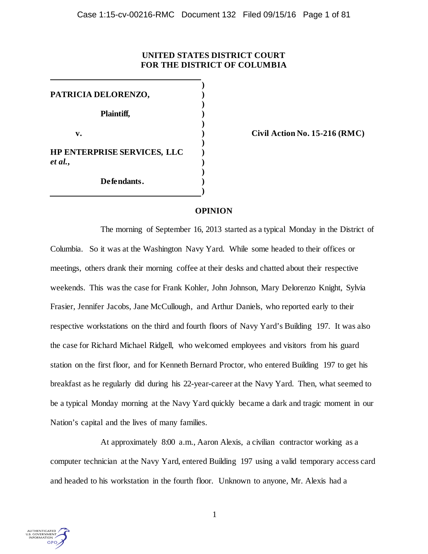# **UNITED STATES DISTRICT COURT FOR THE DISTRICT OF COLUMBIA**

**) PATRICIA DELORENZO, ) ) Plaintiff, ) ) v. ) Civil Action No. 15-216 (RMC) ) HP ENTERPRISE SERVICES, LLC )** *et al.***, ) ) Defendants. )**

# **OPINION**

**)**

The morning of September 16, 2013 started as a typical Monday in the District of Columbia. So it was at the Washington Navy Yard. While some headed to their offices or meetings, others drank their morning coffee at their desks and chatted about their respective weekends. This was the case for Frank Kohler, John Johnson, Mary Delorenzo Knight, Sylvia Frasier, Jennifer Jacobs, Jane McCullough, and Arthur Daniels, who reported early to their respective workstations on the third and fourth floors of Navy Yard's Building 197. It was also the case for Richard Michael Ridgell, who welcomed employees and visitors from his guard station on the first floor, and for Kenneth Bernard Proctor, who entered Building 197 to get his breakfast as he regularly did during his 22-year-career at the Navy Yard. Then, what seemed to be a typical Monday morning at the Navy Yard quickly became a dark and tragic moment in our Nation's capital and the lives of many families.

At approximately 8:00 a.m., Aaron Alexis, a civilian contractor working as a computer technician at the Navy Yard, entered Building 197 using a valid temporary access card and headed to his workstation in the fourth floor. Unknown to anyone, Mr. Alexis had a

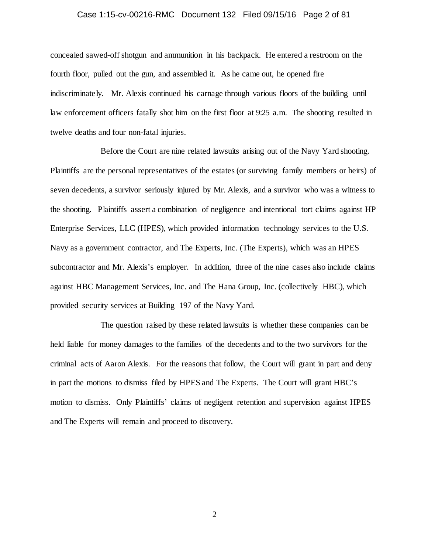### Case 1:15-cv-00216-RMC Document 132 Filed 09/15/16 Page 2 of 81

concealed sawed-off shotgun and ammunition in his backpack. He entered a restroom on the fourth floor, pulled out the gun, and assembled it. As he came out, he opened fire indiscriminately. Mr. Alexis continued his carnage through various floors of the building until law enforcement officers fatally shot him on the first floor at 9:25 a.m. The shooting resulted in twelve deaths and four non-fatal injuries.

Before the Court are nine related lawsuits arising out of the Navy Yard shooting. Plaintiffs are the personal representatives of the estates (or surviving family members or heirs) of seven decedents, a survivor seriously injured by Mr. Alexis, and a survivor who was a witness to the shooting. Plaintiffs assert a combination of negligence and intentional tort claims against HP Enterprise Services, LLC (HPES), which provided information technology services to the U.S. Navy as a government contractor, and The Experts, Inc. (The Experts), which was an HPES subcontractor and Mr. Alexis's employer. In addition, three of the nine cases also include claims against HBC Management Services, Inc. and The Hana Group, Inc. (collectively HBC), which provided security services at Building 197 of the Navy Yard.

The question raised by these related lawsuits is whether these companies can be held liable for money damages to the families of the decedents and to the two survivors for the criminal acts of Aaron Alexis. For the reasons that follow, the Court will grant in part and deny in part the motions to dismiss filed by HPES and The Experts. The Court will grant HBC's motion to dismiss. Only Plaintiffs' claims of negligent retention and supervision against HPES and The Experts will remain and proceed to discovery.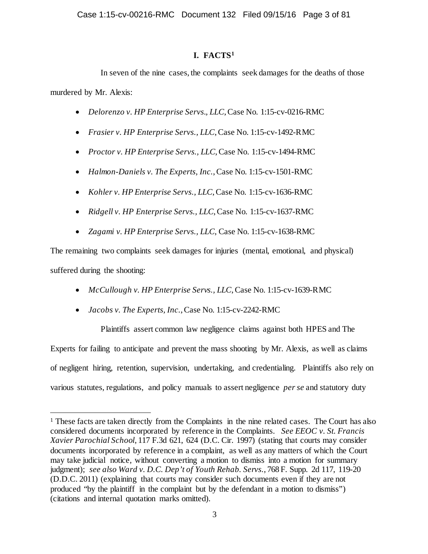# **I. FACTS[1](#page-2-0)**

In seven of the nine cases, the complaints seek damages for the deaths of those murdered by Mr. Alexis:

- *Delorenzo v. HP Enterprise Servs., LLC*, Case No. 1:15-cv-0216-RMC
- *Frasier v. HP Enterprise Servs., LLC*, Case No. 1:15-cv-1492-RMC
- *Proctor v. HP Enterprise Servs., LLC*, Case No. 1:15-cv-1494-RMC
- *Halmon-Daniels v. The Experts, Inc.*, Case No. 1:15-cv-1501-RMC
- *Kohler v. HP Enterprise Servs., LLC*, Case No. 1:15-cv-1636-RMC
- *Ridgell v. HP Enterprise Servs., LLC*, Case No. 1:15-cv-1637-RMC
- *Zagami v. HP Enterprise Servs., LLC*, Case No. 1:15-cv-1638-RMC

The remaining two complaints seek damages for injuries (mental, emotional, and physical) suffered during the shooting:

- *McCullough v. HP Enterprise Servs., LLC*, Case No. 1:15-cv-1639-RMC
- *Jacobs v. The Experts, Inc.*, Case No. 1:15-cv-2242-RMC

Plaintiffs assert common law negligence claims against both HPES and The Experts for failing to anticipate and prevent the mass shooting by Mr. Alexis, as well as claims of negligent hiring, retention, supervision, undertaking, and credentialing. Plaintiffs also rely on various statutes, regulations, and policy manuals to assert negligence *per se* and statutory duty

<span id="page-2-0"></span><sup>&</sup>lt;sup>1</sup> These facts are taken directly from the Complaints in the nine related cases. The Court has also considered documents incorporated by reference in the Complaints. *See EEOC v. St. Francis Xavier Parochial School*, 117 F.3d 621, 624 (D.C. Cir. 1997) (stating that courts may consider documents incorporated by reference in a complaint, as well as any matters of which the Court may take judicial notice, without converting a motion to dismiss into a motion for summary judgment); *see also Ward v. D.C. Dep't of Youth Rehab. Servs.*, 768 F. Supp. 2d 117, 119-20 (D.D.C. 2011) (explaining that courts may consider such documents even if they are not produced "by the plaintiff in the complaint but by the defendant in a motion to dismiss") (citations and internal quotation marks omitted).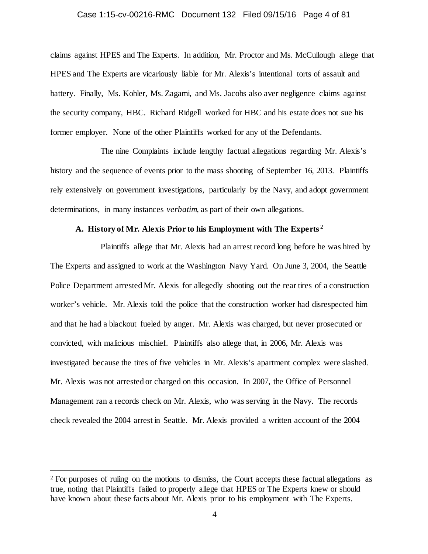### Case 1:15-cv-00216-RMC Document 132 Filed 09/15/16 Page 4 of 81

claims against HPES and The Experts. In addition, Mr. Proctor and Ms. McCullough allege that HPES and The Experts are vicariously liable for Mr. Alexis's intentional torts of assault and battery. Finally, Ms. Kohler, Ms. Zagami, and Ms. Jacobs also aver negligence claims against the security company, HBC. Richard Ridgell worked for HBC and his estate does not sue his former employer. None of the other Plaintiffs worked for any of the Defendants.

The nine Complaints include lengthy factual allegations regarding Mr. Alexis's history and the sequence of events prior to the mass shooting of September 16, 2013. Plaintiffs rely extensively on government investigations, particularly by the Navy, and adopt government determinations, in many instances *verbatim*, as part of their own allegations.

# **A. History of Mr. Alexis Prior to his Employment with The Experts [2](#page-3-0)**

Plaintiffs allege that Mr. Alexis had an arrest record long before he was hired by The Experts and assigned to work at the Washington Navy Yard. On June 3, 2004, the Seattle Police Department arrested Mr. Alexis for allegedly shooting out the rear tires of a construction worker's vehicle. Mr. Alexis told the police that the construction worker had disrespected him and that he had a blackout fueled by anger. Mr. Alexis was charged, but never prosecuted or convicted, with malicious mischief. Plaintiffs also allege that, in 2006, Mr. Alexis was investigated because the tires of five vehicles in Mr. Alexis's apartment complex were slashed. Mr. Alexis was not arrested or charged on this occasion. In 2007, the Office of Personnel Management ran a records check on Mr. Alexis, who was serving in the Navy. The records check revealed the 2004 arrest in Seattle. Mr. Alexis provided a written account of the 2004

<span id="page-3-0"></span><sup>&</sup>lt;sup>2</sup> For purposes of ruling on the motions to dismiss, the Court accepts these factual allegations as true, noting that Plaintiffs failed to properly allege that HPES or The Experts knew or should have known about these facts about Mr. Alexis prior to his employment with The Experts.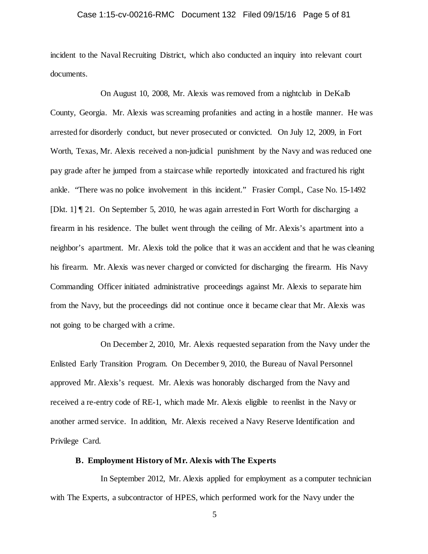### Case 1:15-cv-00216-RMC Document 132 Filed 09/15/16 Page 5 of 81

incident to the Naval Recruiting District, which also conducted an inquiry into relevant court documents.

On August 10, 2008, Mr. Alexis was removed from a nightclub in DeKalb County, Georgia. Mr. Alexis was screaming profanities and acting in a hostile manner. He was arrested for disorderly conduct, but never prosecuted or convicted. On July 12, 2009, in Fort Worth, Texas, Mr. Alexis received a non-judicial punishment by the Navy and was reduced one pay grade after he jumped from a staircase while reportedly intoxicated and fractured his right ankle. "There was no police involvement in this incident." Frasier Compl., Case No. 15-1492 [Dkt. 1] ¶ 21. On September 5, 2010, he was again arrested in Fort Worth for discharging a firearm in his residence. The bullet went through the ceiling of Mr. Alexis's apartment into a neighbor's apartment. Mr. Alexis told the police that it was an accident and that he was cleaning his firearm. Mr. Alexis was never charged or convicted for discharging the firearm. His Navy Commanding Officer initiated administrative proceedings against Mr. Alexis to separate him from the Navy, but the proceedings did not continue once it became clear that Mr. Alexis was not going to be charged with a crime.

On December 2, 2010, Mr. Alexis requested separation from the Navy under the Enlisted Early Transition Program. On December 9, 2010, the Bureau of Naval Personnel approved Mr. Alexis's request. Mr. Alexis was honorably discharged from the Navy and received a re-entry code of RE-1, which made Mr. Alexis eligible to reenlist in the Navy or another armed service. In addition, Mr. Alexis received a Navy Reserve Identification and Privilege Card.

### **B. Employment History of Mr. Alexis with The Experts**

In September 2012, Mr. Alexis applied for employment as a computer technician with The Experts, a subcontractor of HPES, which performed work for the Navy under the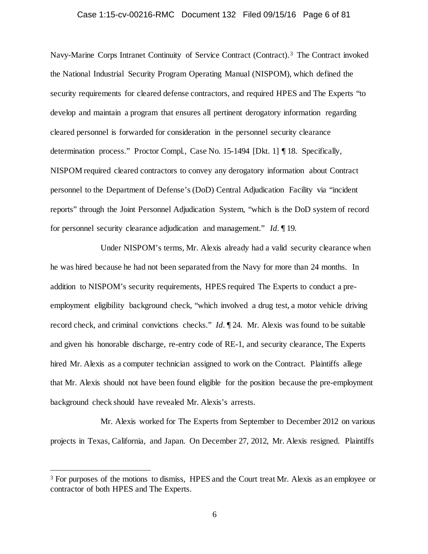### Case 1:15-cv-00216-RMC Document 132 Filed 09/15/16 Page 6 of 81

Navy-Marine Corps Intranet Continuity of Service Contract (Contract). [3](#page-5-0) The Contract invoked the National Industrial Security Program Operating Manual (NISPOM), which defined the security requirements for cleared defense contractors, and required HPES and The Experts "to develop and maintain a program that ensures all pertinent derogatory information regarding cleared personnel is forwarded for consideration in the personnel security clearance determination process." Proctor Compl., Case No. 15-1494 [Dkt. 1] ¶ 18. Specifically, NISPOM required cleared contractors to convey any derogatory information about Contract personnel to the Department of Defense's (DoD) Central Adjudication Facility via "incident reports" through the Joint Personnel Adjudication System, "which is the DoD system of record for personnel security clearance adjudication and management." *Id.* ¶ 19.

Under NISPOM's terms, Mr. Alexis already had a valid security clearance when he was hired because he had not been separated from the Navy for more than 24 months. In addition to NISPOM's security requirements, HPES required The Experts to conduct a preemployment eligibility background check, "which involved a drug test, a motor vehicle driving record check, and criminal convictions checks." *Id.* ¶ 24. Mr. Alexis was found to be suitable and given his honorable discharge, re-entry code of RE-1, and security clearance, The Experts hired Mr. Alexis as a computer technician assigned to work on the Contract. Plaintiffs allege that Mr. Alexis should not have been found eligible for the position because the pre-employment background check should have revealed Mr. Alexis's arrests.

Mr. Alexis worked for The Experts from September to December 2012 on various projects in Texas, California, and Japan. On December 27, 2012, Mr. Alexis resigned. Plaintiffs

<span id="page-5-0"></span><sup>&</sup>lt;sup>3</sup> For purposes of the motions to dismiss, HPES and the Court treat Mr. Alexis as an employee or contractor of both HPES and The Experts.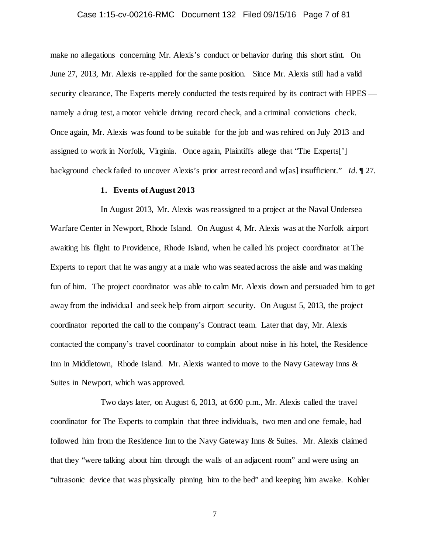### Case 1:15-cv-00216-RMC Document 132 Filed 09/15/16 Page 7 of 81

make no allegations concerning Mr. Alexis's conduct or behavior during this short stint. On June 27, 2013, Mr. Alexis re-applied for the same position. Since Mr. Alexis still had a valid security clearance. The Experts merely conducted the tests required by its contract with HPES –– namely a drug test, a motor vehicle driving record check, and a criminal convictions check. Once again, Mr. Alexis was found to be suitable for the job and was rehired on July 2013 and assigned to work in Norfolk, Virginia. Once again, Plaintiffs allege that "The Experts['] background check failed to uncover Alexis's prior arrest record and w[as] insufficient." *Id.* ¶ 27.

### **1. Events of August 2013**

In August 2013, Mr. Alexis was reassigned to a project at the Naval Undersea Warfare Center in Newport, Rhode Island. On August 4, Mr. Alexis was at the Norfolk airport awaiting his flight to Providence, Rhode Island, when he called his project coordinator at The Experts to report that he was angry at a male who was seated across the aisle and was making fun of him. The project coordinator was able to calm Mr. Alexis down and persuaded him to get away from the individual and seek help from airport security. On August 5, 2013, the project coordinator reported the call to the company's Contract team. Later that day, Mr. Alexis contacted the company's travel coordinator to complain about noise in his hotel, the Residence Inn in Middletown, Rhode Island. Mr. Alexis wanted to move to the Navy Gateway Inns & Suites in Newport, which was approved.

Two days later, on August 6, 2013, at 6:00 p.m., Mr. Alexis called the travel coordinator for The Experts to complain that three individuals, two men and one female, had followed him from the Residence Inn to the Navy Gateway Inns & Suites. Mr. Alexis claimed that they "were talking about him through the walls of an adjacent room" and were using an "ultrasonic device that was physically pinning him to the bed" and keeping him awake. Kohler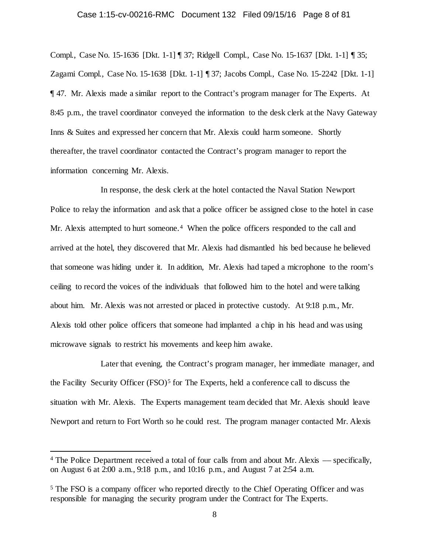### Case 1:15-cv-00216-RMC Document 132 Filed 09/15/16 Page 8 of 81

Compl., Case No. 15-1636 [Dkt. 1-1] ¶ 37; Ridgell Compl., Case No. 15-1637 [Dkt. 1-1] ¶ 35; Zagami Compl., Case No. 15-1638 [Dkt. 1-1] ¶ 37; Jacobs Compl., Case No. 15-2242 [Dkt. 1-1] ¶ 47. Mr. Alexis made a similar report to the Contract's program manager for The Experts. At 8:45 p.m., the travel coordinator conveyed the information to the desk clerk at the Navy Gateway Inns & Suites and expressed her concern that Mr. Alexis could harm someone. Shortly thereafter, the travel coordinator contacted the Contract's program manager to report the information concerning Mr. Alexis.

In response, the desk clerk at the hotel contacted the Naval Station Newport Police to relay the information and ask that a police officer be assigned close to the hotel in case Mr. Alexis attempted to hurt someone.<sup>[4](#page-7-0)</sup> When the police officers responded to the call and arrived at the hotel, they discovered that Mr. Alexis had dismantled his bed because he believed that someone was hiding under it. In addition, Mr. Alexis had taped a microphone to the room's ceiling to record the voices of the individuals that followed him to the hotel and were talking about him. Mr. Alexis was not arrested or placed in protective custody. At 9:18 p.m., Mr. Alexis told other police officers that someone had implanted a chip in his head and was using microwave signals to restrict his movements and keep him awake.

Later that evening, the Contract's program manager, her immediate manager, and the Facility Security Officer  $(FSO)^5$  $(FSO)^5$  for The Experts, held a conference call to discuss the situation with Mr. Alexis. The Experts management team decided that Mr. Alexis should leave Newport and return to Fort Worth so he could rest. The program manager contacted Mr. Alexis

<span id="page-7-0"></span> <sup>4</sup> The Police Department received a total of four calls from and about Mr. Alexis –– specifically, on August 6 at 2:00 a.m., 9:18 p.m., and 10:16 p.m., and August 7 at 2:54 a.m.

<span id="page-7-1"></span><sup>5</sup> The FSO is a company officer who reported directly to the Chief Operating Officer and was responsible for managing the security program under the Contract for The Experts.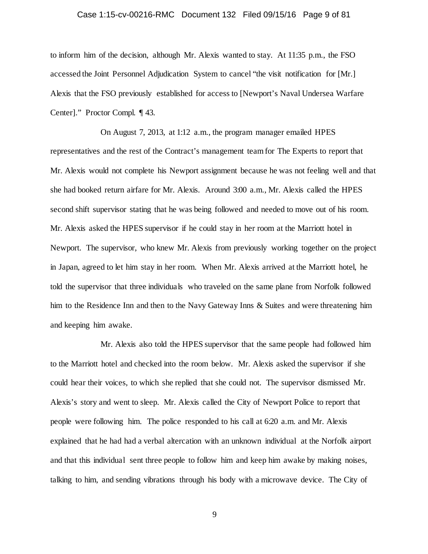### Case 1:15-cv-00216-RMC Document 132 Filed 09/15/16 Page 9 of 81

to inform him of the decision, although Mr. Alexis wanted to stay. At 11:35 p.m., the FSO accessed the Joint Personnel Adjudication System to cancel "the visit notification for [Mr.] Alexis that the FSO previously established for access to [Newport's Naval Undersea Warfare Center]." Proctor Compl. ¶ 43.

On August 7, 2013, at 1:12 a.m., the program manager emailed HPES representatives and the rest of the Contract's management team for The Experts to report that Mr. Alexis would not complete his Newport assignment because he was not feeling well and that she had booked return airfare for Mr. Alexis. Around 3:00 a.m., Mr. Alexis called the HPES second shift supervisor stating that he was being followed and needed to move out of his room. Mr. Alexis asked the HPES supervisor if he could stay in her room at the Marriott hotel in Newport. The supervisor, who knew Mr. Alexis from previously working together on the project in Japan, agreed to let him stay in her room. When Mr. Alexis arrived at the Marriott hotel, he told the supervisor that three individuals who traveled on the same plane from Norfolk followed him to the Residence Inn and then to the Navy Gateway Inns & Suites and were threatening him and keeping him awake.

Mr. Alexis also told the HPES supervisor that the same people had followed him to the Marriott hotel and checked into the room below. Mr. Alexis asked the supervisor if she could hear their voices, to which she replied that she could not. The supervisor dismissed Mr. Alexis's story and went to sleep. Mr. Alexis called the City of Newport Police to report that people were following him. The police responded to his call at 6:20 a.m. and Mr. Alexis explained that he had had a verbal altercation with an unknown individual at the Norfolk airport and that this individual sent three people to follow him and keep him awake by making noises, talking to him, and sending vibrations through his body with a microwave device. The City of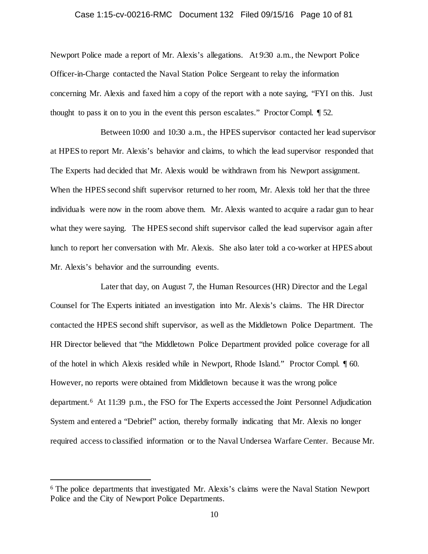### Case 1:15-cv-00216-RMC Document 132 Filed 09/15/16 Page 10 of 81

Newport Police made a report of Mr. Alexis's allegations. At 9:30 a.m., the Newport Police Officer-in-Charge contacted the Naval Station Police Sergeant to relay the information concerning Mr. Alexis and faxed him a copy of the report with a note saying, "FYI on this. Just thought to pass it on to you in the event this person escalates." Proctor Compl. ¶ 52.

Between 10:00 and 10:30 a.m., the HPES supervisor contacted her lead supervisor at HPES to report Mr. Alexis's behavior and claims, to which the lead supervisor responded that The Experts had decided that Mr. Alexis would be withdrawn from his Newport assignment. When the HPES second shift supervisor returned to her room, Mr. Alexis told her that the three individuals were now in the room above them. Mr. Alexis wanted to acquire a radar gun to hear what they were saying. The HPES second shift supervisor called the lead supervisor again after lunch to report her conversation with Mr. Alexis. She also later told a co-worker at HPES about Mr. Alexis's behavior and the surrounding events.

Later that day, on August 7, the Human Resources (HR) Director and the Legal Counsel for The Experts initiated an investigation into Mr. Alexis's claims. The HR Director contacted the HPES second shift supervisor, as well as the Middletown Police Department. The HR Director believed that "the Middletown Police Department provided police coverage for all of the hotel in which Alexis resided while in Newport, Rhode Island." Proctor Compl. ¶ 60. However, no reports were obtained from Middletown because it was the wrong police department.[6](#page-9-0) At 11:39 p.m., the FSO for The Experts accessed the Joint Personnel Adjudication System and entered a "Debrief" action, thereby formally indicating that Mr. Alexis no longer required access to classified information or to the Naval Undersea Warfare Center. Because Mr.

<span id="page-9-0"></span> <sup>6</sup> The police departments that investigated Mr. Alexis's claims were the Naval Station Newport Police and the City of Newport Police Departments.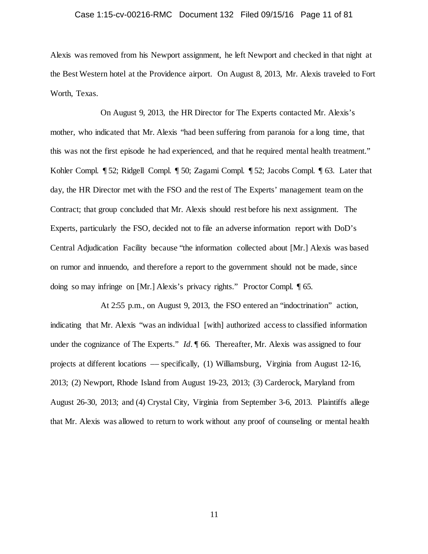#### Case 1:15-cv-00216-RMC Document 132 Filed 09/15/16 Page 11 of 81

Alexis was removed from his Newport assignment, he left Newport and checked in that night at the Best Western hotel at the Providence airport. On August 8, 2013, Mr. Alexis traveled to Fort Worth, Texas.

On August 9, 2013, the HR Director for The Experts contacted Mr. Alexis's mother, who indicated that Mr. Alexis "had been suffering from paranoia for a long time, that this was not the first episode he had experienced, and that he required mental health treatment." Kohler Compl. ¶ 52; Ridgell Compl. ¶ 50; Zagami Compl. ¶ 52; Jacobs Compl. ¶ 63. Later that day, the HR Director met with the FSO and the rest of The Experts' management team on the Contract; that group concluded that Mr. Alexis should rest before his next assignment. The Experts, particularly the FSO, decided not to file an adverse information report with DoD's Central Adjudication Facility because "the information collected about [Mr.] Alexis was based on rumor and innuendo, and therefore a report to the government should not be made, since doing so may infringe on [Mr.] Alexis's privacy rights." Proctor Compl. ¶ 65.

At 2:55 p.m., on August 9, 2013, the FSO entered an "indoctrination" action, indicating that Mr. Alexis "was an individual [with] authorized access to classified information under the cognizance of The Experts." *Id.*  $\parallel$  66. Thereafter, Mr. Alexis was assigned to four projects at different locations –– specifically, (1) Williamsburg, Virginia from August 12-16, 2013; (2) Newport, Rhode Island from August 19-23, 2013; (3) Carderock, Maryland from August 26-30, 2013; and (4) Crystal City, Virginia from September 3-6, 2013. Plaintiffs allege that Mr. Alexis was allowed to return to work without any proof of counseling or mental health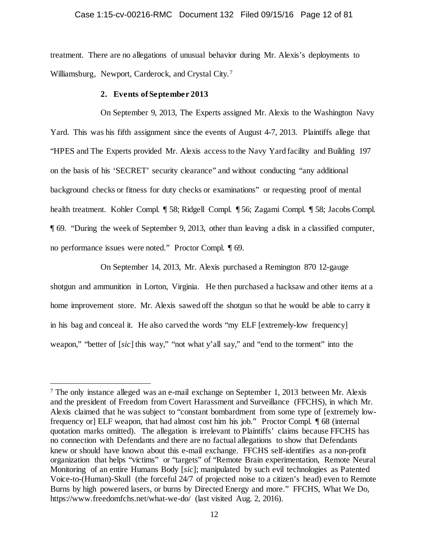#### Case 1:15-cv-00216-RMC Document 132 Filed 09/15/16 Page 12 of 81

treatment. There are no allegations of unusual behavior during Mr. Alexis's deployments to Williamsburg, Newport, Carderock, and Crystal City.[7](#page-11-0) 

#### **2. Events of September 2013**

On September 9, 2013, The Experts assigned Mr. Alexis to the Washington Navy Yard. This was his fifth assignment since the events of August 4-7, 2013. Plaintiffs allege that "HPES and The Experts provided Mr. Alexis access to the Navy Yard facility and Building 197 on the basis of his 'SECRET' security clearance" and without conducting "any additional background checks or fitness for duty checks or examinations" or requesting proof of mental health treatment. Kohler Compl. ¶ 58; Ridgell Compl. ¶ 56; Zagami Compl. ¶ 58; Jacobs Compl. ¶ 69. "During the week of September 9, 2013, other than leaving a disk in a classified computer, no performance issues were noted." Proctor Compl. ¶ 69.

On September 14, 2013, Mr. Alexis purchased a Remington 870 12-gauge shotgun and ammunition in Lorton, Virginia. He then purchased a hacksaw and other items at a home improvement store. Mr. Alexis sawed off the shotgun so that he would be able to carry it in his bag and conceal it. He also carved the words "my ELF [extremely-low frequency] weapon," "better of [*sic*] this way," "not what y'all say," and "end to the torment" into the

<span id="page-11-0"></span> <sup>7</sup> The only instance alleged was an e-mail exchange on September 1, 2013 between Mr. Alexis and the president of Freedom from Covert Harassment and Surveillance (FFCHS), in which Mr. Alexis claimed that he was subject to "constant bombardment from some type of [extremely lowfrequency or] ELF weapon, that had almost cost him his job." Proctor Compl. ¶ 68 (internal quotation marks omitted). The allegation is irrelevant to Plaintiffs' claims because FFCHS has no connection with Defendants and there are no factual allegations to show that Defendants knew or should have known about this e-mail exchange. FFCHS self-identifies as a non-profit organization that helps "victims" or "targets" of "Remote Brain experimentation, Remote Neural Monitoring of an entire Humans Body [*sic*]; manipulated by such evil technologies as Patented Voice-to-(Human)-Skull (the forceful 24/7 of projected noise to a citizen's head) even to Remote Burns by high powered lasers, or burns by Directed Energy and more." FFCHS, What We Do, https://www.freedomfchs.net/what-we-do/ (last visited Aug. 2, 2016).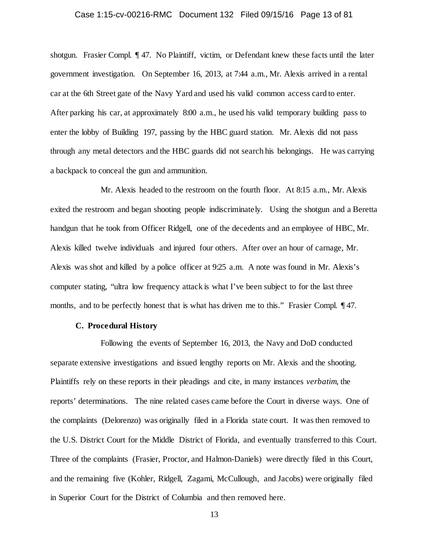### Case 1:15-cv-00216-RMC Document 132 Filed 09/15/16 Page 13 of 81

shotgun. Frasier Compl. ¶ 47. No Plaintiff, victim, or Defendant knew these facts until the later government investigation. On September 16, 2013, at 7:44 a.m., Mr. Alexis arrived in a rental car at the 6th Street gate of the Navy Yard and used his valid common access card to enter. After parking his car, at approximately 8:00 a.m., he used his valid temporary building pass to enter the lobby of Building 197, passing by the HBC guard station. Mr. Alexis did not pass through any metal detectors and the HBC guards did not search his belongings. He was carrying a backpack to conceal the gun and ammunition.

Mr. Alexis headed to the restroom on the fourth floor. At 8:15 a.m., Mr. Alexis exited the restroom and began shooting people indiscriminately. Using the shotgun and a Beretta handgun that he took from Officer Ridgell, one of the decedents and an employee of HBC, Mr. Alexis killed twelve individuals and injured four others. After over an hour of carnage, Mr. Alexis was shot and killed by a police officer at 9:25 a.m. A note was found in Mr. Alexis's computer stating, "ultra low frequency attack is what I've been subject to for the last three months, and to be perfectly honest that is what has driven me to this." Frasier Compl.  $\P$  47.

### **C. Procedural History**

Following the events of September 16, 2013, the Navy and DoD conducted separate extensive investigations and issued lengthy reports on Mr. Alexis and the shooting. Plaintiffs rely on these reports in their pleadings and cite, in many instances *verbatim*, the reports' determinations. The nine related cases came before the Court in diverse ways. One of the complaints (Delorenzo) was originally filed in a Florida state court. It was then removed to the U.S. District Court for the Middle District of Florida, and eventually transferred to this Court. Three of the complaints (Frasier, Proctor, and Halmon-Daniels) were directly filed in this Court, and the remaining five (Kohler, Ridgell, Zagami, McCullough, and Jacobs) were originally filed in Superior Court for the District of Columbia and then removed here.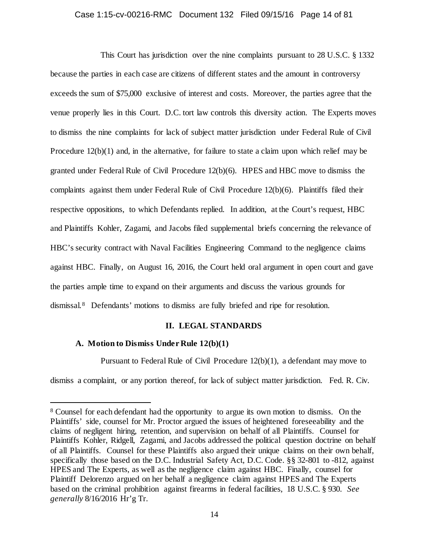### Case 1:15-cv-00216-RMC Document 132 Filed 09/15/16 Page 14 of 81

This Court has jurisdiction over the nine complaints pursuant to 28 U.S.C. § 1332 because the parties in each case are citizens of different states and the amount in controversy exceeds the sum of \$75,000 exclusive of interest and costs. Moreover, the parties agree that the venue properly lies in this Court. D.C. tort law controls this diversity action. The Experts moves to dismiss the nine complaints for lack of subject matter jurisdiction under Federal Rule of Civil Procedure 12(b)(1) and, in the alternative, for failure to state a claim upon which relief may be granted under Federal Rule of Civil Procedure 12(b)(6). HPES and HBC move to dismiss the complaints against them under Federal Rule of Civil Procedure 12(b)(6). Plaintiffs filed their respective oppositions, to which Defendants replied. In addition, at the Court's request, HBC and Plaintiffs Kohler, Zagami, and Jacobs filed supplemental briefs concerning the relevance of HBC's security contract with Naval Facilities Engineering Command to the negligence claims against HBC. Finally, on August 16, 2016, the Court held oral argument in open court and gave the parties ample time to expand on their arguments and discuss the various grounds for dismissal.[8](#page-13-0) Defendants' motions to dismiss are fully briefed and ripe for resolution.

### **II. LEGAL STANDARDS**

### **A. Motion to Dismiss Under Rule 12(b)(1)**

Pursuant to Federal Rule of Civil Procedure 12(b)(1), a defendant may move to

dismiss a complaint, or any portion thereof, for lack of subject matter jurisdiction. Fed. R. Civ.

<span id="page-13-0"></span> <sup>8</sup> Counsel for each defendant had the opportunity to argue its own motion to dismiss. On the Plaintiffs' side, counsel for Mr. Proctor argued the issues of heightened foreseeability and the claims of negligent hiring, retention, and supervision on behalf of all Plaintiffs. Counsel for Plaintiffs Kohler, Ridgell, Zagami, and Jacobs addressed the political question doctrine on behalf of all Plaintiffs. Counsel for these Plaintiffs also argued their unique claims on their own behalf, specifically those based on the D.C. Industrial Safety Act, D.C. Code. §§ 32-801 to -812, against HPES and The Experts, as well as the negligence claim against HBC. Finally, counsel for Plaintiff Delorenzo argued on her behalf a negligence claim against HPES and The Experts based on the criminal prohibition against firearms in federal facilities, 18 U.S.C. § 930. *See generally* 8/16/2016 Hr'g Tr.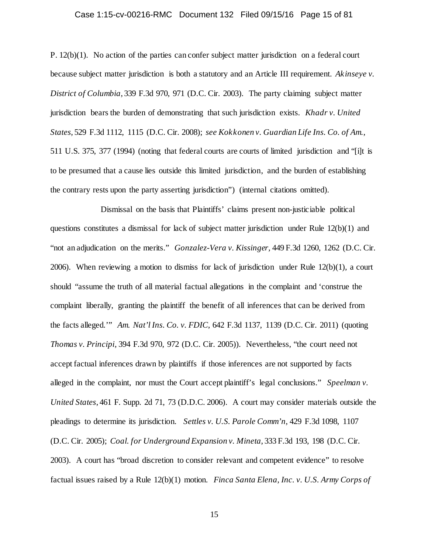### Case 1:15-cv-00216-RMC Document 132 Filed 09/15/16 Page 15 of 81

P. 12(b)(1). No action of the parties can confer subject matter jurisdiction on a federal court because subject matter jurisdiction is both a statutory and an Article III requirement. *Akinseye v. District of Columbia*, 339 F.3d 970, 971 (D.C. Cir. 2003). The party claiming subject matter jurisdiction bears the burden of demonstrating that such jurisdiction exists. *Khadr v. United States*, 529 F.3d 1112, 1115 (D.C. Cir. 2008); *see Kokkonen v. Guardian Life Ins. Co. of Am.*, 511 U.S. 375, 377 (1994) (noting that federal courts are courts of limited jurisdiction and "[i]t is to be presumed that a cause lies outside this limited jurisdiction, and the burden of establishing the contrary rests upon the party asserting jurisdiction") (internal citations omitted).

Dismissal on the basis that Plaintiffs' claims present non-justiciable political questions constitutes a dismissal for lack of subject matter jurisdiction under Rule 12(b)(1) and "not an adjudication on the merits." *Gonzalez-Vera v. Kissinger,* 449 F.3d 1260, 1262 (D.C. Cir. 2006). When reviewing a motion to dismiss for lack of jurisdiction under Rule 12(b)(1), a court should "assume the truth of all material factual allegations in the complaint and 'construe the complaint liberally, granting the plaintiff the benefit of all inferences that can be derived from the facts alleged.'" *Am. Nat'l Ins. Co. v. FDIC*, 642 F.3d 1137, 1139 (D.C. Cir. 2011) (quoting *Thomas v. Principi*, 394 F.3d 970, 972 (D.C. Cir. 2005)). Nevertheless, "the court need not accept factual inferences drawn by plaintiffs if those inferences are not supported by facts alleged in the complaint, nor must the Court accept plaintiff's legal conclusions." *Speelman v. United States*, 461 F. Supp. 2d 71, 73 (D.D.C. 2006). A court may consider materials outside the pleadings to determine its jurisdiction. *Settles v. U.S. Parole Comm'n*, 429 F.3d 1098, 1107 (D.C. Cir. 2005); *Coal. for Underground Expansion v. Mineta*, 333 F.3d 193, 198 (D.C. Cir. 2003). A court has "broad discretion to consider relevant and competent evidence" to resolve factual issues raised by a Rule 12(b)(1) motion. *Finca Santa Elena, Inc. v. U.S. Army Corps of*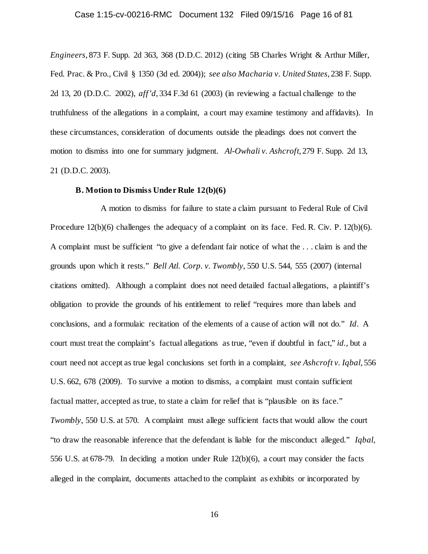### Case 1:15-cv-00216-RMC Document 132 Filed 09/15/16 Page 16 of 81

*Engineers*, 873 F. Supp. 2d 363, 368 (D.D.C. 2012) (citing 5B Charles Wright & Arthur Miller, Fed. Prac. & Pro., Civil § 1350 (3d ed. 2004)); *see also Macharia v. United States*, 238 F. Supp. 2d 13, 20 (D.D.C. 2002), *aff'd*, 334 F.3d 61 (2003) (in reviewing a factual challenge to the truthfulness of the allegations in a complaint, a court may examine testimony and affidavits). In these circumstances, consideration of documents outside the pleadings does not convert the motion to dismiss into one for summary judgment. *Al-Owhali v. Ashcroft*, 279 F. Supp. 2d 13, 21 (D.D.C. 2003).

### **B. Motion to Dismiss Under Rule 12(b)(6)**

A motion to dismiss for failure to state a claim pursuant to Federal Rule of Civil Procedure 12(b)(6) challenges the adequacy of a complaint on its face. Fed. R. Civ. P. 12(b)(6). A complaint must be sufficient "to give a defendant fair notice of what the . . . claim is and the grounds upon which it rests." *Bell Atl. Corp. v. Twombly*, 550 U.S. 544, 555 (2007) (internal citations omitted). Although a complaint does not need detailed factual allegations, a plaintiff's obligation to provide the grounds of his entitlement to relief "requires more than labels and conclusions, and a formulaic recitation of the elements of a cause of action will not do." *Id*. A court must treat the complaint's factual allegations as true, "even if doubtful in fact," *id.*, but a court need not accept as true legal conclusions set forth in a complaint, *see Ashcroft v. Iqbal*, 556 U.S. 662, 678 (2009). To survive a motion to dismiss, a complaint must contain sufficient factual matter, accepted as true, to state a claim for relief that is "plausible on its face." *Twombly*, 550 U.S. at 570. A complaint must allege sufficient facts that would allow the court "to draw the reasonable inference that the defendant is liable for the misconduct alleged." *Iqbal*, 556 U.S. at 678-79. In deciding a motion under Rule 12(b)(6), a court may consider the facts alleged in the complaint, documents attached to the complaint as exhibits or incorporated by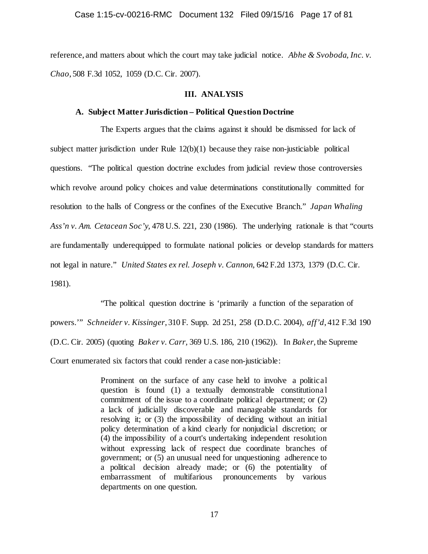reference, and matters about which the court may take judicial notice. *Abhe & Svoboda, Inc. v. Chao*, 508 F.3d 1052, 1059 (D.C. Cir. 2007).

### **III. ANALYSIS**

### **A. Subject Matter Jurisdiction – Political Question Doctrine**

The Experts argues that the claims against it should be dismissed for lack of subject matter jurisdiction under Rule  $12(b)(1)$  because they raise non-justiciable political questions. "The political question doctrine excludes from judicial review those controversies which revolve around policy choices and value determinations constitutionally committed for resolution to the halls of Congress or the confines of the Executive Branch." *Japan Whaling Ass'n v. Am. Cetacean Soc'y,* 478 U.S. 221, 230 (1986). The underlying rationale is that "courts are fundamentally underequipped to formulate national policies or develop standards for matters not legal in nature." *United States ex rel. Joseph v. Cannon,* 642 F.2d 1373, 1379 (D.C. Cir. 1981).

"The political question doctrine is 'primarily a function of the separation of powers.'" *Schneider v. Kissinger*, 310 F. Supp. 2d 251, 258 (D.D.C. 2004), *aff'd*, 412 F.3d 190 (D.C. Cir. 2005) (quoting *Baker v. Carr,* 369 U.S. 186, 210 (1962)). In *Baker*, the Supreme Court enumerated six factors that could render a case non-justiciable:

> Prominent on the surface of any case held to involve a political question is found (1) a textually demonstrable constitutiona l commitment of the issue to a coordinate political department; or (2) a lack of judicially discoverable and manageable standards for resolving it; or (3) the impossibility of deciding without an initial policy determination of a kind clearly for nonjudicial discretion; or (4) the impossibility of a court's undertaking independent resolution without expressing lack of respect due coordinate branches of government; or (5) an unusual need for unquestioning adherence to a political decision already made; or (6) the potentiality of embarrassment of multifarious pronouncements by various departments on one question.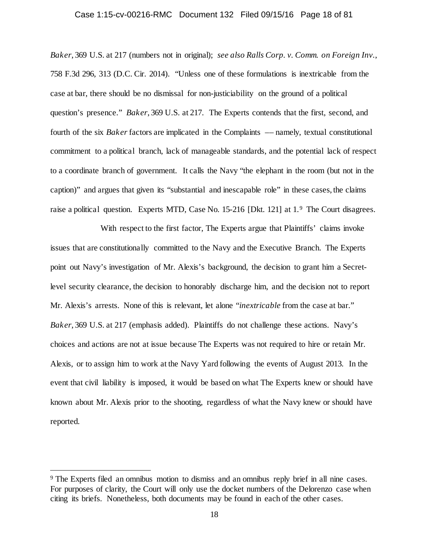#### Case 1:15-cv-00216-RMC Document 132 Filed 09/15/16 Page 18 of 81

*Baker*, 369 U.S. at 217 (numbers not in original); *see also Ralls Corp. v. Comm. on Foreign Inv.*, 758 F.3d 296, 313 (D.C. Cir. 2014). "Unless one of these formulations is inextricable from the case at bar, there should be no dismissal for non-justiciability on the ground of a political question's presence." *Baker*, 369 U.S. at 217. The Experts contends that the first, second, and fourth of the six *Baker* factors are implicated in the Complaints –– namely, textual constitutional commitment to a political branch, lack of manageable standards, and the potential lack of respect to a coordinate branch of government. It calls the Navy "the elephant in the room (but not in the caption)" and argues that given its "substantial and inescapable role" in these cases, the claims raise a political question. Experts MTD, Case No. 15-216 [Dkt. 121] at 1.[9](#page-17-0) The Court disagrees.

With respect to the first factor, The Experts argue that Plaintiffs' claims invoke issues that are constitutionally committed to the Navy and the Executive Branch. The Experts point out Navy's investigation of Mr. Alexis's background, the decision to grant him a Secretlevel security clearance, the decision to honorably discharge him, and the decision not to report Mr. Alexis's arrests. None of this is relevant, let alone "*inextricable* from the case at bar." *Baker*, 369 U.S. at 217 (emphasis added). Plaintiffs do not challenge these actions. Navy's choices and actions are not at issue because The Experts was not required to hire or retain Mr. Alexis, or to assign him to work at the Navy Yard following the events of August 2013. In the event that civil liability is imposed, it would be based on what The Experts knew or should have known about Mr. Alexis prior to the shooting, regardless of what the Navy knew or should have reported.

<span id="page-17-0"></span> <sup>9</sup> The Experts filed an omnibus motion to dismiss and an omnibus reply brief in all nine cases. For purposes of clarity, the Court will only use the docket numbers of the Delorenzo case when citing its briefs. Nonetheless, both documents may be found in each of the other cases.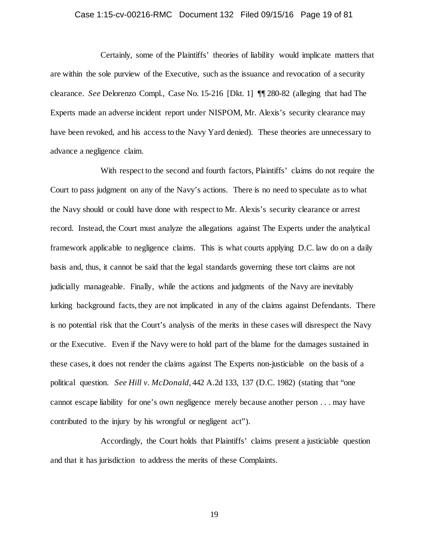### Case 1:15-cv-00216-RMC Document 132 Filed 09/15/16 Page 19 of 81

Certainly, some of the Plaintiffs' theories of liability would implicate matters that are within the sole purview of the Executive, such as the issuance and revocation of a security clearance. *See* Delorenzo Compl., Case No. 15-216 [Dkt. 1] ¶¶ 280-82 (alleging that had The Experts made an adverse incident report under NISPOM, Mr. Alexis's security clearance may have been revoked, and his access to the Navy Yard denied). These theories are unnecessary to advance a negligence claim.

With respect to the second and fourth factors, Plaintiffs' claims do not require the Court to pass judgment on any of the Navy's actions. There is no need to speculate as to what the Navy should or could have done with respect to Mr. Alexis's security clearance or arrest record. Instead, the Court must analyze the allegations against The Experts under the analytical framework applicable to negligence claims. This is what courts applying D.C. law do on a daily basis and, thus, it cannot be said that the legal standards governing these tort claims are not judicially manageable. Finally, while the actions and judgments of the Navy are inevitably lurking background facts, they are not implicated in any of the claims against Defendants. There is no potential risk that the Court's analysis of the merits in these cases will disrespect the Navy or the Executive. Even if the Navy were to hold part of the blame for the damages sustained in these cases, it does not render the claims against The Experts non-justiciable on the basis of a political question. *See Hill v. McDonald*, 442 A.2d 133, 137 (D.C. 1982) (stating that "one cannot escape liability for one's own negligence merely because another person . . . may have contributed to the injury by his wrongful or negligent act").

Accordingly, the Court holds that Plaintiffs' claims present a justiciable question and that it has jurisdiction to address the merits of these Complaints.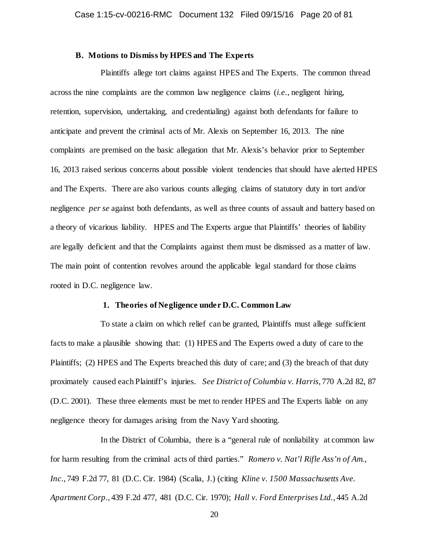### **B. Motions to Dismiss by HPES and The Experts**

Plaintiffs allege tort claims against HPES and The Experts. The common thread across the nine complaints are the common law negligence claims (*i.e.*, negligent hiring, retention, supervision, undertaking, and credentialing) against both defendants for failure to anticipate and prevent the criminal acts of Mr. Alexis on September 16, 2013. The nine complaints are premised on the basic allegation that Mr. Alexis's behavior prior to September 16, 2013 raised serious concerns about possible violent tendencies that should have alerted HPES and The Experts. There are also various counts alleging claims of statutory duty in tort and/or negligence *per se* against both defendants, as well as three counts of assault and battery based on a theory of vicarious liability. HPES and The Experts argue that Plaintiffs' theories of liability are legally deficient and that the Complaints against them must be dismissed as a matter of law. The main point of contention revolves around the applicable legal standard for those claims rooted in D.C. negligence law.

### **1. Theories of Negligence under D.C. Common Law**

To state a claim on which relief can be granted, Plaintiffs must allege sufficient facts to make a plausible showing that: (1) HPES and The Experts owed a duty of care to the Plaintiffs; (2) HPES and The Experts breached this duty of care; and (3) the breach of that duty proximately caused each Plaintiff's injuries. *See District of Columbia v. Harris*, 770 A.2d 82, 87 (D.C. 2001). These three elements must be met to render HPES and The Experts liable on any negligence theory for damages arising from the Navy Yard shooting.

In the District of Columbia, there is a "general rule of nonliability at common law for harm resulting from the criminal acts of third parties." *Romero v. Nat'l Rifle Ass'n of Am., Inc.*, 749 F.2d 77, 81 (D.C. Cir. 1984) (Scalia, J.) (citing *Kline v. 1500 Massachusetts Ave. Apartment Corp.*, 439 F.2d 477, 481 (D.C. Cir. 1970); *Hall v. Ford Enterprises Ltd.*, 445 A.2d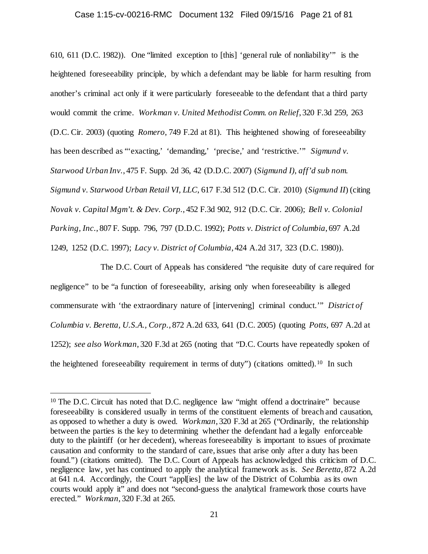### Case 1:15-cv-00216-RMC Document 132 Filed 09/15/16 Page 21 of 81

610, 611 (D.C. 1982)). One "limited exception to [this] 'general rule of nonliability'" is the heightened foreseeability principle, by which a defendant may be liable for harm resulting from another's criminal act only if it were particularly foreseeable to the defendant that a third party would commit the crime. *Workman v. United Methodist Comm. on Relief*, 320 F.3d 259, 263 (D.C. Cir. 2003) (quoting *Romero*, 749 F.2d at 81). This heightened showing of foreseeability has been described as "'exacting,' 'demanding,' 'precise,' and 'restrictive.'" *Sigmund v. Starwood Urban Inv.*, 475 F. Supp. 2d 36, 42 (D.D.C. 2007) (*Sigmund I)*, *aff'd sub nom. Sigmund v. Starwood Urban Retail VI, LLC*, 617 F.3d 512 (D.C. Cir. 2010) (*Sigmund II*) (citing *Novak v. Capital Mgm't. & Dev. Corp.*, 452 F.3d 902, 912 (D.C. Cir. 2006); *Bell v. Colonial Parking, Inc.*, 807 F. Supp. 796, 797 (D.D.C. 1992); *Potts v. District of Columbia*, 697 A.2d 1249, 1252 (D.C. 1997); *Lacy v. District of Columbia*, 424 A.2d 317, 323 (D.C. 1980)).

The D.C. Court of Appeals has considered "the requisite duty of care required for negligence" to be "a function of foreseeability, arising only when foreseeability is alleged commensurate with 'the extraordinary nature of [intervening] criminal conduct.'" *District of Columbia v. Beretta, U.S.A., Corp.*, 872 A.2d 633, 641 (D.C. 2005) (quoting *Potts*, 697 A.2d at 1252); *see also Workman*, 320 F.3d at 265 (noting that "D.C. Courts have repeatedly spoken of the heightened foreseeability requirement in terms of duty") (citations omitted).[10](#page-20-0) In such

<span id="page-20-0"></span><sup>&</sup>lt;sup>10</sup> The D.C. Circuit has noted that D.C. negligence law "might offend a doctrinaire" because foreseeability is considered usually in terms of the constituent elements of breach and causation, as opposed to whether a duty is owed. *Workman*, 320 F.3d at 265 ("Ordinarily, the relationship between the parties is the key to determining whether the defendant had a legally enforceable duty to the plaintiff (or her decedent), whereas foreseeability is important to issues of proximate causation and conformity to the standard of care, issues that arise only after a duty has been found.") (citations omitted). The D.C. Court of Appeals has acknowledged this criticism of D.C. negligence law, yet has continued to apply the analytical framework as is. *See Beretta*, 872 A.2d at 641 n.4. Accordingly, the Court "appl[ies] the law of the District of Columbia as its own courts would apply it" and does not "second-guess the analytical framework those courts have erected." *Workman*, 320 F.3d at 265.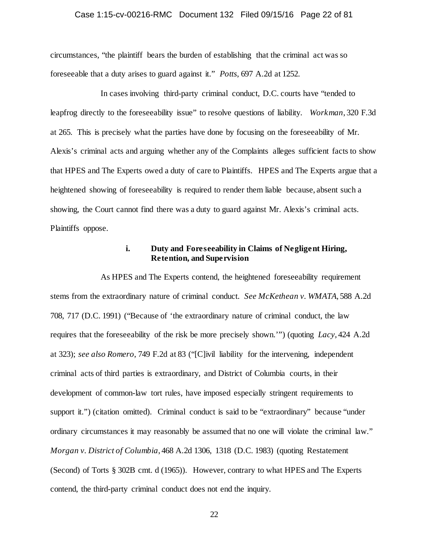### Case 1:15-cv-00216-RMC Document 132 Filed 09/15/16 Page 22 of 81

circumstances, "the plaintiff bears the burden of establishing that the criminal act was so foreseeable that a duty arises to guard against it." *Potts*, 697 A.2d at 1252.

In cases involving third-party criminal conduct, D.C. courts have "tended to leapfrog directly to the foreseeability issue" to resolve questions of liability. *Workman*, 320 F.3d at 265. This is precisely what the parties have done by focusing on the foreseeability of Mr. Alexis's criminal acts and arguing whether any of the Complaints alleges sufficient facts to show that HPES and The Experts owed a duty of care to Plaintiffs. HPES and The Experts argue that a heightened showing of foreseeability is required to render them liable because, absent such a showing, the Court cannot find there was a duty to guard against Mr. Alexis's criminal acts. Plaintiffs oppose.

# **i. Duty and Foreseeability in Claims of Negligent Hiring, Retention, and Supervision**

As HPES and The Experts contend, the heightened foreseeability requirement stems from the extraordinary nature of criminal conduct. *See McKethean v. WMATA*, 588 A.2d 708, 717 (D.C. 1991) ("Because of 'the extraordinary nature of criminal conduct, the law requires that the foreseeability of the risk be more precisely shown.'") (quoting *Lacy*, 424 A.2d at 323); *see also Romero*, 749 F.2d at 83 ("[C]ivil liability for the intervening, independent criminal acts of third parties is extraordinary, and District of Columbia courts, in their development of common-law tort rules, have imposed especially stringent requirements to support it.") (citation omitted). Criminal conduct is said to be "extraordinary" because "under ordinary circumstances it may reasonably be assumed that no one will violate the criminal law." *Morgan v. District of Columbia*, 468 A.2d 1306, 1318 (D.C. 1983) (quoting Restatement (Second) of Torts § 302B cmt. d (1965)). However, contrary to what HPES and The Experts contend, the third-party criminal conduct does not end the inquiry.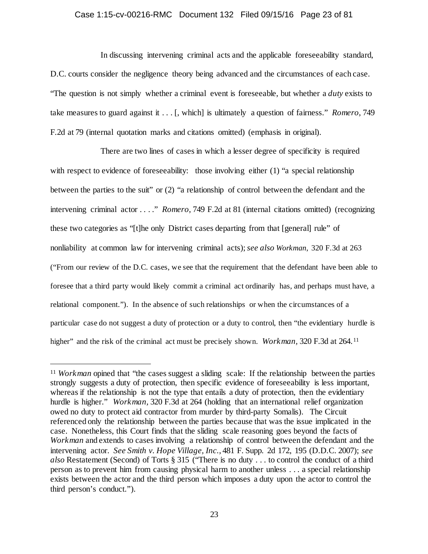#### Case 1:15-cv-00216-RMC Document 132 Filed 09/15/16 Page 23 of 81

In discussing intervening criminal acts and the applicable foreseeability standard, D.C. courts consider the negligence theory being advanced and the circumstances of each case. "The question is not simply whether a criminal event is foreseeable, but whether a *duty* exists to take measures to guard against it . . . [, which] is ultimately a question of fairness." *Romero*, 749 F.2d at 79 (internal quotation marks and citations omitted) (emphasis in original).

There are two lines of cases in which a lesser degree of specificity is required with respect to evidence of foreseeability: those involving either (1) "a special relationship between the parties to the suit" or (2) "a relationship of control between the defendant and the intervening criminal actor . . . ." *Romero*, 749 F.2d at 81 (internal citations omitted) (recognizing these two categories as "[t]he only District cases departing from that [general] rule" of nonliability at common law for intervening criminal acts); *see also Workman*, 320 F.3d at 263 ("From our review of the D.C. cases, we see that the requirement that the defendant have been able to foresee that a third party would likely commit a criminal act ordinarily has, and perhaps must have, a relational component."). In the absence of such relationships or when the circumstances of a particular case do not suggest a duty of protection or a duty to control, then "the evidentiary hurdle is higher" and the risk of the criminal act must be precisely shown. *Workman*, 320 F.3d at 264.<sup>[11](#page-22-0)</sup>

<span id="page-22-0"></span><sup>&</sup>lt;sup>11</sup> *Workman* opined that "the cases suggest a sliding scale: If the relationship between the parties strongly suggests a duty of protection, then specific evidence of foreseeability is less important, whereas if the relationship is not the type that entails a duty of protection, then the evidentiary hurdle is higher." *Workman,* 320 F.3d at 264 (holding that an international relief organization owed no duty to protect aid contractor from murder by third-party Somalis). The Circuit referenced only the relationship between the parties because that was the issue implicated in the case. Nonetheless, this Court finds that the sliding scale reasoning goes beyond the facts of *Workman* and extends to cases involving a relationship of control between the defendant and the intervening actor. *See Smith v. Hope Village, Inc.*, 481 F. Supp. 2d 172, 195 (D.D.C. 2007); *see also* Restatement (Second) of Torts § 315 ("There is no duty . . . to control the conduct of a third person as to prevent him from causing physical harm to another unless . . . a special relationship exists between the actor and the third person which imposes a duty upon the actor to control the third person's conduct.").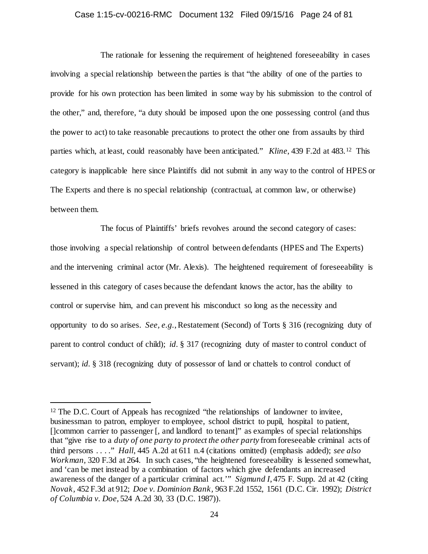#### Case 1:15-cv-00216-RMC Document 132 Filed 09/15/16 Page 24 of 81

The rationale for lessening the requirement of heightened foreseeability in cases involving a special relationship between the parties is that "the ability of one of the parties to provide for his own protection has been limited in some way by his submission to the control of the other," and, therefore, "a duty should be imposed upon the one possessing control (and thus the power to act) to take reasonable precautions to protect the other one from assaults by third parties which, at least, could reasonably have been anticipated." *Kline*, 439 F.2d at 483.[12](#page-23-0) This category is inapplicable here since Plaintiffs did not submit in any way to the control of HPES or The Experts and there is no special relationship (contractual, at common law, or otherwise) between them.

The focus of Plaintiffs' briefs revolves around the second category of cases: those involving a special relationship of control between defendants (HPES and The Experts) and the intervening criminal actor (Mr. Alexis). The heightened requirement of foreseeability is lessened in this category of cases because the defendant knows the actor, has the ability to control or supervise him, and can prevent his misconduct so long as the necessity and opportunity to do so arises. *See, e.g.*, Restatement (Second) of Torts § 316 (recognizing duty of parent to control conduct of child); *id.* § 317 (recognizing duty of master to control conduct of servant); *id.* § 318 (recognizing duty of possessor of land or chattels to control conduct of

<span id="page-23-0"></span><sup>&</sup>lt;sup>12</sup> The D.C. Court of Appeals has recognized "the relationships of landowner to invitee, businessman to patron, employer to employee, school district to pupil, hospital to patient, []common carrier to passenger [, and landlord to tenant]" as examples of special relationships that "give rise to a *duty of one party to protect the other party* from foreseeable criminal acts of third persons . . . ." *Hall*, 445 A.2d at 611 n.4 (citations omitted) (emphasis added); *see also Workman,* 320 F.3d at 264. In such cases, "the heightened foreseeability is lessened somewhat, and 'can be met instead by a combination of factors which give defendants an increased awareness of the danger of a particular criminal act.'" *Sigmund I*, 475 F. Supp. 2d at 42 (citing *Novak,* 452 F.3d at 912; *Doe v. Dominion Bank,* 963 F.2d 1552, 1561 (D.C. Cir. 1992); *District of Columbia v. Doe*, 524 A.2d 30, 33 (D.C. 1987)).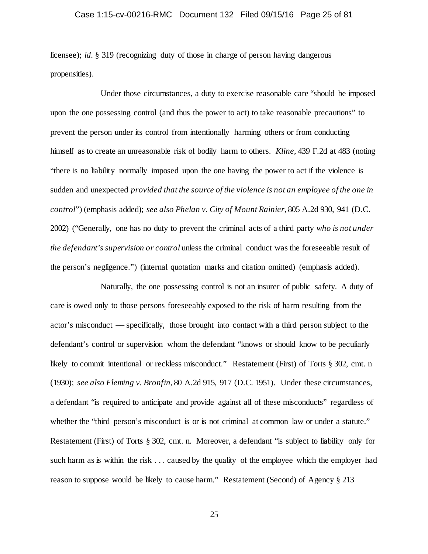### Case 1:15-cv-00216-RMC Document 132 Filed 09/15/16 Page 25 of 81

licensee); *id.* § 319 (recognizing duty of those in charge of person having dangerous propensities).

Under those circumstances, a duty to exercise reasonable care "should be imposed upon the one possessing control (and thus the power to act) to take reasonable precautions" to prevent the person under its control from intentionally harming others or from conducting himself as to create an unreasonable risk of bodily harm to others. *Kline*, 439 F.2d at 483 (noting "there is no liability normally imposed upon the one having the power to act if the violence is sudden and unexpected *provided that the source of the violence is not an employee of the one in control*") (emphasis added); *see also Phelan v. City of Mount Rainier*, 805 A.2d 930, 941 (D.C. 2002) ("Generally, one has no duty to prevent the criminal acts of a third party *who is not under the defendant's supervision or control* unless the criminal conduct was the foreseeable result of the person's negligence.") (internal quotation marks and citation omitted) (emphasis added).

Naturally, the one possessing control is not an insurer of public safety. A duty of care is owed only to those persons foreseeably exposed to the risk of harm resulting from the actor's misconduct –– specifically, those brought into contact with a third person subject to the defendant's control or supervision whom the defendant "knows or should know to be peculiarly likely to commit intentional or reckless misconduct." Restatement (First) of Torts § 302, cmt. n (1930); *see also Fleming v. Bronfin*, 80 A.2d 915, 917 (D.C. 1951). Under these circumstances, a defendant "is required to anticipate and provide against all of these misconducts" regardless of whether the "third person's misconduct is or is not criminal at common law or under a statute." Restatement (First) of Torts § 302, cmt. n. Moreover, a defendant "is subject to liability only for such harm as is within the risk . . . caused by the quality of the employee which the employer had reason to suppose would be likely to cause harm." Restatement (Second) of Agency § 213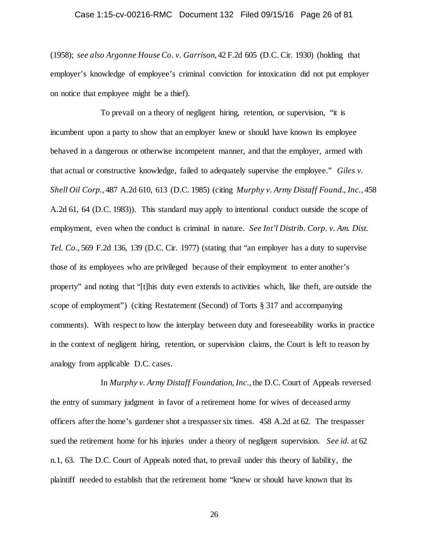#### Case 1:15-cv-00216-RMC Document 132 Filed 09/15/16 Page 26 of 81

(1958); *see also Argonne House Co. v. Garrison*, 42 F.2d 605 (D.C. Cir. 1930) (holding that employer's knowledge of employee's criminal conviction for intoxication did not put employer on notice that employee might be a thief).

To prevail on a theory of negligent hiring, retention, or supervision, "it is incumbent upon a party to show that an employer knew or should have known its employee behaved in a dangerous or otherwise incompetent manner, and that the employer, armed with that actual or constructive knowledge, failed to adequately supervise the employee." *Giles v. Shell Oil Corp.*, 487 A.2d 610, 613 (D.C. 1985) (citing *Murphy v. Army Distaff Found., Inc.*, 458 A.2d 61, 64 (D.C. 1983)). This standard may apply to intentional conduct outside the scope of employment, even when the conduct is criminal in nature. *See Int'l Distrib. Corp. v. Am. Dist. Tel. Co.*, 569 F.2d 136, 139 (D.C. Cir. 1977) (stating that "an employer has a duty to supervise those of its employees who are privileged because of their employment to enter another's property" and noting that "[t]his duty even extends to activities which, like theft, are outside the scope of employment") (citing Restatement (Second) of Torts § 317 and accompanying comments). With respect to how the interplay between duty and foreseeability works in practice in the context of negligent hiring, retention, or supervision claims, the Court is left to reason by analogy from applicable D.C. cases.

In *Murphy v. Army Distaff Foundation, Inc.*, the D.C. Court of Appeals reversed the entry of summary judgment in favor of a retirement home for wives of deceased army officers after the home's gardener shot a trespasser six times. 458 A.2d at 62. The trespasser sued the retirement home for his injuries under a theory of negligent supervision. *See id.* at 62 n.1, 63. The D.C. Court of Appeals noted that, to prevail under this theory of liability, the plaintiff needed to establish that the retirement home "knew or should have known that its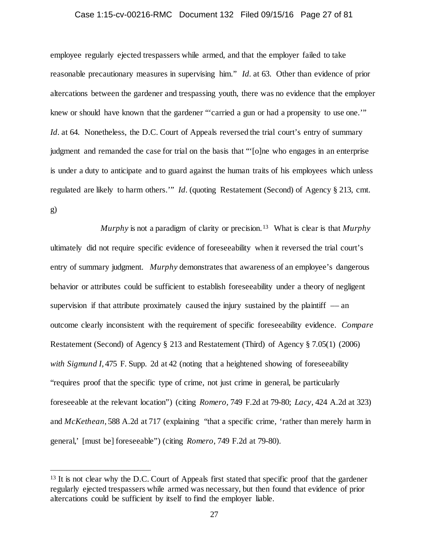### Case 1:15-cv-00216-RMC Document 132 Filed 09/15/16 Page 27 of 81

employee regularly ejected trespassers while armed, and that the employer failed to take reasonable precautionary measures in supervising him." *Id.* at 63. Other than evidence of prior altercations between the gardener and trespassing youth, there was no evidence that the employer knew or should have known that the gardener "'carried a gun or had a propensity to use one.'" *Id.* at 64. Nonetheless, the D.C. Court of Appeals reversed the trial court's entry of summary judgment and remanded the case for trial on the basis that "'[o]ne who engages in an enterprise is under a duty to anticipate and to guard against the human traits of his employees which unless regulated are likely to harm others.'" *Id.* (quoting Restatement (Second) of Agency § 213, cmt. g)

*Murphy* is not a paradigm of clarity or precision.[13](#page-26-0) What is clear is that *Murphy* ultimately did not require specific evidence of foreseeability when it reversed the trial court's entry of summary judgment. *Murphy* demonstrates that awareness of an employee's dangerous behavior or attributes could be sufficient to establish foreseeability under a theory of negligent supervision if that attribute proximately caused the injury sustained by the plaintiff  $-$  an outcome clearly inconsistent with the requirement of specific foreseeability evidence. *Compare*  Restatement (Second) of Agency § 213 and Restatement (Third) of Agency § 7.05(1) (2006) *with Sigmund I*, 475 F. Supp. 2d at 42 (noting that a heightened showing of foreseeability "requires proof that the specific type of crime, not just crime in general, be particularly foreseeable at the relevant location") (citing *Romero,* 749 F.2d at 79-80; *Lacy,* 424 A.2d at 323) and *McKethean*, 588 A.2d at 717 (explaining "that a specific crime, 'rather than merely harm in general,' [must be] foreseeable") (citing *Romero*, 749 F.2d at 79-80).

<span id="page-26-0"></span><sup>&</sup>lt;sup>13</sup> It is not clear why the D.C. Court of Appeals first stated that specific proof that the gardener regularly ejected trespassers while armed was necessary, but then found that evidence of prior altercations could be sufficient by itself to find the employer liable.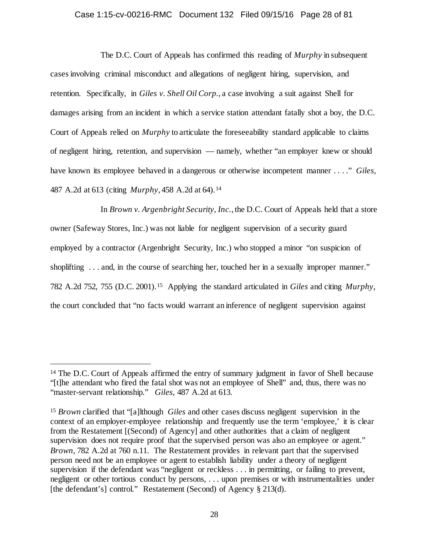### Case 1:15-cv-00216-RMC Document 132 Filed 09/15/16 Page 28 of 81

The D.C. Court of Appeals has confirmed this reading of *Murphy* in subsequent cases involving criminal misconduct and allegations of negligent hiring, supervision, and retention. Specifically, in *Giles v. Shell Oil Corp.*, a case involving a suit against Shell for damages arising from an incident in which a service station attendant fatally shot a boy, the D.C. Court of Appeals relied on *Murphy* to articulate the foreseeability standard applicable to claims of negligent hiring, retention, and supervision –– namely, whether "an employer knew or should have known its employee behaved in a dangerous or otherwise incompetent manner . . . ." *Giles*, 487 A.2d at 613 (citing *Murphy*, 458 A.2d at 64).[14](#page-27-0) 

In *Brown v. Argenbright Security, Inc.*, the D.C. Court of Appeals held that a store owner (Safeway Stores, Inc.) was not liable for negligent supervision of a security guard employed by a contractor (Argenbright Security, Inc.) who stopped a minor "on suspicion of shoplifting ... and, in the course of searching her, touched her in a sexually improper manner." 782 A.2d 752, 755 (D.C. 2001).[15](#page-27-1) Applying the standard articulated in *Giles* and citing *Murphy*, the court concluded that "no facts would warrant an inference of negligent supervision against

<span id="page-27-0"></span><sup>&</sup>lt;sup>14</sup> The D.C. Court of Appeals affirmed the entry of summary judgment in favor of Shell because "[t]he attendant who fired the fatal shot was not an employee of Shell" and, thus, there was no "master-servant relationship." *Giles*, 487 A.2d at 613.

<span id="page-27-1"></span><sup>15</sup> *Brown* clarified that "[a]lthough *Giles* and other cases discuss negligent supervision in the context of an employer-employee relationship and frequently use the term 'employee,' it is clear from the Restatement [(Second) of Agency] and other authorities that a claim of negligent supervision does not require proof that the supervised person was also an employee or agent." *Brown*, 782 A.2d at 760 n.11. The Restatement provides in relevant part that the supervised person need not be an employee or agent to establish liability under a theory of negligent supervision if the defendant was "negligent or reckless . . . in permitting, or failing to prevent, negligent or other tortious conduct by persons, . . . upon premises or with instrumentalities under [the defendant's] control." Restatement (Second) of Agency § 213(d).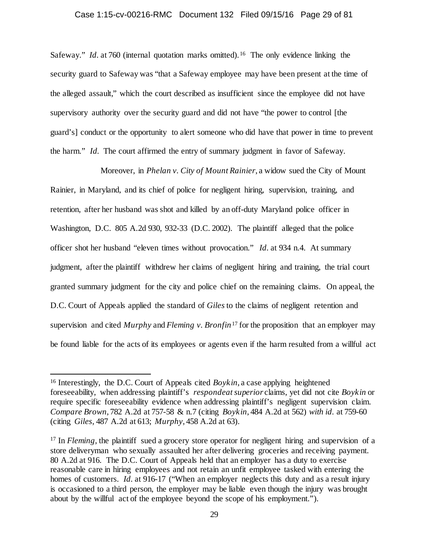### Case 1:15-cv-00216-RMC Document 132 Filed 09/15/16 Page 29 of 81

Safeway." *Id.* at 760 (internal quotation marks omitted).<sup>[16](#page-28-0)</sup> The only evidence linking the security guard to Safeway was "that a Safeway employee may have been present at the time of the alleged assault," which the court described as insufficient since the employee did not have supervisory authority over the security guard and did not have "the power to control [the guard's] conduct or the opportunity to alert someone who did have that power in time to prevent the harm." *Id.* The court affirmed the entry of summary judgment in favor of Safeway.

Moreover, in *Phelan v. City of Mount Rainier*, a widow sued the City of Mount Rainier, in Maryland, and its chief of police for negligent hiring, supervision, training, and retention, after her husband was shot and killed by an off-duty Maryland police officer in Washington, D.C. 805 A.2d 930, 932-33 (D.C. 2002). The plaintiff alleged that the police officer shot her husband "eleven times without provocation." *Id.* at 934 n.4. At summary judgment, after the plaintiff withdrew her claims of negligent hiring and training, the trial court granted summary judgment for the city and police chief on the remaining claims. On appeal, the D.C. Court of Appeals applied the standard of *Giles* to the claims of negligent retention and supervision and cited *Murphy* and *Fleming v. Bronfin*[17](#page-28-1) for the proposition that an employer may be found liable for the acts of its employees or agents even if the harm resulted from a willful act

<span id="page-28-0"></span><sup>&</sup>lt;sup>16</sup> Interestingly, the D.C. Court of Appeals cited *Boykin*, a case applying heightened foreseeability, when addressing plaintiff's *respondeat superior* claims, yet did not cite *Boykin* or require specific foreseeability evidence when addressing plaintiff's negligent supervision claim. *Compare Brown*, 782 A.2d at 757-58 & n.7 (citing *Boykin*, 484 A.2d at 562) *with id.* at 759-60 (citing *Giles*, 487 A.2d at 613; *Murphy*, 458 A.2d at 63).

<span id="page-28-1"></span><sup>&</sup>lt;sup>17</sup> In *Fleming*, the plaintiff sued a grocery store operator for negligent hiring and supervision of a store deliveryman who sexually assaulted her after delivering groceries and receiving payment. 80 A.2d at 916. The D.C. Court of Appeals held that an employer has a duty to exercise reasonable care in hiring employees and not retain an unfit employee tasked with entering the homes of customers. *Id.* at 916-17 ("When an employer neglects this duty and as a result injury is occasioned to a third person, the employer may be liable even though the injury was brought about by the willful act of the employee beyond the scope of his employment.").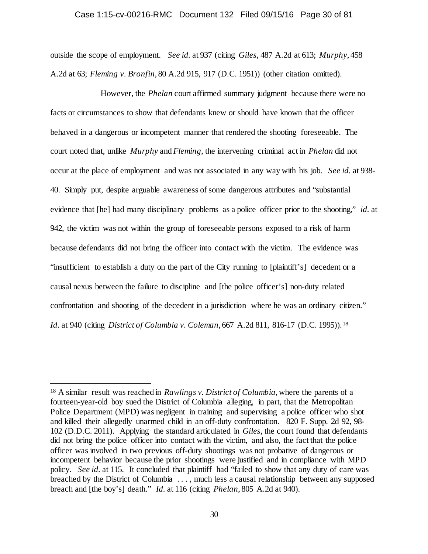#### Case 1:15-cv-00216-RMC Document 132 Filed 09/15/16 Page 30 of 81

outside the scope of employment. *See id.* at 937 (citing *Giles*, 487 A.2d at 613; *Murphy*, 458 A.2d at 63; *Fleming v. Bronfin*, 80 A.2d 915, 917 (D.C. 1951)) (other citation omitted).

However, the *Phelan* court affirmed summary judgment because there were no facts or circumstances to show that defendants knew or should have known that the officer behaved in a dangerous or incompetent manner that rendered the shooting foreseeable. The court noted that, unlike *Murphy* and *Fleming*, the intervening criminal act in *Phelan* did not occur at the place of employment and was not associated in any way with his job. *See id.* at 938- 40. Simply put, despite arguable awareness of some dangerous attributes and "substantial evidence that [he] had many disciplinary problems as a police officer prior to the shooting," *id.* at 942, the victim was not within the group of foreseeable persons exposed to a risk of harm because defendants did not bring the officer into contact with the victim. The evidence was "insufficient to establish a duty on the part of the City running to [plaintiff's] decedent or a causal nexus between the failure to discipline and [the police officer's] non-duty related confrontation and shooting of the decedent in a jurisdiction where he was an ordinary citizen." *Id.* at 940 (citing *District of Columbia v. Coleman*, 667 A.2d 811, 816-17 (D.C. 1995)). [18](#page-29-0)

<span id="page-29-0"></span> <sup>18</sup> A similar result was reached in *Rawlings v. District of Columbia*, where the parents of a fourteen-year-old boy sued the District of Columbia alleging, in part, that the Metropolitan Police Department (MPD) was negligent in training and supervising a police officer who shot and killed their allegedly unarmed child in an off-duty confrontation. 820 F. Supp. 2d 92, 98- 102 (D.D.C. 2011). Applying the standard articulated in *Giles*, the court found that defendants did not bring the police officer into contact with the victim, and also, the fact that the police officer was involved in two previous off-duty shootings was not probative of dangerous or incompetent behavior because the prior shootings were justified and in compliance with MPD policy. *See id.* at 115. It concluded that plaintiff had "failed to show that any duty of care was breached by the District of Columbia . . . , much less a causal relationship between any supposed breach and [the boy's] death." *Id.* at 116 (citing *Phelan*, 805 A.2d at 940).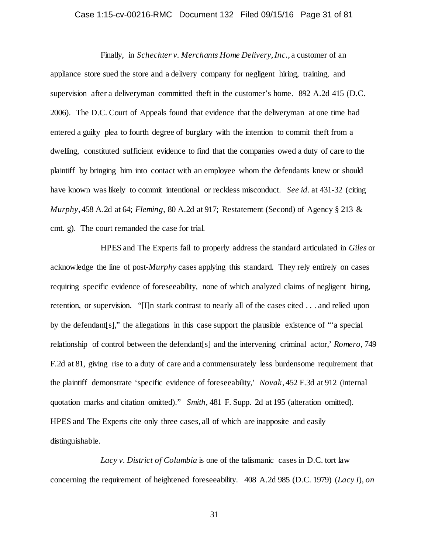### Case 1:15-cv-00216-RMC Document 132 Filed 09/15/16 Page 31 of 81

Finally, in *Schechter v. Merchants Home Delivery, Inc.*, a customer of an appliance store sued the store and a delivery company for negligent hiring, training, and supervision after a deliveryman committed theft in the customer's home. 892 A.2d 415 (D.C. 2006). The D.C. Court of Appeals found that evidence that the deliveryman at one time had entered a guilty plea to fourth degree of burglary with the intention to commit theft from a dwelling, constituted sufficient evidence to find that the companies owed a duty of care to the plaintiff by bringing him into contact with an employee whom the defendants knew or should have known was likely to commit intentional or reckless misconduct. *See id.* at 431-32 (citing *Murphy*, 458 A.2d at 64; *Fleming*, 80 A.2d at 917; Restatement (Second) of Agency § 213 & cmt. g). The court remanded the case for trial.

HPES and The Experts fail to properly address the standard articulated in *Giles* or acknowledge the line of post-*Murphy* cases applying this standard. They rely entirely on cases requiring specific evidence of foreseeability, none of which analyzed claims of negligent hiring, retention, or supervision. "[I]n stark contrast to nearly all of the cases cited . . . and relied upon by the defendant[s]," the allegations in this case support the plausible existence of "'a special relationship of control between the defendant[s] and the intervening criminal actor,' *Romero*, 749 F.2d at 81, giving rise to a duty of care and a commensurately less burdensome requirement that the plaintiff demonstrate 'specific evidence of foreseeability,' *Novak*, 452 F.3d at 912 (internal quotation marks and citation omitted)." *Smith*, 481 F. Supp. 2d at 195 (alteration omitted). HPES and The Experts cite only three cases, all of which are inapposite and easily distinguishable.

*Lacy v. District of Columbia* is one of the talismanic cases in D.C. tort law concerning the requirement of heightened foreseeability. 408 A.2d 985 (D.C. 1979) (*Lacy I*), *on*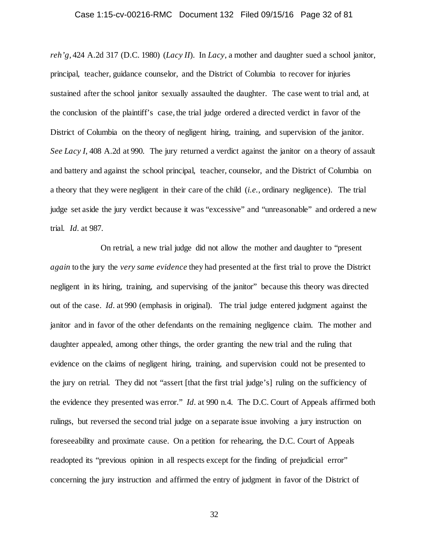### Case 1:15-cv-00216-RMC Document 132 Filed 09/15/16 Page 32 of 81

*reh'g*, 424 A.2d 317 (D.C. 1980) (*Lacy II*). In *Lacy*, a mother and daughter sued a school janitor, principal, teacher, guidance counselor, and the District of Columbia to recover for injuries sustained after the school janitor sexually assaulted the daughter. The case went to trial and, at the conclusion of the plaintiff's case, the trial judge ordered a directed verdict in favor of the District of Columbia on the theory of negligent hiring, training, and supervision of the janitor. *See Lacy I*, 408 A.2d at 990. The jury returned a verdict against the janitor on a theory of assault and battery and against the school principal, teacher, counselor, and the District of Columbia on a theory that they were negligent in their care of the child (*i.e.*, ordinary negligence). The trial judge set aside the jury verdict because it was "excessive" and "unreasonable" and ordered a new trial. *Id.* at 987.

On retrial, a new trial judge did not allow the mother and daughter to "present *again* to the jury the *very same evidence* they had presented at the first trial to prove the District negligent in its hiring, training, and supervising of the janitor" because this theory was directed out of the case. *Id.* at 990 (emphasis in original). The trial judge entered judgment against the janitor and in favor of the other defendants on the remaining negligence claim. The mother and daughter appealed, among other things, the order granting the new trial and the ruling that evidence on the claims of negligent hiring, training, and supervision could not be presented to the jury on retrial. They did not "assert [that the first trial judge's] ruling on the sufficiency of the evidence they presented was error." *Id.* at 990 n.4. The D.C. Court of Appeals affirmed both rulings, but reversed the second trial judge on a separate issue involving a jury instruction on foreseeability and proximate cause. On a petition for rehearing, the D.C. Court of Appeals readopted its "previous opinion in all respects except for the finding of prejudicial error" concerning the jury instruction and affirmed the entry of judgment in favor of the District of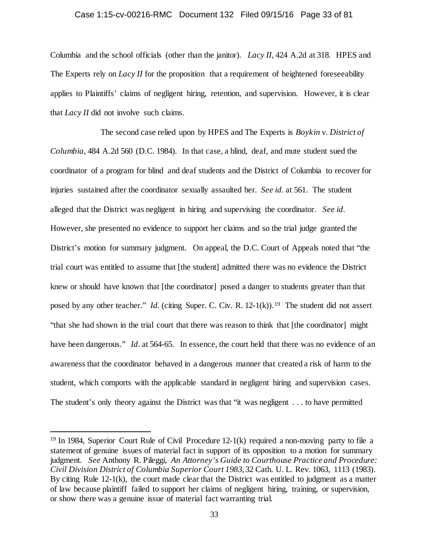#### Case 1:15-cv-00216-RMC Document 132 Filed 09/15/16 Page 33 of 81

Columbia and the school officials (other than the janitor). *Lacy II*, 424 A.2d at 318. HPES and The Experts rely on *Lacy II* for the proposition that a requirement of heightened foreseeability applies to Plaintiffs' claims of negligent hiring, retention, and supervision. However, it is clear that *Lacy II* did not involve such claims.

The second case relied upon by HPES and The Experts is *Boykin v. District of Columbia*, 484 A.2d 560 (D.C. 1984). In that case, a blind, deaf, and mute student sued the coordinator of a program for blind and deaf students and the District of Columbia to recover for injuries sustained after the coordinator sexually assaulted her. *See id.* at 561. The student alleged that the District was negligent in hiring and supervising the coordinator. *See id.* However, she presented no evidence to support her claims and so the trial judge granted the District's motion for summary judgment. On appeal, the D.C. Court of Appeals noted that "the trial court was entitled to assume that [the student] admitted there was no evidence the District knew or should have known that [the coordinator] posed a danger to students greater than that posed by any other teacher." *Id.* (citing Super. C. Civ. R. 12-1(k)).<sup>19</sup> The student did not assert "that she had shown in the trial court that there was reason to think that [the coordinator] might have been dangerous." *Id.* at 564-65. In essence, the court held that there was no evidence of an awareness that the coordinator behaved in a dangerous manner that created a risk of harm to the student, which comports with the applicable standard in negligent hiring and supervision cases. The student's only theory against the District was that "it was negligent . . . to have permitted

<span id="page-32-0"></span> <sup>19</sup> In 1984, Superior Court Rule of Civil Procedure 12-1(k) required a non-moving party to file a statement of genuine issues of material fact in support of its opposition to a motion for summary judgment. *See* Anthony R. Pileggi, *An Attorney's Guide to Courthouse Practice and Procedure: Civil Division District of Columbia Superior Court 1983*, 32 Cath. U. L. Rev. 1063, 1113 (1983). By citing Rule 12-1(k), the court made clear that the District was entitled to judgment as a matter of law because plaintiff failed to support her claims of negligent hiring, training, or supervision, or show there was a genuine issue of material fact warranting trial.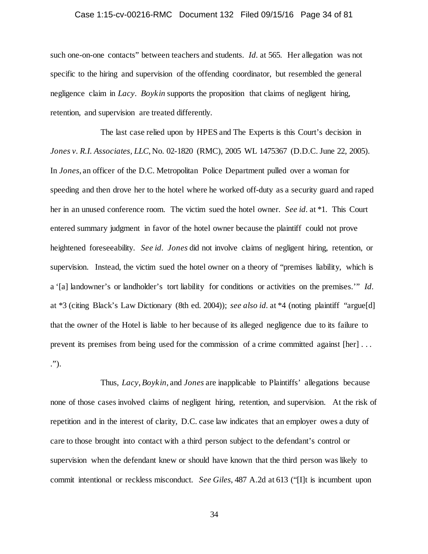### Case 1:15-cv-00216-RMC Document 132 Filed 09/15/16 Page 34 of 81

such one-on-one contacts" between teachers and students. *Id.* at 565. Her allegation was not specific to the hiring and supervision of the offending coordinator, but resembled the general negligence claim in *Lacy*. *Boykin* supports the proposition that claims of negligent hiring, retention, and supervision are treated differently.

The last case relied upon by HPES and The Experts is this Court's decision in *Jones v. R.I. Associates, LLC*, No. 02-1820 (RMC), 2005 WL 1475367 (D.D.C. June 22, 2005). In *Jones*, an officer of the D.C. Metropolitan Police Department pulled over a woman for speeding and then drove her to the hotel where he worked off-duty as a security guard and raped her in an unused conference room. The victim sued the hotel owner. *See id.* at \*1. This Court entered summary judgment in favor of the hotel owner because the plaintiff could not prove heightened foreseeability. *See id. Jones* did not involve claims of negligent hiring, retention, or supervision. Instead, the victim sued the hotel owner on a theory of "premises liability, which is a '[a] landowner's or landholder's tort liability for conditions or activities on the premises.'" *Id.* at \*3 (citing Black's Law Dictionary (8th ed. 2004)); *see also id.* at \*4 (noting plaintiff "argue[d] that the owner of the Hotel is liable to her because of its alleged negligence due to its failure to prevent its premises from being used for the commission of a crime committed against [her] . . . .").

Thus, *Lacy*, *Boykin*, and *Jones* are inapplicable to Plaintiffs' allegations because none of those cases involved claims of negligent hiring, retention, and supervision. At the risk of repetition and in the interest of clarity, D.C. case law indicates that an employer owes a duty of care to those brought into contact with a third person subject to the defendant's control or supervision when the defendant knew or should have known that the third person was likely to commit intentional or reckless misconduct. *See Giles*, 487 A.2d at 613 ("[I]t is incumbent upon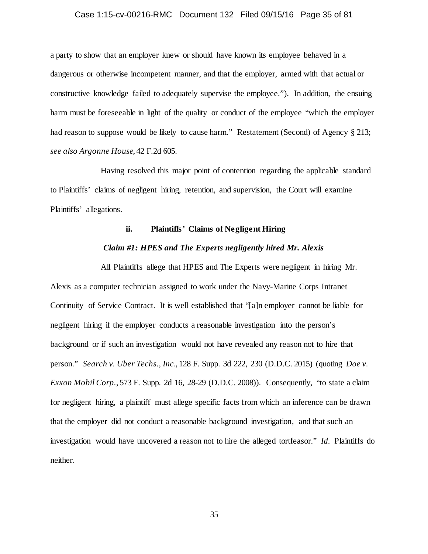### Case 1:15-cv-00216-RMC Document 132 Filed 09/15/16 Page 35 of 81

a party to show that an employer knew or should have known its employee behaved in a dangerous or otherwise incompetent manner, and that the employer, armed with that actual or constructive knowledge failed to adequately supervise the employee."). In addition, the ensuing harm must be foreseeable in light of the quality or conduct of the employee "which the employer had reason to suppose would be likely to cause harm." Restatement (Second) of Agency § 213; *see also Argonne House*, 42 F.2d 605.

Having resolved this major point of contention regarding the applicable standard to Plaintiffs' claims of negligent hiring, retention, and supervision, the Court will examine Plaintiffs' allegations.

### **ii. Plaintiffs' Claims of Negligent Hiring**

### *Claim #1: HPES and The Experts negligently hired Mr. Alexis*

All Plaintiffs allege that HPES and The Experts were negligent in hiring Mr. Alexis as a computer technician assigned to work under the Navy-Marine Corps Intranet Continuity of Service Contract. It is well established that "[a]n employer cannot be liable for negligent hiring if the employer conducts a reasonable investigation into the person's background or if such an investigation would not have revealed any reason not to hire that person." *Search v. Uber Techs., Inc.*, 128 F. Supp. 3d 222, 230 (D.D.C. 2015) (quoting *Doe v. Exxon Mobil Corp.*, 573 F. Supp. 2d 16, 28-29 (D.D.C. 2008)). Consequently, "to state a claim for negligent hiring, a plaintiff must allege specific facts from which an inference can be drawn that the employer did not conduct a reasonable background investigation, and that such an investigation would have uncovered a reason not to hire the alleged tortfeasor." *Id.* Plaintiffs do neither.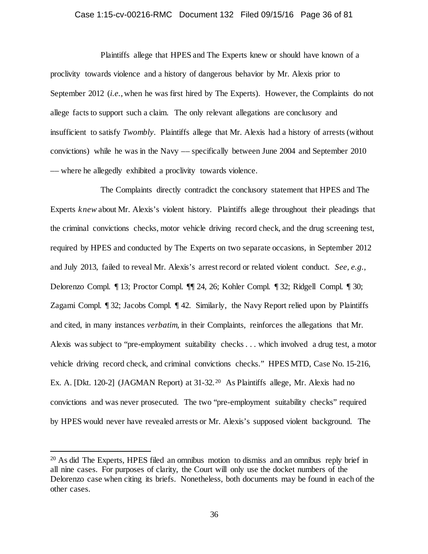#### Case 1:15-cv-00216-RMC Document 132 Filed 09/15/16 Page 36 of 81

Plaintiffs allege that HPES and The Experts knew or should have known of a proclivity towards violence and a history of dangerous behavior by Mr. Alexis prior to September 2012 (*i.e.*, when he was first hired by The Experts). However, the Complaints do not allege facts to support such a claim. The only relevant allegations are conclusory and insufficient to satisfy *Twombly*. Plaintiffs allege that Mr. Alexis had a history of arrests (without convictions) while he was in the Navy –– specifically between June 2004 and September 2010 –– where he allegedly exhibited a proclivity towards violence.

The Complaints directly contradict the conclusory statement that HPES and The Experts *knew* about Mr. Alexis's violent history. Plaintiffs allege throughout their pleadings that the criminal convictions checks, motor vehicle driving record check, and the drug screening test, required by HPES and conducted by The Experts on two separate occasions, in September 2012 and July 2013, failed to reveal Mr. Alexis's arrest record or related violent conduct. *See, e.g.*, Delorenzo Compl. ¶ 13; Proctor Compl. ¶¶ 24, 26; Kohler Compl. ¶ 32; Ridgell Compl. ¶ 30; Zagami Compl. ¶ 32; Jacobs Compl. ¶ 42. Similarly, the Navy Report relied upon by Plaintiffs and cited, in many instances *verbatim*, in their Complaints, reinforces the allegations that Mr. Alexis was subject to "pre-employment suitability checks . . . which involved a drug test, a motor vehicle driving record check, and criminal convictions checks." HPES MTD, Case No. 15-216, Ex. A. [Dkt. 1[20](#page-35-0)-2] (JAGMAN Report) at 31-32.<sup>20</sup> As Plaintiffs allege, Mr. Alexis had no convictions and was never prosecuted. The two "pre-employment suitability checks" required by HPES would never have revealed arrests or Mr. Alexis's supposed violent background. The

<span id="page-35-0"></span> <sup>20</sup> As did The Experts, HPES filed an omnibus motion to dismiss and an omnibus reply brief in all nine cases. For purposes of clarity, the Court will only use the docket numbers of the Delorenzo case when citing its briefs. Nonetheless, both documents may be found in each of the other cases.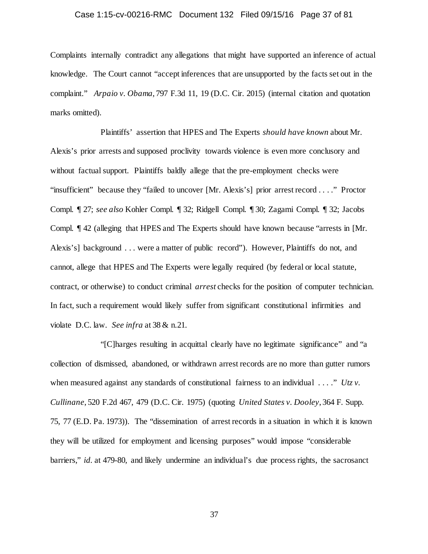# Case 1:15-cv-00216-RMC Document 132 Filed 09/15/16 Page 37 of 81

Complaints internally contradict any allegations that might have supported an inference of actual knowledge. The Court cannot "accept inferences that are unsupported by the facts set out in the complaint." *Arpaio v. Obama*, 797 F.3d 11, 19 (D.C. Cir. 2015) (internal citation and quotation marks omitted).

Plaintiffs' assertion that HPES and The Experts *should have known* about Mr. Alexis's prior arrests and supposed proclivity towards violence is even more conclusory and without factual support. Plaintiffs baldly allege that the pre-employment checks were "insufficient" because they "failed to uncover [Mr. Alexis's] prior arrest record . . . ." Proctor Compl. ¶ 27; *see also* Kohler Compl. ¶ 32; Ridgell Compl. ¶ 30; Zagami Compl. ¶ 32; Jacobs Compl. ¶ 42 (alleging that HPES and The Experts should have known because "arrests in [Mr. Alexis's] background . . . were a matter of public record"). However, Plaintiffs do not, and cannot, allege that HPES and The Experts were legally required (by federal or local statute, contract, or otherwise) to conduct criminal *arrest* checks for the position of computer technician. In fact, such a requirement would likely suffer from significant constitutional infirmities and violate D.C. law. *See infra* at 38 & n.21.

"[C]harges resulting in acquittal clearly have no legitimate significance" and "a collection of dismissed, abandoned, or withdrawn arrest records are no more than gutter rumors when measured against any standards of constitutional fairness to an individual . . . ." *Utz v*. *Cullinane*, 520 F.2d 467, 479 (D.C. Cir. 1975) (quoting *United States v. Dooley*, 364 F. Supp. 75, 77 (E.D. Pa. 1973)). The "dissemination of arrest records in a situation in which it is known they will be utilized for employment and licensing purposes" would impose "considerable barriers," *id.* at 479-80, and likely undermine an individual's due process rights, the sacrosanct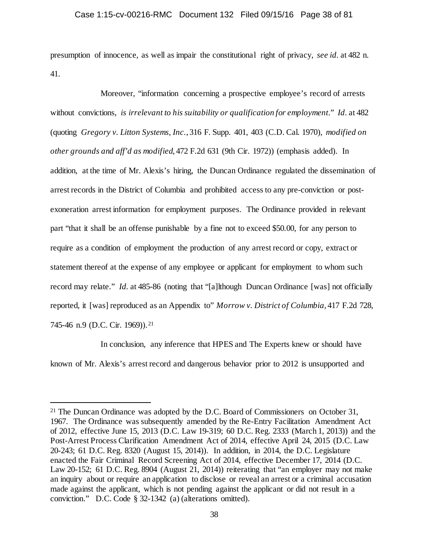presumption of innocence, as well as impair the constitutional right of privacy, *see id.* at 482 n. 41.

Moreover, "information concerning a prospective employee's record of arrests without convictions, *is irrelevant to his suitability or qualification for employment*." *Id.* at 482 (quoting *Gregory v. Litton Systems, Inc.*, 316 F. Supp. 401, 403 (C.D. Cal. 1970), *modified on other grounds and aff'd as modified*, 472 F.2d 631 (9th Cir. 1972)) (emphasis added). In addition, at the time of Mr. Alexis's hiring, the Duncan Ordinance regulated the dissemination of arrest records in the District of Columbia and prohibited access to any pre-conviction or postexoneration arrest information for employment purposes. The Ordinance provided in relevant part "that it shall be an offense punishable by a fine not to exceed \$50.00, for any person to require as a condition of employment the production of any arrest record or copy, extract or statement thereof at the expense of any employee or applicant for employment to whom such record may relate." *Id.* at 485-86 (noting that "[a]lthough Duncan Ordinance [was] not officially reported, it [was] reproduced as an Appendix to" *Morrow v. District of Columbia*, 417 F.2d 728, 745-46 n.9 (D.C. Cir. 1969)).<sup>[21](#page-37-0)</sup>

In conclusion, any inference that HPES and The Experts knew or should have known of Mr. Alexis's arrest record and dangerous behavior prior to 2012 is unsupported and

<span id="page-37-0"></span><sup>&</sup>lt;sup>21</sup> The Duncan Ordinance was adopted by the D.C. Board of Commissioners on October 31, 1967. The Ordinance was subsequently amended by the Re-Entry Facilitation Amendment Act of 2012, effective June 15, 2013 (D.C. Law 19-319; 60 D.C. Reg. 2333 (March 1, 2013)) and the Post-Arrest Process Clarification Amendment Act of 2014, effective April 24, 2015 (D.C. Law 20-243; 61 D.C. Reg. 8320 (August 15, 2014)). In addition, in 2014, the D.C. Legislature enacted the Fair Criminal Record Screening Act of 2014, effective December 17, 2014 (D.C. Law 20-152; 61 D.C. Reg. 8904 (August 21, 2014)) reiterating that "an employer may not make an inquiry about or require an application to disclose or reveal an arrest or a criminal accusation made against the applicant, which is not pending against the applicant or did not result in a conviction." D.C. Code § 32-1342 (a) (alterations omitted).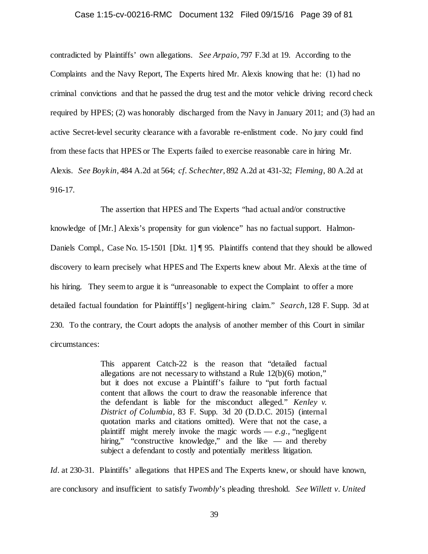## Case 1:15-cv-00216-RMC Document 132 Filed 09/15/16 Page 39 of 81

contradicted by Plaintiffs' own allegations. *See Arpaio*, 797 F.3d at 19. According to the Complaints and the Navy Report, The Experts hired Mr. Alexis knowing that he: (1) had no criminal convictions and that he passed the drug test and the motor vehicle driving record check required by HPES; (2) was honorably discharged from the Navy in January 2011; and (3) had an active Secret-level security clearance with a favorable re-enlistment code. No jury could find from these facts that HPES or The Experts failed to exercise reasonable care in hiring Mr. Alexis. *See Boykin*, 484 A.2d at 564; *cf. Schechter*, 892 A.2d at 431-32; *Fleming*, 80 A.2d at 916-17.

The assertion that HPES and The Experts "had actual and/or constructive knowledge of [Mr.] Alexis's propensity for gun violence" has no factual support. Halmon-Daniels Compl., Case No. 15-1501 [Dkt. 1] ¶ 95. Plaintiffs contend that they should be allowed discovery to learn precisely what HPES and The Experts knew about Mr. Alexis at the time of his hiring. They seem to argue it is "unreasonable to expect the Complaint to offer a more detailed factual foundation for Plaintiff[s'] negligent-hiring claim." *Search*, 128 F. Supp. 3d at 230. To the contrary, the Court adopts the analysis of another member of this Court in similar circumstances:

> This apparent Catch-22 is the reason that "detailed factual allegations are not necessary to withstand a Rule 12(b)(6) motion," but it does not excuse a Plaintiff's failure to "put forth factual content that allows the court to draw the reasonable inference that the defendant is liable for the misconduct alleged." *Kenley v. District of Columbia,* 83 F. Supp. 3d 20 (D.D.C. 2015) (internal quotation marks and citations omitted). Were that not the case, a plaintiff might merely invoke the magic words  $-e.g.,$  "negligent" hiring," "constructive knowledge," and the like — and thereby subject a defendant to costly and potentially meritless litigation.

*Id.* at 230-31. Plaintiffs' allegations that HPES and The Experts knew, or should have known, are conclusory and insufficient to satisfy *Twombly*'s pleading threshold. *See Willett v. United*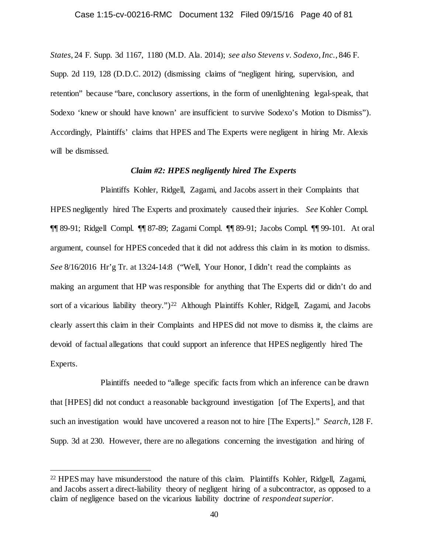*States*, 24 F. Supp. 3d 1167, 1180 (M.D. Ala. 2014); *see also Stevens v. Sodexo, Inc.*, 846 F. Supp. 2d 119, 128 (D.D.C. 2012) (dismissing claims of "negligent hiring, supervision, and retention" because "bare, conclusory assertions, in the form of unenlightening legal-speak, that Sodexo 'knew or should have known' are insufficient to survive Sodexo's Motion to Dismiss"). Accordingly, Plaintiffs' claims that HPES and The Experts were negligent in hiring Mr. Alexis will be dismissed.

# *Claim #2: HPES negligently hired The Experts*

Plaintiffs Kohler, Ridgell, Zagami, and Jacobs assert in their Complaints that HPES negligently hired The Experts and proximately caused their injuries. *See* Kohler Compl. ¶¶ 89-91; Ridgell Compl. ¶¶ 87-89; Zagami Compl. ¶¶ 89-91; Jacobs Compl. ¶¶ 99-101. At oral argument, counsel for HPES conceded that it did not address this claim in its motion to dismiss. *See* 8/16/2016 Hr'g Tr. at 13:24-14:8 ("Well, Your Honor, I didn't read the complaints as making an argument that HP was responsible for anything that The Experts did or didn't do and sort of a vicarious liability theory.")<sup>22</sup> Although Plaintiffs Kohler, Ridgell, Zagami, and Jacobs clearly assert this claim in their Complaints and HPES did not move to dismiss it, the claims are devoid of factual allegations that could support an inference that HPES negligently hired The Experts.

Plaintiffs needed to "allege specific facts from which an inference can be drawn that [HPES] did not conduct a reasonable background investigation [of The Experts], and that such an investigation would have uncovered a reason not to hire [The Experts]." *Search*, 128 F. Supp. 3d at 230. However, there are no allegations concerning the investigation and hiring of

<span id="page-39-0"></span> <sup>22</sup> HPES may have misunderstood the nature of this claim. Plaintiffs Kohler, Ridgell, Zagami, and Jacobs assert a direct-liability theory of negligent hiring of a subcontractor, as opposed to a claim of negligence based on the vicarious liability doctrine of *respondeat superior*.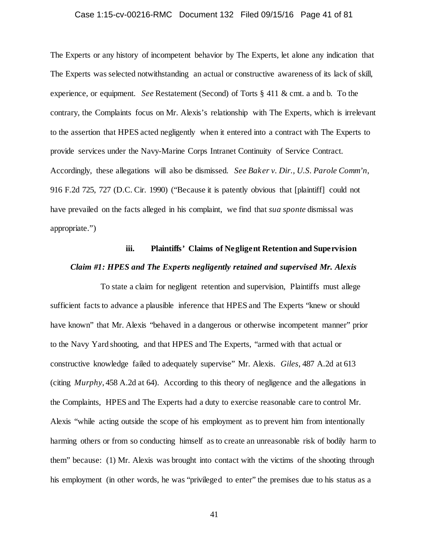## Case 1:15-cv-00216-RMC Document 132 Filed 09/15/16 Page 41 of 81

The Experts or any history of incompetent behavior by The Experts, let alone any indication that The Experts was selected notwithstanding an actual or constructive awareness of its lack of skill, experience, or equipment. *See* Restatement (Second) of Torts § 411 & cmt. a and b. To the contrary, the Complaints focus on Mr. Alexis's relationship with The Experts, which is irrelevant to the assertion that HPES acted negligently when it entered into a contract with The Experts to provide services under the Navy-Marine Corps Intranet Continuity of Service Contract. Accordingly, these allegations will also be dismissed. *See Baker v. Dir., U.S. Parole Comm'n*, 916 F.2d 725, 727 (D.C. Cir. 1990) ("Because it is patently obvious that [plaintiff] could not have prevailed on the facts alleged in his complaint, we find that *sua sponte* dismissal was appropriate.")

# **iii. Plaintiffs' Claims of Negligent Retention and Supervision** *Claim #1: HPES and The Experts negligently retained and supervised Mr. Alexis*

To state a claim for negligent retention and supervision, Plaintiffs must allege sufficient facts to advance a plausible inference that HPES and The Experts "knew or should have known" that Mr. Alexis "behaved in a dangerous or otherwise incompetent manner" prior to the Navy Yard shooting, and that HPES and The Experts, "armed with that actual or constructive knowledge failed to adequately supervise" Mr. Alexis. *Giles*, 487 A.2d at 613 (citing *Murphy*, 458 A.2d at 64). According to this theory of negligence and the allegations in the Complaints, HPES and The Experts had a duty to exercise reasonable care to control Mr. Alexis "while acting outside the scope of his employment as to prevent him from intentionally harming others or from so conducting himself as to create an unreasonable risk of bodily harm to them" because: (1) Mr. Alexis was brought into contact with the victims of the shooting through his employment (in other words, he was "privileged to enter" the premises due to his status as a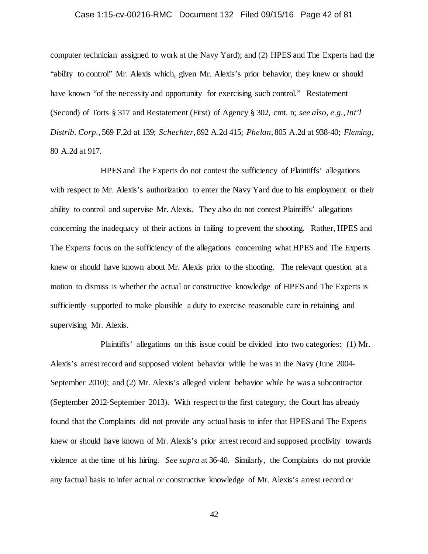# Case 1:15-cv-00216-RMC Document 132 Filed 09/15/16 Page 42 of 81

computer technician assigned to work at the Navy Yard); and (2) HPES and The Experts had the "ability to control" Mr. Alexis which, given Mr. Alexis's prior behavior, they knew or should have known "of the necessity and opportunity for exercising such control." Restatement (Second) of Torts § 317 and Restatement (First) of Agency § 302, cmt. n; *see also, e.g.*,*Int'l Distrib. Corp.*, 569 F.2d at 139; *Schechter*, 892 A.2d 415; *Phelan*, 805 A.2d at 938-40; *Fleming*, 80 A.2d at 917.

HPES and The Experts do not contest the sufficiency of Plaintiffs' allegations with respect to Mr. Alexis's authorization to enter the Navy Yard due to his employment or their ability to control and supervise Mr. Alexis. They also do not contest Plaintiffs' allegations concerning the inadequacy of their actions in failing to prevent the shooting. Rather, HPES and The Experts focus on the sufficiency of the allegations concerning what HPES and The Experts knew or should have known about Mr. Alexis prior to the shooting. The relevant question at a motion to dismiss is whether the actual or constructive knowledge of HPES and The Experts is sufficiently supported to make plausible a duty to exercise reasonable care in retaining and supervising Mr. Alexis.

Plaintiffs' allegations on this issue could be divided into two categories: (1) Mr. Alexis's arrest record and supposed violent behavior while he was in the Navy (June 2004- September 2010); and (2) Mr. Alexis's alleged violent behavior while he was a subcontractor (September 2012-September 2013). With respect to the first category, the Court has already found that the Complaints did not provide any actual basis to infer that HPES and The Experts knew or should have known of Mr. Alexis's prior arrest record and supposed proclivity towards violence at the time of his hiring. *See supra* at 36-40. Similarly, the Complaints do not provide any factual basis to infer actual or constructive knowledge of Mr. Alexis's arrest record or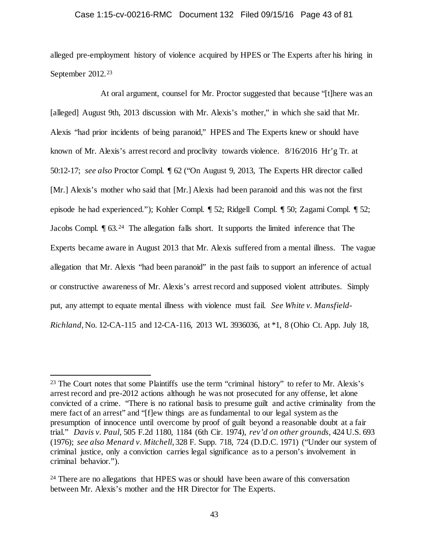## Case 1:15-cv-00216-RMC Document 132 Filed 09/15/16 Page 43 of 81

alleged pre-employment history of violence acquired by HPES or The Experts after his hiring in September 2012.<sup>[23](#page-42-0)</sup>

At oral argument, counsel for Mr. Proctor suggested that because "[t]here was an [alleged] August 9th, 2013 discussion with Mr. Alexis's mother," in which she said that Mr. Alexis "had prior incidents of being paranoid," HPES and The Experts knew or should have known of Mr. Alexis's arrest record and proclivity towards violence. 8/16/2016 Hr'g Tr. at 50:12-17; *see also* Proctor Compl. ¶ 62 ("On August 9, 2013, The Experts HR director called [Mr.] Alexis's mother who said that [Mr.] Alexis had been paranoid and this was not the first episode he had experienced."); Kohler Compl. ¶ 52; Ridgell Compl. ¶ 50; Zagami Compl. ¶ 52; Jacobs Compl. ¶ 63.[24](#page-42-1) The allegation falls short. It supports the limited inference that The Experts became aware in August 2013 that Mr. Alexis suffered from a mental illness. The vague allegation that Mr. Alexis "had been paranoid" in the past fails to support an inference of actual or constructive awareness of Mr. Alexis's arrest record and supposed violent attributes. Simply put, any attempt to equate mental illness with violence must fail. *See White v. Mansfield-Richland*, No. 12-CA-115 and 12-CA-116, 2013 WL 3936036, at \*1, 8 (Ohio Ct. App. July 18,

<span id="page-42-0"></span><sup>&</sup>lt;sup>23</sup> The Court notes that some Plaintiffs use the term "criminal history" to refer to Mr. Alexis's arrest record and pre-2012 actions although he was not prosecuted for any offense, let alone convicted of a crime. "There is no rational basis to presume guilt and active criminality from the mere fact of an arrest" and "[f]ew things are as fundamental to our legal system as the presumption of innocence until overcome by proof of guilt beyond a reasonable doubt at a fair trial." *Davis v. Paul*, 505 F.2d 1180, 1184 (6th Cir. 1974), *rev'd on other grounds,* 424 U.S. 693 (1976); *see also Menard v. Mitchell*, 328 F. Supp. 718, 724 (D.D.C. 1971) ("Under our system of criminal justice, only a conviction carries legal significance as to a person's involvement in criminal behavior.").

<span id="page-42-1"></span><sup>&</sup>lt;sup>24</sup> There are no allegations that HPES was or should have been aware of this conversation between Mr. Alexis's mother and the HR Director for The Experts.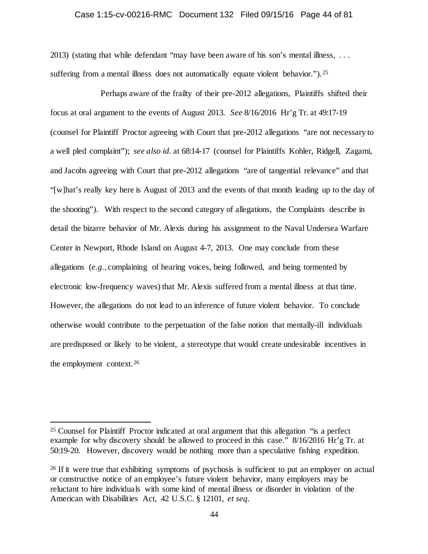## Case 1:15-cv-00216-RMC Document 132 Filed 09/15/16 Page 44 of 81

2013) (stating that while defendant "may have been aware of his son's mental illness, . . . suffering from a mental illness does not automatically equate violent behavior."). <sup>25</sup>

Perhaps aware of the frailty of their pre-2012 allegations, Plaintiffs shifted their focus at oral argument to the events of August 2013. *See* 8/16/2016 Hr'g Tr. at 49:17-19 (counsel for Plaintiff Proctor agreeing with Court that pre-2012 allegations "are not necessary to a well pled complaint"); *see also id.* at 68:14-17 (counsel for Plaintiffs Kohler, Ridgell, Zagami, and Jacobs agreeing with Court that pre-2012 allegations "are of tangential relevance" and that "[w]hat's really key here is August of 2013 and the events of that month leading up to the day of the shooting"). With respect to the second category of allegations, the Complaints describe in detail the bizarre behavior of Mr. Alexis during his assignment to the Naval Undersea Warfare Center in Newport, Rhode Island on August 4-7, 2013. One may conclude from these allegations (*e.g.*, complaining of hearing voices, being followed, and being tormented by electronic low-frequency waves) that Mr. Alexis suffered from a mental illness at that time. However, the allegations do not lead to an inference of future violent behavior. To conclude otherwise would contribute to the perpetuation of the false notion that mentally-ill individuals are predisposed or likely to be violent, a stereotype that would create undesirable incentives in the employment context.[26](#page-43-1)

<span id="page-43-0"></span> <sup>25</sup> Counsel for Plaintiff Proctor indicated at oral argument that this allegation "is a perfect example for why discovery should be allowed to proceed in this case." 8/16/2016 Hr'g Tr. at 50:19-20. However, discovery would be nothing more than a speculative fishing expedition.

<span id="page-43-1"></span><sup>&</sup>lt;sup>26</sup> If it were true that exhibiting symptoms of psychosis is sufficient to put an employer on actual or constructive notice of an employee's future violent behavior, many employers may be reluctant to hire individuals with some kind of mental illness or disorder in violation of the American with Disabilities Act, 42 U.S.C. § 12101, *et seq.*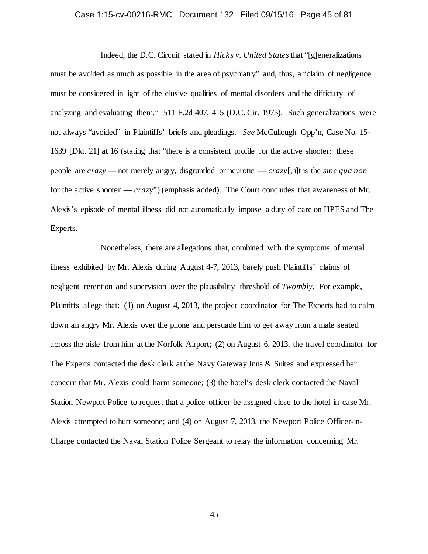# Case 1:15-cv-00216-RMC Document 132 Filed 09/15/16 Page 45 of 81

Indeed, the D.C. Circuit stated in *Hicks v. United States* that "[g]eneralizations must be avoided as much as possible in the area of psychiatry" and, thus, a "claim of negligence must be considered in light of the elusive qualities of mental disorders and the difficulty of analyzing and evaluating them." 511 F.2d 407, 415 (D.C. Cir. 1975). Such generalizations were not always "avoided" in Plaintiffs' briefs and pleadings. *See* McCullough Opp'n, Case No. 15- 1639 [Dkt. 21] at 16 (stating that "there is a consistent profile for the active shooter: these people are *crazy* — not merely angry, disgruntled or neurotic — *crazy*[; i]t is the *sine qua non*  for the active shooter — *crazy*") (emphasis added). The Court concludes that awareness of Mr. Alexis's episode of mental illness did not automatically impose a duty of care on HPES and The Experts.

Nonetheless, there are allegations that, combined with the symptoms of mental illness exhibited by Mr. Alexis during August 4-7, 2013, barely push Plaintiffs' claims of negligent retention and supervision over the plausibility threshold of *Twombly*. For example, Plaintiffs allege that: (1) on August 4, 2013, the project coordinator for The Experts had to calm down an angry Mr. Alexis over the phone and persuade him to get away from a male seated across the aisle from him at the Norfolk Airport; (2) on August 6, 2013, the travel coordinator for The Experts contacted the desk clerk at the Navy Gateway Inns & Suites and expressed her concern that Mr. Alexis could harm someone; (3) the hotel's desk clerk contacted the Naval Station Newport Police to request that a police officer be assigned close to the hotel in case Mr. Alexis attempted to hurt someone; and (4) on August 7, 2013, the Newport Police Officer-in-Charge contacted the Naval Station Police Sergeant to relay the information concerning Mr.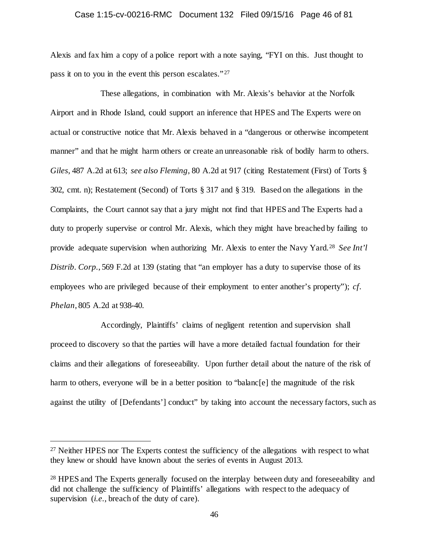## Case 1:15-cv-00216-RMC Document 132 Filed 09/15/16 Page 46 of 81

Alexis and fax him a copy of a police report with a note saying, "FYI on this. Just thought to pass it on to you in the event this person escalates."<sup>[27](#page-45-0)</sup>

These allegations, in combination with Mr. Alexis's behavior at the Norfolk Airport and in Rhode Island, could support an inference that HPES and The Experts were on actual or constructive notice that Mr. Alexis behaved in a "dangerous or otherwise incompetent manner" and that he might harm others or create an unreasonable risk of bodily harm to others. *Giles*, 487 A.2d at 613; *see also Fleming*, 80 A.2d at 917 (citing Restatement (First) of Torts § 302, cmt. n); Restatement (Second) of Torts § 317 and § 319. Based on the allegations in the Complaints, the Court cannot say that a jury might not find that HPES and The Experts had a duty to properly supervise or control Mr. Alexis, which they might have breached by failing to provide adequate supervision when authorizing Mr. Alexis to enter the Navy Yard.[28](#page-45-1) *See Int'l Distrib. Corp.*, 569 F.2d at 139 (stating that "an employer has a duty to supervise those of its employees who are privileged because of their employment to enter another's property"); *cf. Phelan*, 805 A.2d at 938-40.

Accordingly, Plaintiffs' claims of negligent retention and supervision shall proceed to discovery so that the parties will have a more detailed factual foundation for their claims and their allegations of foreseeability. Upon further detail about the nature of the risk of harm to others, everyone will be in a better position to "balanc[e] the magnitude of the risk against the utility of [Defendants'] conduct" by taking into account the necessary factors, such as

<span id="page-45-0"></span><sup>&</sup>lt;sup>27</sup> Neither HPES nor The Experts contest the sufficiency of the allegations with respect to what they knew or should have known about the series of events in August 2013.

<span id="page-45-1"></span><sup>&</sup>lt;sup>28</sup> HPES and The Experts generally focused on the interplay between duty and foreseeability and did not challenge the sufficiency of Plaintiffs' allegations with respect to the adequacy of supervision (*i.e.*, breach of the duty of care).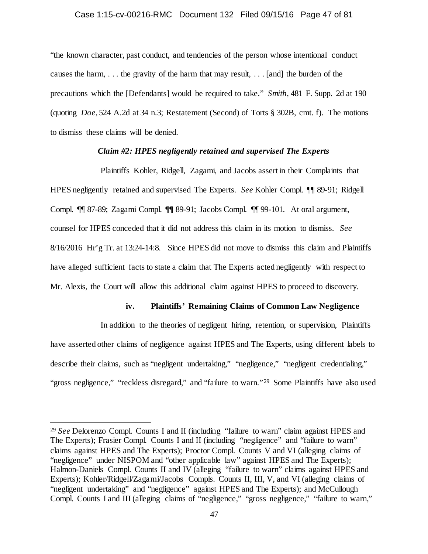## Case 1:15-cv-00216-RMC Document 132 Filed 09/15/16 Page 47 of 81

"the known character, past conduct, and tendencies of the person whose intentional conduct causes the harm, . . . the gravity of the harm that may result, . . . [and] the burden of the precautions which the [Defendants] would be required to take." *Smith*, 481 F. Supp. 2d at 190 (quoting *Doe*, 524 A.2d at 34 n.3; Restatement (Second) of Torts § 302B, cmt. f). The motions to dismiss these claims will be denied.

# *Claim #2: HPES negligently retained and supervised The Experts*

Plaintiffs Kohler, Ridgell, Zagami, and Jacobs assert in their Complaints that HPES negligently retained and supervised The Experts. *See* Kohler Compl. ¶¶ 89-91; Ridgell Compl. ¶¶ 87-89; Zagami Compl. ¶¶ 89-91; Jacobs Compl. ¶¶ 99-101. At oral argument, counsel for HPES conceded that it did not address this claim in its motion to dismiss. *See*  8/16/2016 Hr'g Tr. at 13:24-14:8. Since HPES did not move to dismiss this claim and Plaintiffs have alleged sufficient facts to state a claim that The Experts acted negligently with respect to Mr. Alexis, the Court will allow this additional claim against HPES to proceed to discovery.

# **iv. Plaintiffs' Remaining Claims of Common Law Negligence**

In addition to the theories of negligent hiring, retention, or supervision, Plaintiffs have asserted other claims of negligence against HPES and The Experts, using different labels to describe their claims, such as "negligent undertaking," "negligence," "negligent credentialing," "gross negligence," "reckless disregard," and "failure to warn."<sup>29</sup> Some Plaintiffs have also used

<span id="page-46-0"></span> <sup>29</sup> *See* Delorenzo Compl. Counts I and II (including "failure to warn" claim against HPES and The Experts); Frasier Compl. Counts I and II (including "negligence" and "failure to warn" claims against HPES and The Experts); Proctor Compl. Counts V and VI (alleging claims of "negligence" under NISPOM and "other applicable law" against HPES and The Experts); Halmon-Daniels Compl. Counts II and IV (alleging "failure to warn" claims against HPES and Experts); Kohler/Ridgell/Zagami/Jacobs Compls. Counts II, III, V, and VI (alleging claims of "negligent undertaking" and "negligence" against HPES and The Experts); and McCullough Compl. Counts I and III (alleging claims of "negligence," "gross negligence," "failure to warn,"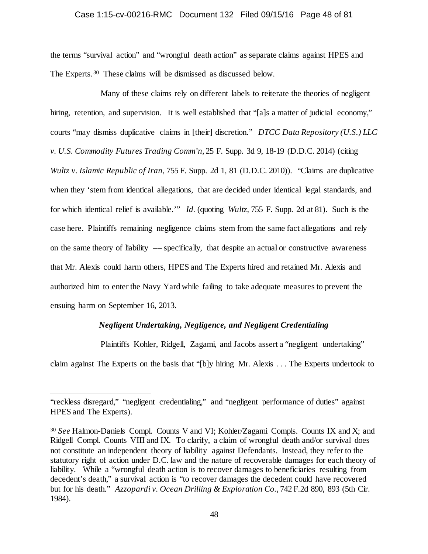## Case 1:15-cv-00216-RMC Document 132 Filed 09/15/16 Page 48 of 81

the terms "survival action" and "wrongful death action" as separate claims against HPES and The Experts.[30](#page-47-0) These claims will be dismissed as discussed below.

Many of these claims rely on different labels to reiterate the theories of negligent hiring, retention, and supervision. It is well established that "[a]s a matter of judicial economy," courts "may dismiss duplicative claims in [their] discretion." *DTCC Data Repository (U.S.) LLC v. U.S. Commodity Futures Trading Comm'n*, 25 F. Supp. 3d 9, 18-19 (D.D.C. 2014) (citing *Wultz v. Islamic Republic of Iran,* 755 F. Supp. 2d 1, 81 (D.D.C. 2010)). "Claims are duplicative when they 'stem from identical allegations, that are decided under identical legal standards, and for which identical relief is available.'" *Id.* (quoting *Wultz*, 755 F. Supp. 2d at 81). Such is the case here. Plaintiffs remaining negligence claims stem from the same fact allegations and rely on the same theory of liability –– specifically, that despite an actual or constructive awareness that Mr. Alexis could harm others, HPES and The Experts hired and retained Mr. Alexis and authorized him to enter the Navy Yard while failing to take adequate measures to prevent the ensuing harm on September 16, 2013.

# *Negligent Undertaking, Negligence, and Negligent Credentialing*

Plaintiffs Kohler, Ridgell, Zagami, and Jacobs assert a "negligent undertaking"

claim against The Experts on the basis that "[b]y hiring Mr. Alexis . . . The Experts undertook to

 $\overline{a}$ 

<sup>&</sup>quot;reckless disregard," "negligent credentialing," and "negligent performance of duties" against HPES and The Experts).

<span id="page-47-0"></span><sup>30</sup> *See* Halmon-Daniels Compl. Counts V and VI; Kohler/Zagami Compls. Counts IX and X; and Ridgell Compl. Counts VIII and IX. To clarify, a claim of wrongful death and/or survival does not constitute an independent theory of liability against Defendants. Instead, they refer to the statutory right of action under D.C. law and the nature of recoverable damages for each theory of liability. While a "wrongful death action is to recover damages to beneficiaries resulting from decedent's death," a survival action is "to recover damages the decedent could have recovered but for his death." *Azzopardi v. Ocean Drilling & Exploration Co.,* 742 F.2d 890, 893 (5th Cir. 1984).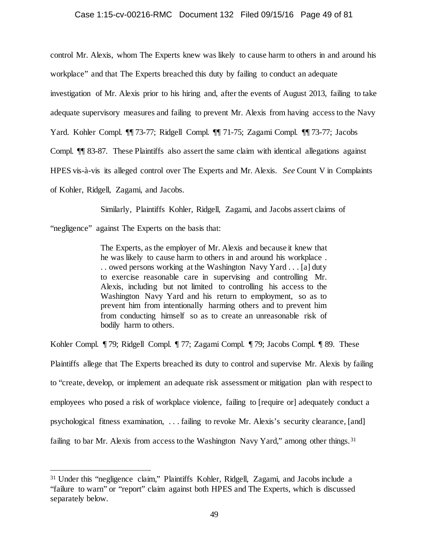## Case 1:15-cv-00216-RMC Document 132 Filed 09/15/16 Page 49 of 81

control Mr. Alexis, whom The Experts knew was likely to cause harm to others in and around his

workplace" and that The Experts breached this duty by failing to conduct an adequate

investigation of Mr. Alexis prior to his hiring and, after the events of August 2013, failing to take

adequate supervisory measures and failing to prevent Mr. Alexis from having access to the Navy

Yard. Kohler Compl. ¶¶ 73-77; Ridgell Compl. ¶¶ 71-75; Zagami Compl. ¶¶ 73-77; Jacobs

Compl. ¶¶ 83-87. These Plaintiffs also assert the same claim with identical allegations against

HPES vis-à-vis its alleged control over The Experts and Mr. Alexis. *See* Count V in Complaints

of Kohler, Ridgell, Zagami, and Jacobs.

Similarly, Plaintiffs Kohler, Ridgell, Zagami, and Jacobs assert claims of

"negligence" against The Experts on the basis that:

The Experts, as the employer of Mr. Alexis and because it knew that he was likely to cause harm to others in and around his workplace . . . owed persons working at the Washington Navy Yard . . . [a] duty to exercise reasonable care in supervising and controlling Mr. Alexis, including but not limited to controlling his access to the Washington Navy Yard and his return to employment, so as to prevent him from intentionally harming others and to prevent him from conducting himself so as to create an unreasonable risk of bodily harm to others.

Kohler Compl. ¶ 79; Ridgell Compl. ¶ 77; Zagami Compl. ¶ 79; Jacobs Compl. ¶ 89. These Plaintiffs allege that The Experts breached its duty to control and supervise Mr. Alexis by failing to "create, develop, or implement an adequate risk assessment or mitigation plan with respect to employees who posed a risk of workplace violence, failing to [require or] adequately conduct a psychological fitness examination, . . . failing to revoke Mr. Alexis's security clearance, [and] failing to bar Mr. Alexis from access to the Washington Navy Yard," among other things.<sup>31</sup>

<span id="page-48-0"></span> <sup>31</sup> Under this "negligence claim," Plaintiffs Kohler, Ridgell, Zagami, and Jacobs include a "failure to warn" or "report" claim against both HPES and The Experts, which is discussed separately below.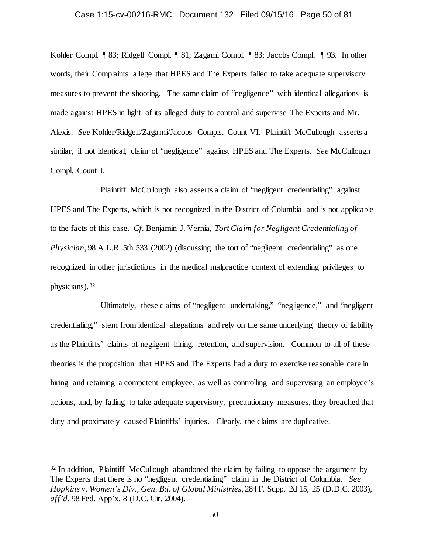## Case 1:15-cv-00216-RMC Document 132 Filed 09/15/16 Page 50 of 81

Kohler Compl. ¶ 83; Ridgell Compl. ¶ 81; Zagami Compl. ¶ 83; Jacobs Compl. ¶ 93. In other words, their Complaints allege that HPES and The Experts failed to take adequate supervisory measures to prevent the shooting. The same claim of "negligence" with identical allegations is made against HPES in light of its alleged duty to control and supervise The Experts and Mr. Alexis. *See* Kohler/Ridgell/Zagami/Jacobs Compls. Count VI. Plaintiff McCullough asserts a similar, if not identical, claim of "negligence" against HPES and The Experts. *See* McCullough Compl. Count I.

Plaintiff McCullough also asserts a claim of "negligent credentialing" against HPES and The Experts, which is not recognized in the District of Columbia and is not applicable to the facts of this case. *Cf.* Benjamin J. Vernia, *Tort Claim for Negligent Credentialing of Physician*, 98 A.L.R. 5th 533 (2002) (discussing the tort of "negligent credentialing" as one recognized in other jurisdictions in the medical malpractice context of extending privileges to physicians).[32](#page-49-0)

Ultimately, these claims of "negligent undertaking," "negligence," and "negligent credentialing," stem from identical allegations and rely on the same underlying theory of liability as the Plaintiffs' claims of negligent hiring, retention, and supervision. Common to all of these theories is the proposition that HPES and The Experts had a duty to exercise reasonable care in hiring and retaining a competent employee, as well as controlling and supervising an employee's actions, and, by failing to take adequate supervisory, precautionary measures, they breached that duty and proximately caused Plaintiffs' injuries. Clearly, the claims are duplicative.

<span id="page-49-0"></span><sup>&</sup>lt;sup>32</sup> In addition, Plaintiff McCullough abandoned the claim by failing to oppose the argument by The Experts that there is no "negligent credentialing" claim in the District of Columbia. *See Hopkins v. Women's Div., Gen. Bd. of Global Ministries*, 284 F. Supp. 2d 15, 25 (D.D.C. 2003), *aff'd,* 98 Fed. App'x. 8 (D.C. Cir. 2004).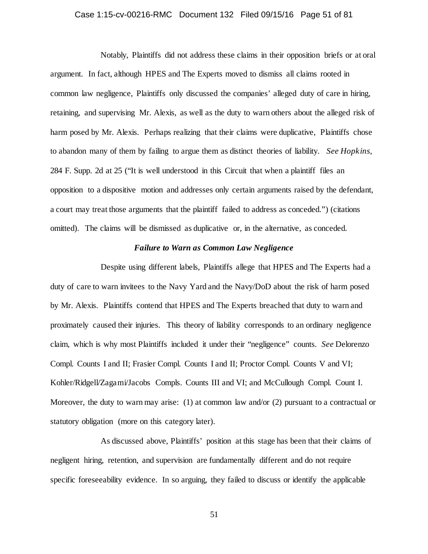# Case 1:15-cv-00216-RMC Document 132 Filed 09/15/16 Page 51 of 81

Notably, Plaintiffs did not address these claims in their opposition briefs or at oral argument. In fact, although HPES and The Experts moved to dismiss all claims rooted in common law negligence, Plaintiffs only discussed the companies' alleged duty of care in hiring, retaining, and supervising Mr. Alexis, as well as the duty to warn others about the alleged risk of harm posed by Mr. Alexis. Perhaps realizing that their claims were duplicative, Plaintiffs chose to abandon many of them by failing to argue them as distinct theories of liability. *See Hopkins*, 284 F. Supp. 2d at 25 ("It is well understood in this Circuit that when a plaintiff files an opposition to a dispositive motion and addresses only certain arguments raised by the defendant, a court may treat those arguments that the plaintiff failed to address as conceded.") (citations omitted). The claims will be dismissed as duplicative or, in the alternative, as conceded.

# *Failure to Warn as Common Law Negligence*

Despite using different labels, Plaintiffs allege that HPES and The Experts had a duty of care to warn invitees to the Navy Yard and the Navy/DoD about the risk of harm posed by Mr. Alexis. Plaintiffs contend that HPES and The Experts breached that duty to warn and proximately caused their injuries. This theory of liability corresponds to an ordinary negligence claim, which is why most Plaintiffs included it under their "negligence" counts. *See* Delorenzo Compl. Counts I and II; Frasier Compl. Counts I and II; Proctor Compl. Counts V and VI; Kohler/Ridgell/Zagami/Jacobs Compls. Counts III and VI; and McCullough Compl. Count I. Moreover, the duty to warn may arise: (1) at common law and/or (2) pursuant to a contractual or statutory obligation (more on this category later).

As discussed above, Plaintiffs' position at this stage has been that their claims of negligent hiring, retention, and supervision are fundamentally different and do not require specific foreseeability evidence. In so arguing, they failed to discuss or identify the applicable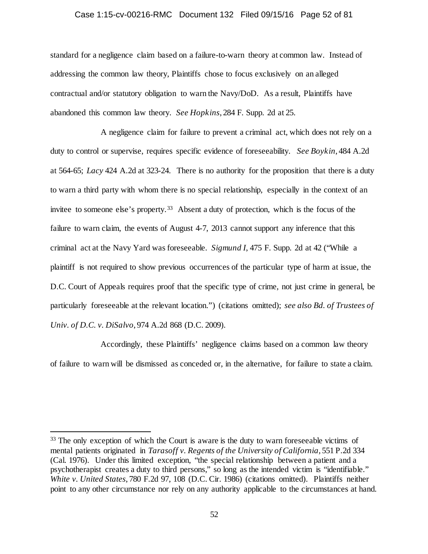## Case 1:15-cv-00216-RMC Document 132 Filed 09/15/16 Page 52 of 81

standard for a negligence claim based on a failure-to-warn theory at common law. Instead of addressing the common law theory, Plaintiffs chose to focus exclusively on an alleged contractual and/or statutory obligation to warn the Navy/DoD. As a result, Plaintiffs have abandoned this common law theory. *See Hopkins*, 284 F. Supp. 2d at 25.

A negligence claim for failure to prevent a criminal act, which does not rely on a duty to control or supervise, requires specific evidence of foreseeability. *See Boykin*, 484 A.2d at 564-65; *Lacy* 424 A.2d at 323-24. There is no authority for the proposition that there is a duty to warn a third party with whom there is no special relationship, especially in the context of an invitee to someone else's property.<sup>[33](#page-51-0)</sup> Absent a duty of protection, which is the focus of the failure to warn claim, the events of August 4-7, 2013 cannot support any inference that this criminal act at the Navy Yard was foreseeable. *Sigmund I*, 475 F. Supp. 2d at 42 ("While a plaintiff is not required to show previous occurrences of the particular type of harm at issue, the D.C. Court of Appeals requires proof that the specific type of crime, not just crime in general, be particularly foreseeable at the relevant location.") (citations omitted); *see also Bd. of Trustees of Univ. of D.C. v. DiSalvo*, 974 A.2d 868 (D.C. 2009).

Accordingly, these Plaintiffs' negligence claims based on a common law theory of failure to warn will be dismissed as conceded or, in the alternative, for failure to state a claim.

<span id="page-51-0"></span><sup>&</sup>lt;sup>33</sup> The only exception of which the Court is aware is the duty to warn foreseeable victims of mental patients originated in *Tarasoff v. Regents of the University of California*, 551 P.2d 334 (Cal. 1976). Under this limited exception, "the special relationship between a patient and a psychotherapist creates a duty to third persons," so long as the intended victim is "identifiable." *White v. United States*, 780 F.2d 97, 108 (D.C. Cir. 1986) (citations omitted). Plaintiffs neither point to any other circumstance nor rely on any authority applicable to the circumstances at hand.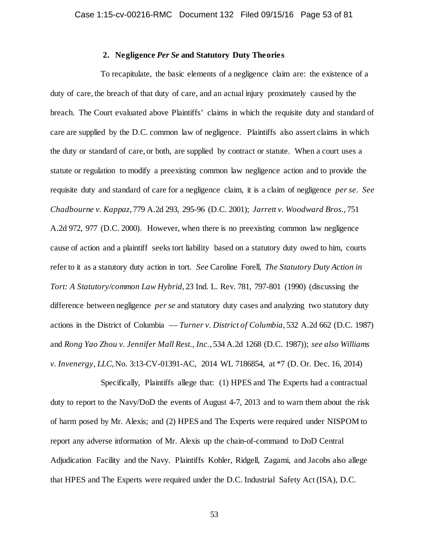# **2. Negligence** *Per Se* **and Statutory Duty Theories**

To recapitulate, the basic elements of a negligence claim are: the existence of a duty of care, the breach of that duty of care, and an actual injury proximately caused by the breach. The Court evaluated above Plaintiffs' claims in which the requisite duty and standard of care are supplied by the D.C. common law of negligence. Plaintiffs also assert claims in which the duty or standard of care, or both, are supplied by contract or statute. When a court uses a statute or regulation to modify a preexisting common law negligence action and to provide the requisite duty and standard of care for a negligence claim, it is a claim of negligence *per se*. *See Chadbourne v. Kappaz*, 779 A.2d 293, 295-96 (D.C. 2001); *Jarrett v. Woodward Bros.*, 751 A.2d 972, 977 (D.C. 2000). However, when there is no preexisting common law negligence cause of action and a plaintiff seeks tort liability based on a statutory duty owed to him, courts refer to it as a statutory duty action in tort. *See* Caroline Forell, *The Statutory Duty Action in Tort: A Statutory/common Law Hybrid*, 23 Ind. L. Rev. 781, 797-801 (1990) (discussing the difference between negligence *per se* and statutory duty cases and analyzing two statutory duty actions in the District of Columbia –– *Turner v. District of Columbia*, 532 A.2d 662 (D.C. 1987) and *Rong Yao Zhou v. Jennifer Mall Rest., Inc.*, 534 A.2d 1268 (D.C. 1987)); *see also Williams v. Invenergy, LLC*, No. 3:13-CV-01391-AC, 2014 WL 7186854, at \*7 (D. Or. Dec. 16, 2014)

Specifically, Plaintiffs allege that: (1) HPES and The Experts had a contractual duty to report to the Navy/DoD the events of August 4-7, 2013 and to warn them about the risk of harm posed by Mr. Alexis; and (2) HPES and The Experts were required under NISPOM to report any adverse information of Mr. Alexis up the chain-of-command to DoD Central Adjudication Facility and the Navy. Plaintiffs Kohler, Ridgell, Zagami, and Jacobs also allege that HPES and The Experts were required under the D.C. Industrial Safety Act (ISA), D.C.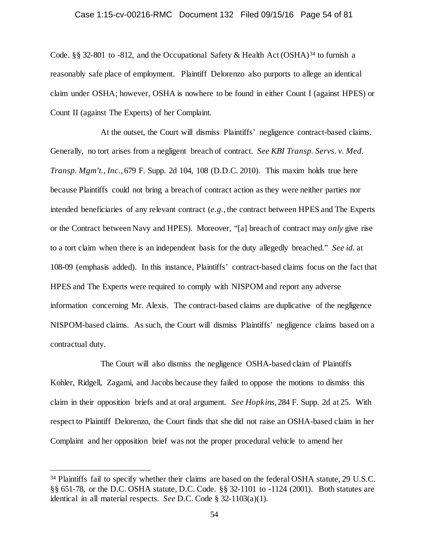#### Case 1:15-cv-00216-RMC Document 132 Filed 09/15/16 Page 54 of 81

Code. §§ 32-801 to -812, and the Occupational Safety & Health Act (OSHA)<sup>[34](#page-53-0)</sup> to furnish a reasonably safe place of employment. Plaintiff Delorenzo also purports to allege an identical claim under OSHA; however, OSHA is nowhere to be found in either Count I (against HPES) or Count II (against The Experts) of her Complaint.

At the outset, the Court will dismiss Plaintiffs' negligence contract-based claims. Generally, no tort arises from a negligent breach of contract. *See KBI Transp. Servs. v. Med. Transp. Mgm't., Inc.*, 679 F. Supp. 2d 104, 108 (D.D.C. 2010). This maxim holds true here because Plaintiffs could not bring a breach of contract action as they were neither parties nor intended beneficiaries of any relevant contract (*e.g.*, the contract between HPES and The Experts or the Contract between Navy and HPES). Moreover, "[a] breach of contract may *only* give rise to a tort claim when there is an independent basis for the duty allegedly breached." *See id.* at 108-09 (emphasis added). In this instance, Plaintiffs' contract-based claims focus on the fact that HPES and The Experts were required to comply with NISPOM and report any adverse information concerning Mr. Alexis. The contract-based claims are duplicative of the negligence NISPOM-based claims. As such, the Court will dismiss Plaintiffs' negligence claims based on a contractual duty.

The Court will also dismiss the negligence OSHA-based claim of Plaintiffs Kohler, Ridgell, Zagami, and Jacobs because they failed to oppose the motions to dismiss this claim in their opposition briefs and at oral argument. *See Hopkins*, 284 F. Supp. 2d at 25. With respect to Plaintiff Delorenzo, the Court finds that she did not raise an OSHA-based claim in her Complaint and her opposition brief was not the proper procedural vehicle to amend her

<span id="page-53-0"></span><sup>&</sup>lt;sup>34</sup> Plaintiffs fail to specify whether their claims are based on the federal OSHA statute, 29 U.S.C. §§ 651-78, or the D.C. OSHA statute, D.C. Code. §§ 32-1101 to -1124 (2001). Both statutes are identical in all material respects. *See* D.C. Code § 32-1103(a)(1).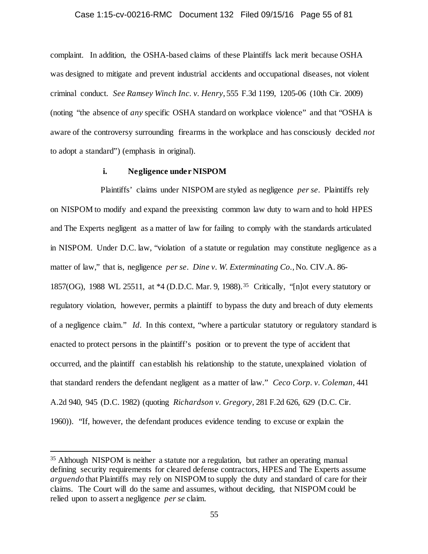## Case 1:15-cv-00216-RMC Document 132 Filed 09/15/16 Page 55 of 81

complaint. In addition, the OSHA-based claims of these Plaintiffs lack merit because OSHA was designed to mitigate and prevent industrial accidents and occupational diseases, not violent criminal conduct. *See Ramsey Winch Inc. v. Henry*, 555 F.3d 1199, 1205-06 (10th Cir. 2009) (noting "the absence of *any* specific OSHA standard on workplace violence" and that "OSHA is aware of the controversy surrounding firearms in the workplace and has consciously decided *not*  to adopt a standard") (emphasis in original).

# **i. Negligence under NISPOM**

Plaintiffs' claims under NISPOM are styled as negligence *per se*. Plaintiffs rely on NISPOM to modify and expand the preexisting common law duty to warn and to hold HPES and The Experts negligent as a matter of law for failing to comply with the standards articulated in NISPOM. Under D.C. law, "violation of a statute or regulation may constitute negligence as a matter of law," that is, negligence *per se*. *Dine v. W. Exterminating Co.*, No. CIV.A. 86- 1857(OG), 1988 WL 25511, at \*4 (D.D.C. Mar. 9, 1988).[35](#page-54-0) Critically, "[n]ot every statutory or regulatory violation, however, permits a plaintiff to bypass the duty and breach of duty elements of a negligence claim." *Id.* In this context, "where a particular statutory or regulatory standard is enacted to protect persons in the plaintiff's position or to prevent the type of accident that occurred, and the plaintiff can establish his relationship to the statute, unexplained violation of that standard renders the defendant negligent as a matter of law." *Ceco Corp. v. Coleman,* 441 A.2d 940, 945 (D.C. 1982) (quoting *Richardson v. Gregory,* 281 F.2d 626, 629 (D.C. Cir. 1960)). "If, however, the defendant produces evidence tending to excuse or explain the

<span id="page-54-0"></span> <sup>35</sup> Although NISPOM is neither a statute nor a regulation, but rather an operating manual defining security requirements for cleared defense contractors, HPES and The Experts assume *arguendo* that Plaintiffs may rely on NISPOM to supply the duty and standard of care for their claims. The Court will do the same and assumes, without deciding, that NISPOM could be relied upon to assert a negligence *per se* claim.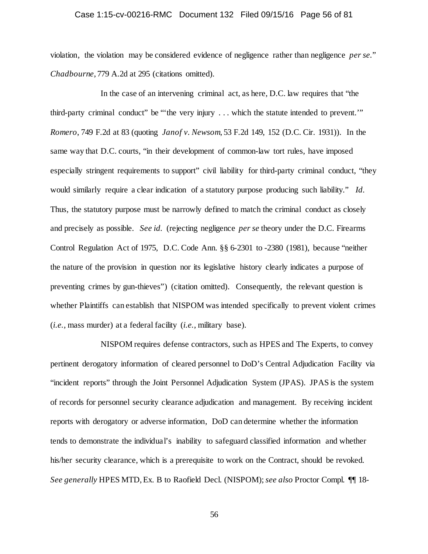## Case 1:15-cv-00216-RMC Document 132 Filed 09/15/16 Page 56 of 81

violation, the violation may be considered evidence of negligence rather than negligence *per se.*" *Chadbourne*, 779 A.2d at 295 (citations omitted).

In the case of an intervening criminal act, as here, D.C. law requires that "the third-party criminal conduct" be "'the very injury . . . which the statute intended to prevent.'" *Romero*, 749 F.2d at 83 (quoting *Janof v. Newsom*, 53 F.2d 149, 152 (D.C. Cir. 1931)). In the same way that D.C. courts, "in their development of common-law tort rules, have imposed especially stringent requirements to support" civil liability for third-party criminal conduct, "they would similarly require a clear indication of a statutory purpose producing such liability." *Id.* Thus, the statutory purpose must be narrowly defined to match the criminal conduct as closely and precisely as possible. *See id.* (rejecting negligence *per se* theory under the D.C. Firearms Control Regulation Act of 1975, D.C. Code Ann. §§ 6-2301 to -2380 (1981), because "neither the nature of the provision in question nor its legislative history clearly indicates a purpose of preventing crimes by gun-thieves") (citation omitted). Consequently, the relevant question is whether Plaintiffs can establish that NISPOM was intended specifically to prevent violent crimes (*i.e.*, mass murder) at a federal facility (*i.e.*, military base).

NISPOM requires defense contractors, such as HPES and The Experts, to convey pertinent derogatory information of cleared personnel to DoD's Central Adjudication Facility via "incident reports" through the Joint Personnel Adjudication System (JPAS). JPAS is the system of records for personnel security clearance adjudication and management. By receiving incident reports with derogatory or adverse information, DoD can determine whether the information tends to demonstrate the individual's inability to safeguard classified information and whether his/her security clearance, which is a prerequisite to work on the Contract, should be revoked. *See generally* HPES MTD, Ex. B to Raofield Decl. (NISPOM); *see also* Proctor Compl. ¶¶ 18-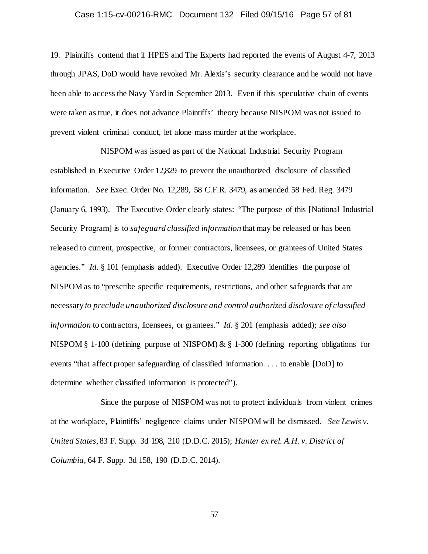## Case 1:15-cv-00216-RMC Document 132 Filed 09/15/16 Page 57 of 81

19. Plaintiffs contend that if HPES and The Experts had reported the events of August 4-7, 2013 through JPAS, DoD would have revoked Mr. Alexis's security clearance and he would not have been able to access the Navy Yard in September 2013. Even if this speculative chain of events were taken as true, it does not advance Plaintiffs' theory because NISPOM was not issued to prevent violent criminal conduct, let alone mass murder at the workplace.

NISPOM was issued as part of the National Industrial Security Program established in Executive Order 12,829 to prevent the unauthorized disclosure of classified information. *See* Exec. Order No. 12,289, 58 C.F.R. 3479, as amended 58 Fed. Reg. 3479 (January 6, 1993). The Executive Order clearly states: "The purpose of this [National Industrial Security Program] is to *safeguard classified information* that may be released or has been released to current, prospective, or former contractors, licensees, or grantees of United States agencies." *Id.* § 101 (emphasis added). Executive Order 12,289 identifies the purpose of NISPOM as to "prescribe specific requirements, restrictions, and other safeguards that are necessary *to preclude unauthorized disclosure and control authorized disclosure of classified information* to contractors, licensees, or grantees." *Id.* § 201 (emphasis added); *see also* NISPOM § 1-100 (defining purpose of NISPOM) & § 1-300 (defining reporting obligations for events "that affect proper safeguarding of classified information . . . to enable [DoD] to determine whether classified information is protected").

Since the purpose of NISPOM was not to protect individuals from violent crimes at the workplace, Plaintiffs' negligence claims under NISPOM will be dismissed. *See Lewis v. United States*, 83 F. Supp. 3d 198, 210 (D.D.C. 2015); *Hunter ex rel. A.H. v. District of Columbia*, 64 F. Supp. 3d 158, 190 (D.D.C. 2014).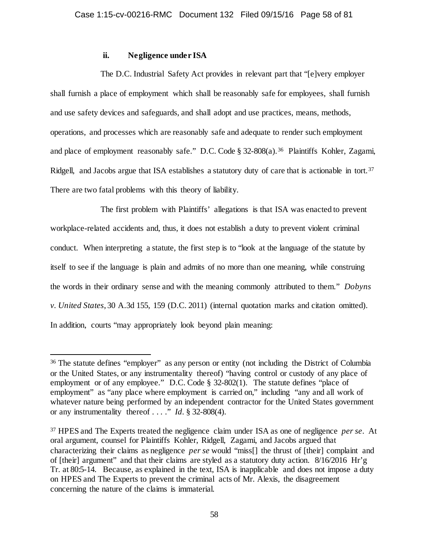# **ii. Negligence under ISA**

The D.C. Industrial Safety Act provides in relevant part that "[e]very employer shall furnish a place of employment which shall be reasonably safe for employees, shall furnish and use safety devices and safeguards, and shall adopt and use practices, means, methods, operations, and processes which are reasonably safe and adequate to render such employment and place of employment reasonably safe." D.C. Code § 32-808(a).<sup>36</sup> Plaintiffs Kohler, Zagami, Ridgell, and Jacobs argue that ISA establishes a statutory duty of care that is actionable in tort.<sup>[37](#page-57-1)</sup> There are two fatal problems with this theory of liability.

The first problem with Plaintiffs' allegations is that ISA was enacted to prevent workplace-related accidents and, thus, it does not establish a duty to prevent violent criminal conduct. When interpreting a statute, the first step is to "look at the language of the statute by itself to see if the language is plain and admits of no more than one meaning, while construing the words in their ordinary sense and with the meaning commonly attributed to them." *Dobyns v. United States*, 30 A.3d 155, 159 (D.C. 2011) (internal quotation marks and citation omitted). In addition, courts "may appropriately look beyond plain meaning:

<span id="page-57-0"></span> <sup>36</sup> The statute defines "employer" as any person or entity (not including the District of Columbia or the United States, or any instrumentality thereof) "having control or custody of any place of employment or of any employee." D.C. Code § 32-802(1). The statute defines "place of employment" as "any place where employment is carried on," including "any and all work of whatever nature being performed by an independent contractor for the United States government or any instrumentality thereof . . . ." *Id.* § 32-808(4).

<span id="page-57-1"></span><sup>37</sup> HPES and The Experts treated the negligence claim under ISA as one of negligence *per se*. At oral argument, counsel for Plaintiffs Kohler, Ridgell, Zagami, and Jacobs argued that characterizing their claims as negligence *per se* would "miss[] the thrust of [their] complaint and of [their] argument" and that their claims are styled as a statutory duty action. 8/16/2016 Hr'g Tr. at 80:5-14. Because, as explained in the text, ISA is inapplicable and does not impose a duty on HPES and The Experts to prevent the criminal acts of Mr. Alexis, the disagreement concerning the nature of the claims is immaterial.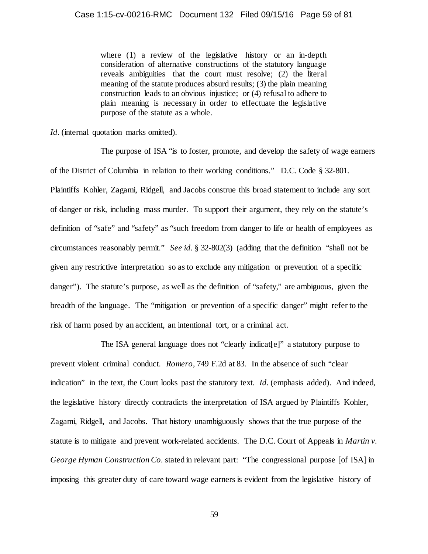where (1) a review of the legislative history or an in-depth consideration of alternative constructions of the statutory language reveals ambiguities that the court must resolve; (2) the literal meaning of the statute produces absurd results; (3) the plain meaning construction leads to an obvious injustice; or (4) refusal to adhere to plain meaning is necessary in order to effectuate the legislative purpose of the statute as a whole.

*Id.* (internal quotation marks omitted).

The purpose of ISA "is to foster, promote, and develop the safety of wage earners of the District of Columbia in relation to their working conditions." D.C. Code § 32-801. Plaintiffs Kohler, Zagami, Ridgell, and Jacobs construe this broad statement to include any sort of danger or risk, including mass murder. To support their argument, they rely on the statute's definition of "safe" and "safety" as "such freedom from danger to life or health of employees as circumstances reasonably permit." *See id.* § 32-802(3) (adding that the definition "shall not be given any restrictive interpretation so as to exclude any mitigation or prevention of a specific danger"). The statute's purpose, as well as the definition of "safety," are ambiguous, given the breadth of the language. The "mitigation or prevention of a specific danger" might refer to the risk of harm posed by an accident, an intentional tort, or a criminal act.

The ISA general language does not "clearly indicat[e]" a statutory purpose to prevent violent criminal conduct. *Romero*, 749 F.2d at 83. In the absence of such "clear indication" in the text, the Court looks past the statutory text. *Id.* (emphasis added). And indeed, the legislative history directly contradicts the interpretation of ISA argued by Plaintiffs Kohler, Zagami, Ridgell, and Jacobs. That history unambiguously shows that the true purpose of the statute is to mitigate and prevent work-related accidents. The D.C. Court of Appeals in *Martin v. George Hyman Construction Co.* stated in relevant part: "The congressional purpose [of ISA] in imposing this greater duty of care toward wage earners is evident from the legislative history of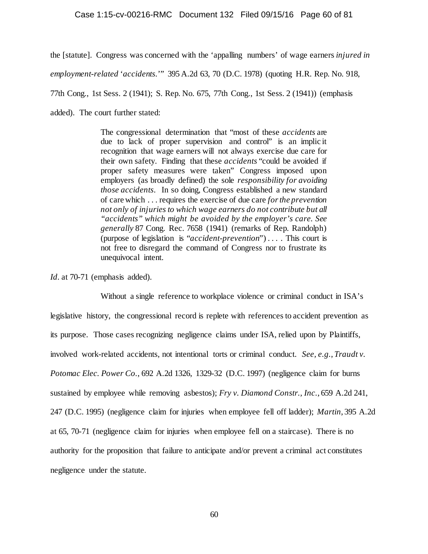## Case 1:15-cv-00216-RMC Document 132 Filed 09/15/16 Page 60 of 81

the [statute]. Congress was concerned with the 'appalling numbers' of wage earners *injured in employment-related* '*accidents.*'" 395 A.2d 63, 70 (D.C. 1978) (quoting H.R. Rep. No. 918, 77th Cong., 1st Sess. 2 (1941); S. Rep. No. 675, 77th Cong., 1st Sess. 2 (1941)) (emphasis added). The court further stated:

> The congressional determination that "most of these *accidents* are due to lack of proper supervision and control" is an implic it recognition that wage earners will not always exercise due care for their own safety. Finding that these *accidents* "could be avoided if proper safety measures were taken" Congress imposed upon employers (as broadly defined) the sole *responsibility for avoiding those accidents*. In so doing, Congress established a new standard of care which . . . requires the exercise of due care *for the prevention not only of injuries to which wage earners do not contribute but all "accidents" which might be avoided by the employer's care. See generally* 87 Cong. Rec. 7658 (1941) (remarks of Rep. Randolph) (purpose of legislation is "*accident-prevention*") . . . . This court is not free to disregard the command of Congress nor to frustrate its unequivocal intent.

*Id.* at 70-71 (emphasis added).

Without a single reference to workplace violence or criminal conduct in ISA's legislative history, the congressional record is replete with references to accident prevention as its purpose. Those cases recognizing negligence claims under ISA, relied upon by Plaintiffs, involved work-related accidents, not intentional torts or criminal conduct. *See, e.g.*, *Traudt v. Potomac Elec. Power Co.*, 692 A.2d 1326, 1329-32 (D.C. 1997) (negligence claim for burns sustained by employee while removing asbestos); *Fry v. Diamond Constr., Inc.*, 659 A.2d 241, 247 (D.C. 1995) (negligence claim for injuries when employee fell off ladder); *Martin*, 395 A.2d at 65, 70-71 (negligence claim for injuries when employee fell on a staircase). There is no authority for the proposition that failure to anticipate and/or prevent a criminal act constitutes negligence under the statute.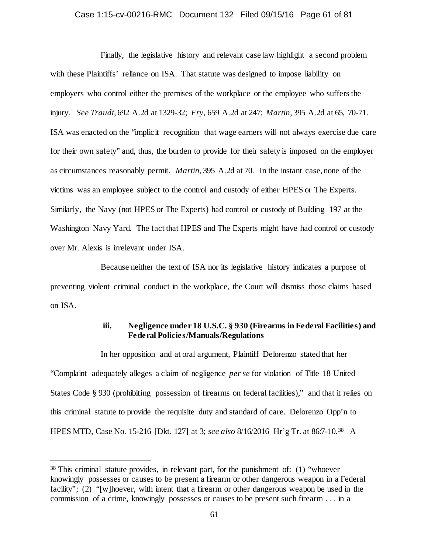## Case 1:15-cv-00216-RMC Document 132 Filed 09/15/16 Page 61 of 81

Finally, the legislative history and relevant case law highlight a second problem with these Plaintiffs' reliance on ISA. That statute was designed to impose liability on employers who control either the premises of the workplace or the employee who suffers the injury. *See Traudt*, 692 A.2d at 1329-32; *Fry*, 659 A.2d at 247; *Martin*, 395 A.2d at 65, 70-71. ISA was enacted on the "implicit recognition that wage earners will not always exercise due care for their own safety" and, thus, the burden to provide for their safety is imposed on the employer as circumstances reasonably permit. *Martin*, 395 A.2d at 70. In the instant case, none of the victims was an employee subject to the control and custody of either HPES or The Experts. Similarly, the Navy (not HPES or The Experts) had control or custody of Building 197 at the Washington Navy Yard. The fact that HPES and The Experts might have had control or custody over Mr. Alexis is irrelevant under ISA.

Because neither the text of ISA nor its legislative history indicates a purpose of preventing violent criminal conduct in the workplace, the Court will dismiss those claims based on ISA.

# **iii. Negligence under 18 U.S.C. § 930 (Firearms in Federal Facilities) and Federal Policies/Manuals/Regulations**

In her opposition and at oral argument, Plaintiff Delorenzo stated that her "Complaint adequately alleges a claim of negligence *per se* for violation of Title 18 United States Code § 930 (prohibiting possession of firearms on federal facilities)," and that it relies on this criminal statute to provide the requisite duty and standard of care. Delorenzo Opp'n to HPES MTD, Case No. 15-216 [Dkt. 127] at 3; *see also* 8/16/2016 Hr'g Tr. at 86:7-10.[38](#page-60-0) A

<span id="page-60-0"></span> <sup>38</sup> This criminal statute provides, in relevant part, for the punishment of: (1) "whoever knowingly possesses or causes to be present a firearm or other dangerous weapon in a Federal facility"; (2) "[w]hoever, with intent that a firearm or other dangerous weapon be used in the commission of a crime, knowingly possesses or causes to be present such firearm . . . in a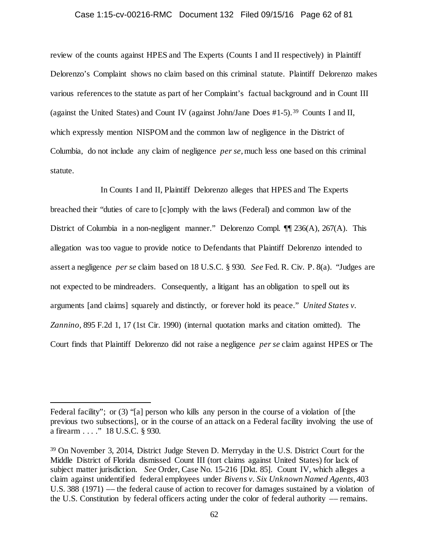## Case 1:15-cv-00216-RMC Document 132 Filed 09/15/16 Page 62 of 81

review of the counts against HPES and The Experts (Counts I and II respectively) in Plaintiff Delorenzo's Complaint shows no claim based on this criminal statute. Plaintiff Delorenzo makes various references to the statute as part of her Complaint's factual background and in Count III (against the United States) and Count IV (against John/Jane Does #1-5). [39](#page-61-0) Counts I and II, which expressly mention NISPOM and the common law of negligence in the District of Columbia, do not include any claim of negligence *per se*, much less one based on this criminal statute.

In Counts I and II, Plaintiff Delorenzo alleges that HPES and The Experts breached their "duties of care to [c]omply with the laws (Federal) and common law of the District of Columbia in a non-negligent manner." Delorenzo Compl. ¶¶ 236(A), 267(A). This allegation was too vague to provide notice to Defendants that Plaintiff Delorenzo intended to assert a negligence *per se* claim based on 18 U.S.C. § 930. *See* Fed. R. Civ. P. 8(a). "Judges are not expected to be mindreaders. Consequently, a litigant has an obligation to spell out its arguments [and claims] squarely and distinctly, or forever hold its peace." *United States v. Zannino,* 895 F.2d 1, 17 (1st Cir. 1990) (internal quotation marks and citation omitted). The Court finds that Plaintiff Delorenzo did not raise a negligence *per se* claim against HPES or The

 $\overline{a}$ 

Federal facility"; or (3) "[a] person who kills any person in the course of a violation of [the previous two subsections], or in the course of an attack on a Federal facility involving the use of a firearm . . . ." 18 U.S.C. § 930.

<span id="page-61-0"></span><sup>39</sup> On November 3, 2014, District Judge Steven D. Merryday in the U.S. District Court for the Middle District of Florida dismissed Count III (tort claims against United States) for lack of subject matter jurisdiction. *See* Order, Case No. 15-216 [Dkt. 85]. Count IV, which alleges a claim against unidentified federal employees under *Bivens v. Six Unknown Named Agents*, 403 U.S. 388 (1971) –– the federal cause of action to recover for damages sustained by a violation of the U.S. Constitution by federal officers acting under the color of federal authority –– remains.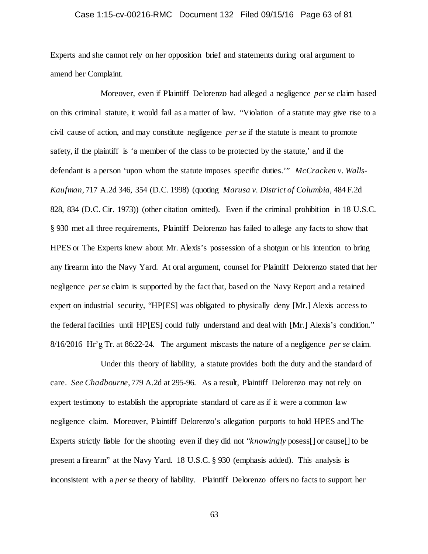# Case 1:15-cv-00216-RMC Document 132 Filed 09/15/16 Page 63 of 81

Experts and she cannot rely on her opposition brief and statements during oral argument to amend her Complaint.

Moreover, even if Plaintiff Delorenzo had alleged a negligence *per se* claim based on this criminal statute, it would fail as a matter of law. "Violation of a statute may give rise to a civil cause of action, and may constitute negligence *per se* if the statute is meant to promote safety, if the plaintiff is 'a member of the class to be protected by the statute,' and if the defendant is a person 'upon whom the statute imposes specific duties.'" *McCracken v. Walls-Kaufman*, 717 A.2d 346, 354 (D.C. 1998) (quoting *Marusa v. District of Columbia,* 484 F.2d 828, 834 (D.C. Cir. 1973)) (other citation omitted). Even if the criminal prohibition in 18 U.S.C. § 930 met all three requirements, Plaintiff Delorenzo has failed to allege any facts to show that HPES or The Experts knew about Mr. Alexis's possession of a shotgun or his intention to bring any firearm into the Navy Yard. At oral argument, counsel for Plaintiff Delorenzo stated that her negligence *per se* claim is supported by the fact that, based on the Navy Report and a retained expert on industrial security, "HP[ES] was obligated to physically deny [Mr.] Alexis access to the federal facilities until HP[ES] could fully understand and deal with [Mr.] Alexis's condition." 8/16/2016 Hr'g Tr. at 86:22-24. The argument miscasts the nature of a negligence *per se* claim.

Under this theory of liability, a statute provides both the duty and the standard of care. *See Chadbourne*, 779 A.2d at 295-96. As a result, Plaintiff Delorenzo may not rely on expert testimony to establish the appropriate standard of care as if it were a common law negligence claim. Moreover, Plaintiff Delorenzo's allegation purports to hold HPES and The Experts strictly liable for the shooting even if they did not "*knowingly* posess[] or cause[] to be present a firearm" at the Navy Yard. 18 U.S.C. § 930 (emphasis added). This analysis is inconsistent with a *per se* theory of liability. Plaintiff Delorenzo offers no facts to support her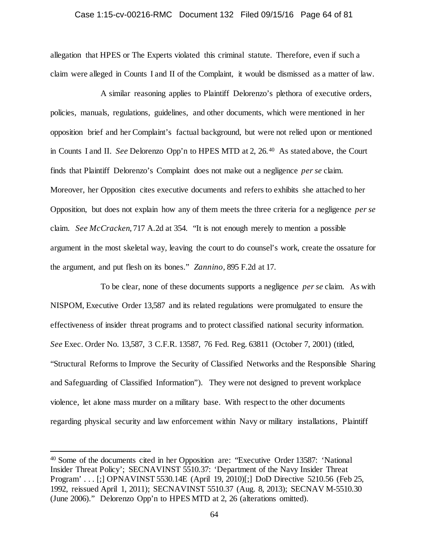## Case 1:15-cv-00216-RMC Document 132 Filed 09/15/16 Page 64 of 81

allegation that HPES or The Experts violated this criminal statute. Therefore, even if such a claim were alleged in Counts I and II of the Complaint, it would be dismissed as a matter of law.

A similar reasoning applies to Plaintiff Delorenzo's plethora of executive orders, policies, manuals, regulations, guidelines, and other documents, which were mentioned in her opposition brief and her Complaint's factual background, but were not relied upon or mentioned in Counts I and II. *See* Delorenzo Opp'n to HPES MTD at 2, 26.[40](#page-63-0) As stated above, the Court finds that Plaintiff Delorenzo's Complaint does not make out a negligence *per se* claim. Moreover, her Opposition cites executive documents and refers to exhibits she attached to her Opposition, but does not explain how any of them meets the three criteria for a negligence *per se* claim. *See McCracken*, 717 A.2d at 354. "It is not enough merely to mention a possible argument in the most skeletal way, leaving the court to do counsel's work, create the ossature for the argument, and put flesh on its bones." *Zannino,* 895 F.2d at 17.

To be clear, none of these documents supports a negligence *per se* claim. As with NISPOM, Executive Order 13,587 and its related regulations were promulgated to ensure the effectiveness of insider threat programs and to protect classified national security information. *See* Exec. Order No. 13,587, 3 C.F.R. 13587, 76 Fed. Reg. 63811 (October 7, 2001) (titled, "Structural Reforms to Improve the Security of Classified Networks and the Responsible Sharing and Safeguarding of Classified Information"). They were not designed to prevent workplace violence, let alone mass murder on a military base. With respect to the other documents regarding physical security and law enforcement within Navy or military installations, Plaintiff

<span id="page-63-0"></span> <sup>40</sup> Some of the documents cited in her Opposition are: "Executive Order 13587: 'National Insider Threat Policy'; SECNAVINST 5510.37: 'Department of the Navy Insider Threat Program' . . . [;] OPNAVINST 5530.14E (April 19, 2010)[;] DoD Directive 5210.56 (Feb 25, 1992, reissued April 1, 2011); SECNAVINST 5510.37 (Aug. 8, 2013); SECNAV M-5510.30 (June 2006)." Delorenzo Opp'n to HPES MTD at 2, 26 (alterations omitted).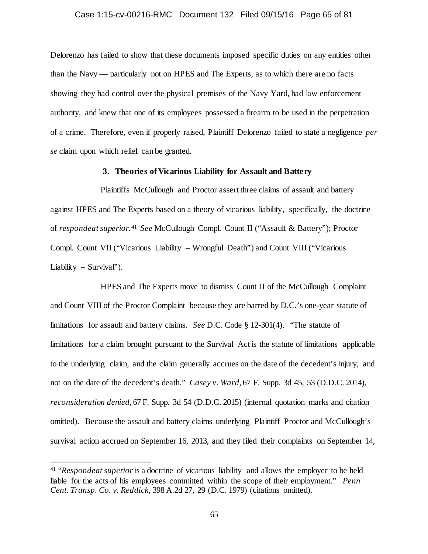## Case 1:15-cv-00216-RMC Document 132 Filed 09/15/16 Page 65 of 81

Delorenzo has failed to show that these documents imposed specific duties on any entities other than the Navy –– particularly not on HPES and The Experts, as to which there are no facts showing they had control over the physical premises of the Navy Yard, had law enforcement authority, and knew that one of its employees possessed a firearm to be used in the perpetration of a crime. Therefore, even if properly raised, Plaintiff Delorenzo failed to state a negligence *per se* claim upon which relief can be granted.

# **3. Theories of Vicarious Liability for Assault and Battery**

Plaintiffs McCullough and Proctor assert three claims of assault and battery against HPES and The Experts based on a theory of vicarious liability, specifically, the doctrine of *respondeat superior*. [41](#page-64-0) *See* McCullough Compl. Count II ("Assault & Battery"); Proctor Compl. Count VII ("Vicarious Liability – Wrongful Death") and Count VIII ("Vicarious Liability – Survival").

HPES and The Experts move to dismiss Count II of the McCullough Complaint and Count VIII of the Proctor Complaint because they are barred by D.C.'s one-year statute of limitations for assault and battery claims. *See* D.C. Code § 12-301(4). "The statute of limitations for a claim brought pursuant to the Survival Act is the statute of limitations applicable to the underlying claim, and the claim generally accrues on the date of the decedent's injury, and not on the date of the decedent's death." *Casey v. Ward*, 67 F. Supp. 3d 45, 53 (D.D.C. 2014), *reconsideration denied*, 67 F. Supp. 3d 54 (D.D.C. 2015) (internal quotation marks and citation omitted). Because the assault and battery claims underlying Plaintiff Proctor and McCullough's survival action accrued on September 16, 2013, and they filed their complaints on September 14,

<span id="page-64-0"></span> <sup>41</sup> "*Respondeat superior* is a doctrine of vicarious liability and allows the employer to be held liable for the acts of his employees committed within the scope of their employment." *Penn Cent. Transp. Co. v. Reddick,* 398 A.2d 27, 29 (D.C. 1979) (citations omitted).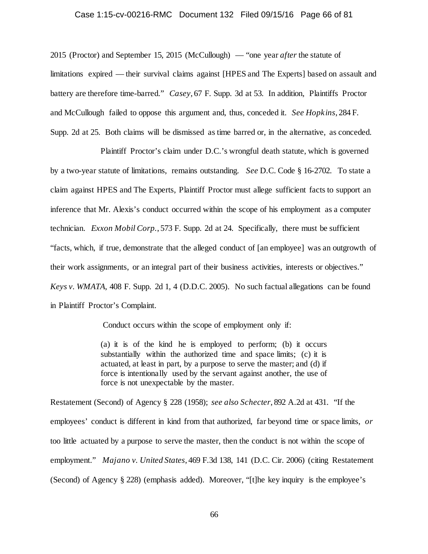## Case 1:15-cv-00216-RMC Document 132 Filed 09/15/16 Page 66 of 81

2015 (Proctor) and September 15, 2015 (McCullough) — "one year *after* the statute of limitations expired — their survival claims against [HPES and The Experts] based on assault and battery are therefore time-barred." *Casey*, 67 F. Supp. 3d at 53. In addition, Plaintiffs Proctor and McCullough failed to oppose this argument and, thus, conceded it. *See Hopkins*, 284 F. Supp. 2d at 25. Both claims will be dismissed as time barred or, in the alternative, as conceded.

Plaintiff Proctor's claim under D.C.'s wrongful death statute, which is governed by a two-year statute of limitations, remains outstanding. *See* D.C. Code § 16-2702. To state a claim against HPES and The Experts, Plaintiff Proctor must allege sufficient facts to support an inference that Mr. Alexis's conduct occurred within the scope of his employment as a computer technician. *Exxon Mobil Corp.*, 573 F. Supp. 2d at 24. Specifically, there must be sufficient "facts, which, if true, demonstrate that the alleged conduct of [an employee] was an outgrowth of their work assignments, or an integral part of their business activities, interests or objectives." *Keys v. WMATA*, 408 F. Supp. 2d 1, 4 (D.D.C. 2005). No such factual allegations can be found in Plaintiff Proctor's Complaint.

Conduct occurs within the scope of employment only if:

(a) it is of the kind he is employed to perform; (b) it occurs substantially within the authorized time and space limits; (c) it is actuated, at least in part, by a purpose to serve the master; and (d) if force is intentionally used by the servant against another, the use of force is not unexpectable by the master.

Restatement (Second) of Agency § 228 (1958); *see also Schecter*, 892 A.2d at 431. "If the employees' conduct is different in kind from that authorized, far beyond time or space limits, *or* too little actuated by a purpose to serve the master, then the conduct is not within the scope of employment." *Majano v. United States*, 469 F.3d 138, 141 (D.C. Cir. 2006) (citing Restatement (Second) of Agency § 228) (emphasis added). Moreover, "[t]he key inquiry is the employee's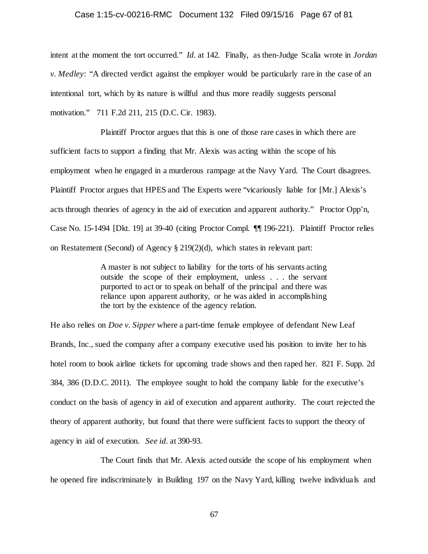#### Case 1:15-cv-00216-RMC Document 132 Filed 09/15/16 Page 67 of 81

intent at the moment the tort occurred." *Id.* at 142. Finally, as then-Judge Scalia wrote in *Jordan v. Medley*: "A directed verdict against the employer would be particularly rare in the case of an intentional tort, which by its nature is willful and thus more readily suggests personal motivation." 711 F.2d 211, 215 (D.C. Cir. 1983).

Plaintiff Proctor argues that this is one of those rare cases in which there are sufficient facts to support a finding that Mr. Alexis was acting within the scope of his employment when he engaged in a murderous rampage at the Navy Yard. The Court disagrees. Plaintiff Proctor argues that HPES and The Experts were "vicariously liable for [Mr.] Alexis's acts through theories of agency in the aid of execution and apparent authority." Proctor Opp'n, Case No. 15-1494 [Dkt. 19] at 39-40 (citing Proctor Compl. ¶¶ 196-221). Plaintiff Proctor relies on Restatement (Second) of Agency § 219(2)(d), which states in relevant part:

> A master is not subject to liability for the torts of his servants acting outside the scope of their employment, unless . . . the servant purported to act or to speak on behalf of the principal and there was reliance upon apparent authority, or he was aided in accomplishing the tort by the existence of the agency relation.

He also relies on *Doe v. Sipper* where a part-time female employee of defendant New Leaf Brands, Inc., sued the company after a company executive used his position to invite her to his hotel room to book airline tickets for upcoming trade shows and then raped her. 821 F. Supp. 2d 384, 386 (D.D.C. 2011). The employee sought to hold the company liable for the executive's conduct on the basis of agency in aid of execution and apparent authority. The court rejected the theory of apparent authority, but found that there were sufficient facts to support the theory of agency in aid of execution. *See id.* at 390-93.

The Court finds that Mr. Alexis acted outside the scope of his employment when he opened fire indiscriminately in Building 197 on the Navy Yard, killing twelve individuals and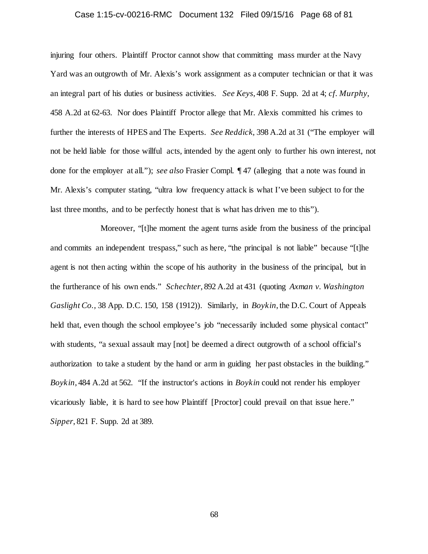# Case 1:15-cv-00216-RMC Document 132 Filed 09/15/16 Page 68 of 81

injuring four others. Plaintiff Proctor cannot show that committing mass murder at the Navy Yard was an outgrowth of Mr. Alexis's work assignment as a computer technician or that it was an integral part of his duties or business activities. *See Keys*, 408 F. Supp. 2d at 4; *cf. Murphy*, 458 A.2d at 62-63. Nor does Plaintiff Proctor allege that Mr. Alexis committed his crimes to further the interests of HPES and The Experts. *See Reddick,* 398 A.2d at 31 ("The employer will not be held liable for those willful acts, intended by the agent only to further his own interest, not done for the employer at all."); *see also* Frasier Compl. ¶ 47 (alleging that a note was found in Mr. Alexis's computer stating, "ultra low frequency attack is what I've been subject to for the last three months, and to be perfectly honest that is what has driven me to this").

Moreover, "[t]he moment the agent turns aside from the business of the principal and commits an independent trespass," such as here, "the principal is not liable" because "[t]he agent is not then acting within the scope of his authority in the business of the principal, but in the furtherance of his own ends." *Schechter*, 892 A.2d at 431 (quoting *Axman v. Washington Gaslight Co.,* 38 App. D.C. 150, 158 (1912)). Similarly, in *Boykin*, the D.C. Court of Appeals held that, even though the school employee's job "necessarily included some physical contact" with students, "a sexual assault may  $[not]$  be deemed a direct outgrowth of a school official's authorization to take a student by the hand or arm in guiding her past obstacles in the building." *Boykin*, 484 A.2d at 562. "If the instructor's actions in *Boykin* could not render his employer vicariously liable, it is hard to see how Plaintiff [Proctor] could prevail on that issue here." *Sipper*, 821 F. Supp. 2d at 389.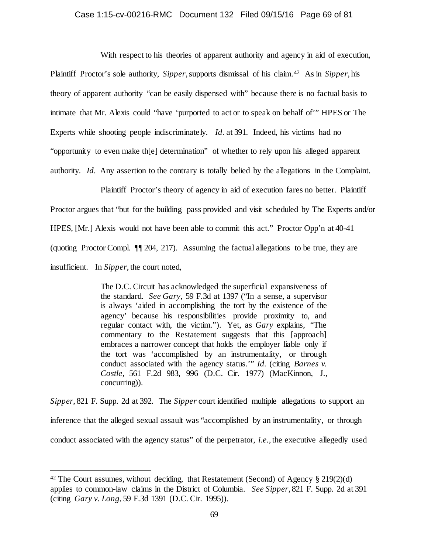## Case 1:15-cv-00216-RMC Document 132 Filed 09/15/16 Page 69 of 81

With respect to his theories of apparent authority and agency in aid of execution, Plaintiff Proctor's sole authority, *Sipper*, supports dismissal of his claim.[42](#page-68-0) As in *Sipper*, his theory of apparent authority "can be easily dispensed with" because there is no factual basis to intimate that Mr. Alexis could "have 'purported to act or to speak on behalf of'" HPES or The Experts while shooting people indiscriminately. *Id.* at 391. Indeed, his victims had no "opportunity to even make th[e] determination" of whether to rely upon his alleged apparent authority. *Id.* Any assertion to the contrary is totally belied by the allegations in the Complaint.

Plaintiff Proctor's theory of agency in aid of execution fares no better. Plaintiff Proctor argues that "but for the building pass provided and visit scheduled by The Experts and/or HPES, [Mr.] Alexis would not have been able to commit this act." Proctor Opp'n at 40-41 (quoting Proctor Compl. ¶¶ 204, 217). Assuming the factual allegations to be true, they are insufficient. In *Sipper*, the court noted,

> The D.C. Circuit has acknowledged the superficial expansiveness of the standard. *See Gary,* 59 F.3d at 1397 ("In a sense, a supervisor is always 'aided in accomplishing the tort by the existence of the agency' because his responsibilities provide proximity to, and regular contact with, the victim."). Yet, as *Gary* explains, "The commentary to the Restatement suggests that this [approach] embraces a narrower concept that holds the employer liable only if the tort was 'accomplished by an instrumentality, or through conduct associated with the agency status.'" *Id.* (citing *Barnes v. Costle,* 561 F.2d 983, 996 (D.C. Cir. 1977) (MacKinnon, J., concurring)).

*Sipper*, 821 F. Supp. 2d at 392. The *Sipper* court identified multiple allegations to support an inference that the alleged sexual assault was "accomplished by an instrumentality, or through conduct associated with the agency status" of the perpetrator, *i.e.*, the executive allegedly used

<span id="page-68-0"></span><sup>&</sup>lt;sup>42</sup> The Court assumes, without deciding, that Restatement (Second) of Agency  $\S 219(2)(d)$ applies to common-law claims in the District of Columbia. *See Sipper*, 821 F. Supp. 2d at 391 (citing *Gary v. Long*, 59 F.3d 1391 (D.C. Cir. 1995)).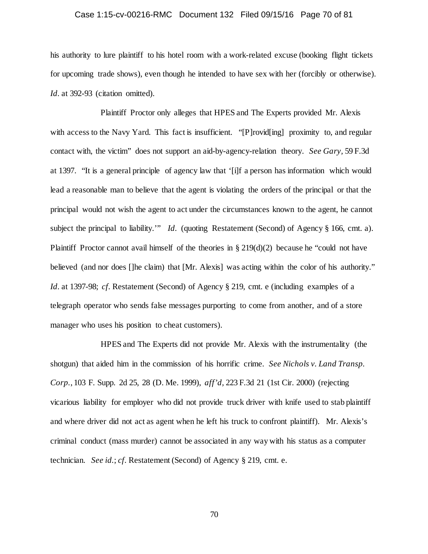# Case 1:15-cv-00216-RMC Document 132 Filed 09/15/16 Page 70 of 81

his authority to lure plaintiff to his hotel room with a work-related excuse (booking flight tickets for upcoming trade shows), even though he intended to have sex with her (forcibly or otherwise). Id. at 392-93 (citation omitted).

Plaintiff Proctor only alleges that HPES and The Experts provided Mr. Alexis with access to the Navy Yard. This fact is insufficient. "[P]rovid[ing] proximity to, and regular contact with, the victim" does not support an aid-by-agency-relation theory. *See Gary,* 59 F.3d at 1397. "It is a general principle of agency law that '[i]f a person has information which would lead a reasonable man to believe that the agent is violating the orders of the principal or that the principal would not wish the agent to act under the circumstances known to the agent, he cannot subject the principal to liability.'" *Id.* (quoting Restatement (Second) of Agency § 166, cmt. a). Plaintiff Proctor cannot avail himself of the theories in  $\S 219(d)(2)$  because he "could not have believed (and nor does []he claim) that [Mr. Alexis] was acting within the color of his authority." *Id.* at 1397-98; *cf.* Restatement (Second) of Agency § 219, cmt. e (including examples of a telegraph operator who sends false messages purporting to come from another, and of a store manager who uses his position to cheat customers).

HPES and The Experts did not provide Mr. Alexis with the instrumentality (the shotgun) that aided him in the commission of his horrific crime. *See Nichols v. Land Transp. Corp.*, 103 F. Supp. 2d 25, 28 (D. Me. 1999), *aff'd,* 223 F.3d 21 (1st Cir. 2000) (rejecting vicarious liability for employer who did not provide truck driver with knife used to stab plaintiff and where driver did not act as agent when he left his truck to confront plaintiff). Mr. Alexis's criminal conduct (mass murder) cannot be associated in any way with his status as a computer technician. *See id.*; *cf.* Restatement (Second) of Agency § 219, cmt. e.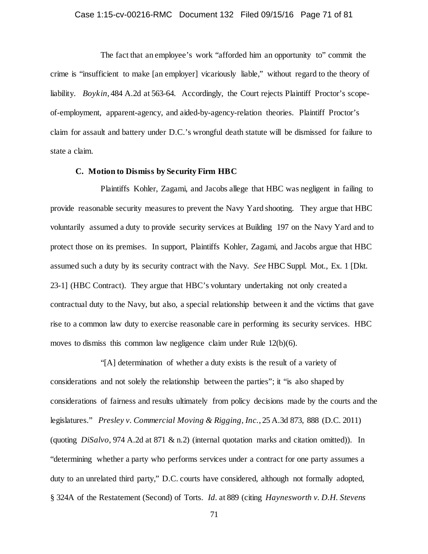# Case 1:15-cv-00216-RMC Document 132 Filed 09/15/16 Page 71 of 81

The fact that an employee's work "afforded him an opportunity to" commit the crime is "insufficient to make [an employer] vicariously liable," without regard to the theory of liability. *Boykin*, 484 A.2d at 563-64. Accordingly, the Court rejects Plaintiff Proctor's scopeof-employment, apparent-agency, and aided-by-agency-relation theories. Plaintiff Proctor's claim for assault and battery under D.C.'s wrongful death statute will be dismissed for failure to state a claim.

# **C. Motion to Dismiss by Security Firm HBC**

Plaintiffs Kohler, Zagami, and Jacobs allege that HBC was negligent in failing to provide reasonable security measures to prevent the Navy Yard shooting. They argue that HBC voluntarily assumed a duty to provide security services at Building 197 on the Navy Yard and to protect those on its premises. In support, Plaintiffs Kohler, Zagami, and Jacobs argue that HBC assumed such a duty by its security contract with the Navy. *See* HBC Suppl. Mot., Ex. 1 [Dkt. 23-1] (HBC Contract). They argue that HBC's voluntary undertaking not only created a contractual duty to the Navy, but also, a special relationship between it and the victims that gave rise to a common law duty to exercise reasonable care in performing its security services. HBC moves to dismiss this common law negligence claim under Rule 12(b)(6).

"[A] determination of whether a duty exists is the result of a variety of considerations and not solely the relationship between the parties"; it "is also shaped by considerations of fairness and results ultimately from policy decisions made by the courts and the legislatures." *Presley v. Commercial Moving & Rigging, Inc.*, 25 A.3d 873, 888 (D.C. 2011) (quoting *DiSalvo,* 974 A.2d at 871 & n.2) (internal quotation marks and citation omitted)). In "determining whether a party who performs services under a contract for one party assumes a duty to an unrelated third party," D.C. courts have considered, although not formally adopted, § 324A of the Restatement (Second) of Torts. *Id.* at 889 (citing *Haynesworth v. D.H. Stevens*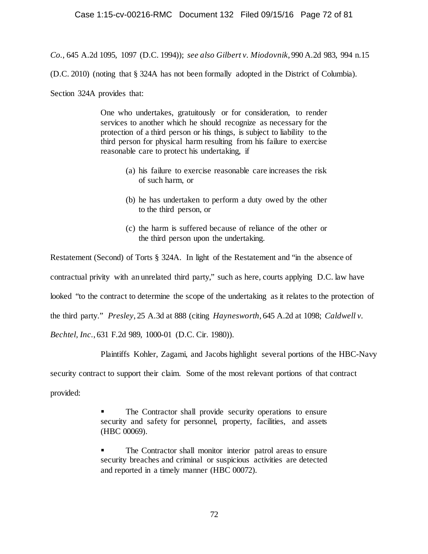*Co.*, 645 A.2d 1095, 1097 (D.C. 1994)); *see also Gilbert v. Miodovnik*, 990 A.2d 983, 994 n.15

(D.C. 2010) (noting that § 324A has not been formally adopted in the District of Columbia).

Section 324A provides that:

One who undertakes, gratuitously or for consideration, to render services to another which he should recognize as necessary for the protection of a third person or his things, is subject to liability to the third person for physical harm resulting from his failure to exercise reasonable care to protect his undertaking, if

- (a) his failure to exercise reasonable care increases the risk of such harm, or
- (b) he has undertaken to perform a duty owed by the other to the third person, or
- (c) the harm is suffered because of reliance of the other or the third person upon the undertaking.

Restatement (Second) of Torts § 324A. In light of the Restatement and "in the absence of contractual privity with an unrelated third party," such as here, courts applying D.C. law have looked "to the contract to determine the scope of the undertaking as it relates to the protection of the third party." *Presley*, 25 A.3d at 888 (citing *Haynesworth*, 645 A.2d at 1098; *Caldwell v. Bechtel, Inc.*, 631 F.2d 989, 1000-01 (D.C. Cir. 1980)).

Plaintiffs Kohler, Zagami, and Jacobs highlight several portions of the HBC-Navy

security contract to support their claim. Some of the most relevant portions of that contract

provided:

 The Contractor shall provide security operations to ensure security and safety for personnel, property, facilities, and assets (HBC 00069).

 The Contractor shall monitor interior patrol areas to ensure security breaches and criminal or suspicious activities are detected and reported in a timely manner (HBC 00072).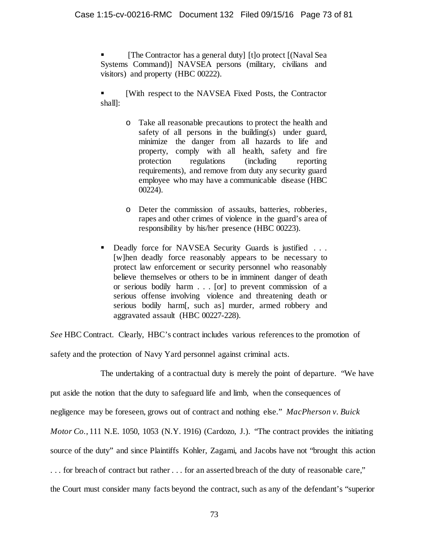[The Contractor has a general duty] [t]o protect [(Naval Sea Systems Command)] NAVSEA persons (military, civilians and visitors) and property (HBC 00222).

 [With respect to the NAVSEA Fixed Posts, the Contractor shall]:

- o Take all reasonable precautions to protect the health and safety of all persons in the building(s) under guard, minimize the danger from all hazards to life and property, comply with all health, safety and fire protection regulations (including reporting requirements), and remove from duty any security guard employee who may have a communicable disease (HBC 00224).
- o Deter the commission of assaults, batteries, robberies, rapes and other crimes of violence in the guard's area of responsibility by his/her presence (HBC 00223).
- Deadly force for NAVSEA Security Guards is justified . . . [w]hen deadly force reasonably appears to be necessary to protect law enforcement or security personnel who reasonably believe themselves or others to be in imminent danger of death or serious bodily harm . . . [or] to prevent commission of a serious offense involving violence and threatening death or serious bodily harm[, such as] murder, armed robbery and aggravated assault (HBC 00227-228).

*See* HBC Contract. Clearly, HBC's contract includes various references to the promotion of

safety and the protection of Navy Yard personnel against criminal acts.

The undertaking of a contractual duty is merely the point of departure. "We have put aside the notion that the duty to safeguard life and limb, when the consequences of negligence may be foreseen, grows out of contract and nothing else." *MacPherson v. Buick Motor Co.*, 111 N.E. 1050, 1053 (N.Y. 1916) (Cardozo, J.). "The contract provides the initiating source of the duty" and since Plaintiffs Kohler, Zagami, and Jacobs have not "brought this action . . . for breach of contract but rather . . . for an asserted breach of the duty of reasonable care," the Court must consider many facts beyond the contract, such as any of the defendant's "superior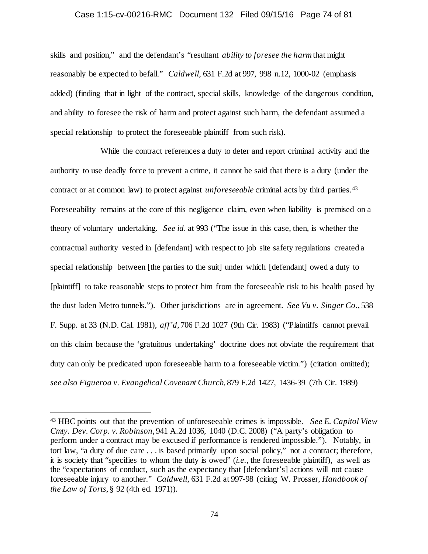#### Case 1:15-cv-00216-RMC Document 132 Filed 09/15/16 Page 74 of 81

skills and position," and the defendant's "resultant *ability to foresee the harm* that might reasonably be expected to befall." *Caldwell*, 631 F.2d at 997, 998 n.12, 1000-02 (emphasis added) (finding that in light of the contract, special skills, knowledge of the dangerous condition, and ability to foresee the risk of harm and protect against such harm, the defendant assumed a special relationship to protect the foreseeable plaintiff from such risk).

While the contract references a duty to deter and report criminal activity and the authority to use deadly force to prevent a crime, it cannot be said that there is a duty (under the contract or at common law) to protect against *unforeseeable* criminal acts by third parties.[43](#page-73-0) Foreseeability remains at the core of this negligence claim, even when liability is premised on a theory of voluntary undertaking. *See id.* at 993 ("The issue in this case, then, is whether the contractual authority vested in [defendant] with respect to job site safety regulations created a special relationship between [the parties to the suit] under which [defendant] owed a duty to [plaintiff] to take reasonable steps to protect him from the foreseeable risk to his health posed by the dust laden Metro tunnels."). Other jurisdictions are in agreement. *See Vu v. Singer Co.*, 538 F. Supp. at 33 (N.D. Cal. 1981), *aff'd*, 706 F.2d 1027 (9th Cir. 1983) ("Plaintiffs cannot prevail on this claim because the 'gratuitous undertaking' doctrine does not obviate the requirement that duty can only be predicated upon foreseeable harm to a foreseeable victim.") (citation omitted); *see also Figueroa v. Evangelical Covenant Church*, 879 F.2d 1427, 1436-39 (7th Cir. 1989)

<span id="page-73-0"></span> <sup>43</sup> HBC points out that the prevention of unforeseeable crimes is impossible. *See E. Capitol View Cmty. Dev. Corp. v. Robinson*, 941 A.2d 1036, 1040 (D.C. 2008) ("A party's obligation to perform under a contract may be excused if performance is rendered impossible."). Notably, in tort law, "a duty of due care . . . is based primarily upon social policy," not a contract; therefore, it is society that "specifies to whom the duty is owed" (*i.e.*, the foreseeable plaintiff), as well as the "expectations of conduct, such as the expectancy that [defendant's] actions will not cause foreseeable injury to another." *Caldwell*, 631 F.2d at 997-98 (citing W. Prosser, *Handbook of the Law of Torts*, § 92 (4th ed. 1971)).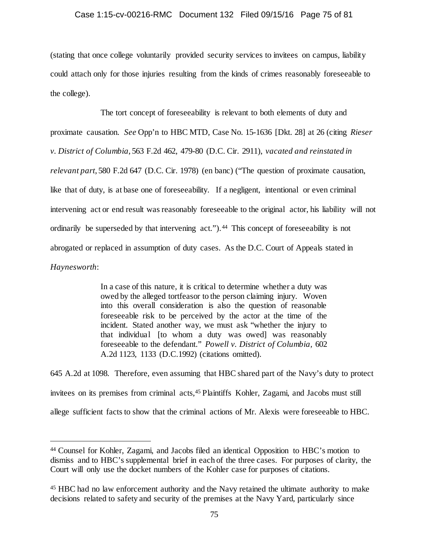### Case 1:15-cv-00216-RMC Document 132 Filed 09/15/16 Page 75 of 81

(stating that once college voluntarily provided security services to invitees on campus, liability could attach only for those injuries resulting from the kinds of crimes reasonably foreseeable to the college).

The tort concept of foreseeability is relevant to both elements of duty and proximate causation. *See* Opp'n to HBC MTD, Case No. 15-1636 [Dkt. 28] at 26 (citing *Rieser v. District of Columbia*, 563 F.2d 462, 479-80 (D.C. Cir. 2911), *vacated and reinstated in relevant part*, 580 F.2d 647 (D.C. Cir. 1978) (en banc) ("The question of proximate causation, like that of duty, is at base one of foreseeability. If a negligent, intentional or even criminal intervening act or end result was reasonably foreseeable to the original actor, his liability will not ordinarily be superseded by that intervening act.").<sup>44</sup> This concept of foreseeability is not abrogated or replaced in assumption of duty cases. As the D.C. Court of Appeals stated in *Haynesworth*:

> In a case of this nature, it is critical to determine whether a duty was owed by the alleged tortfeasor to the person claiming injury. Woven into this overall consideration is also the question of reasonable foreseeable risk to be perceived by the actor at the time of the incident. Stated another way, we must ask "whether the injury to that individual [to whom a duty was owed] was reasonably foreseeable to the defendant." *Powell v. District of Columbia,* 602 A.2d 1123, 1133 (D.C.1992) (citations omitted).

645 A.2d at 1098. Therefore, even assuming that HBC shared part of the Navy's duty to protect invitees on its premises from criminal acts[,45](#page-74-1) Plaintiffs Kohler, Zagami, and Jacobs must still allege sufficient facts to show that the criminal actions of Mr. Alexis were foreseeable to HBC.

<span id="page-74-0"></span> <sup>44</sup> Counsel for Kohler, Zagami, and Jacobs filed an identical Opposition to HBC's motion to dismiss and to HBC's supplemental brief in each of the three cases. For purposes of clarity, the Court will only use the docket numbers of the Kohler case for purposes of citations.

<span id="page-74-1"></span><sup>45</sup> HBC had no law enforcement authority and the Navy retained the ultimate authority to make decisions related to safety and security of the premises at the Navy Yard, particularly since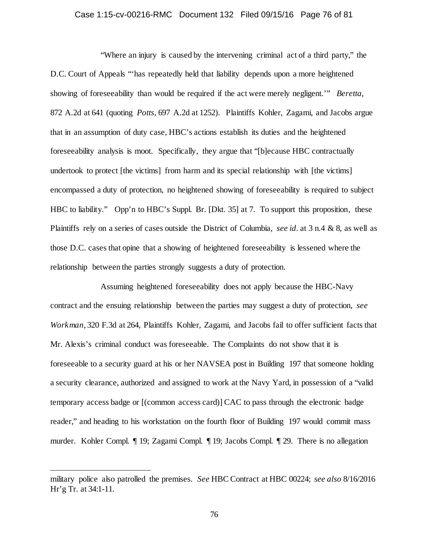#### Case 1:15-cv-00216-RMC Document 132 Filed 09/15/16 Page 76 of 81

"Where an injury is caused by the intervening criminal act of a third party," the D.C. Court of Appeals "'has repeatedly held that liability depends upon a more heightened showing of foreseeability than would be required if the act were merely negligent.'" *Beretta*, 872 A.2d at 641 (quoting *Potts*, 697 A.2d at 1252). Plaintiffs Kohler, Zagami, and Jacobs argue that in an assumption of duty case, HBC's actions establish its duties and the heightened foreseeability analysis is moot. Specifically, they argue that "[b]ecause HBC contractually undertook to protect [the victims] from harm and its special relationship with [the victims] encompassed a duty of protection, no heightened showing of foreseeability is required to subject HBC to liability." Opp'n to HBC's Suppl. Br. [Dkt. 35] at 7. To support this proposition, these Plaintiffs rely on a series of cases outside the District of Columbia, *see id.* at 3 n.4 & 8, as well as those D.C. cases that opine that a showing of heightened foreseeability is lessened where the relationship between the parties strongly suggests a duty of protection.

Assuming heightened foreseeability does not apply because the HBC-Navy contract and the ensuing relationship between the parties may suggest a duty of protection, *see Workman*, 320 F.3d at 264, Plaintiffs Kohler, Zagami, and Jacobs fail to offer sufficient facts that Mr. Alexis's criminal conduct was foreseeable. The Complaints do not show that it is foreseeable to a security guard at his or her NAVSEA post in Building 197 that someone holding a security clearance, authorized and assigned to work at the Navy Yard, in possession of a "valid temporary access badge or [(common access card)] CAC to pass through the electronic badge reader," and heading to his workstation on the fourth floor of Building 197 would commit mass murder. Kohler Compl. ¶ 19; Zagami Compl. ¶ 19; Jacobs Compl. ¶ 29. There is no allegation

l

military police also patrolled the premises. *See* HBC Contract at HBC 00224; *see also* 8/16/2016 Hr'g Tr. at 34:1-11.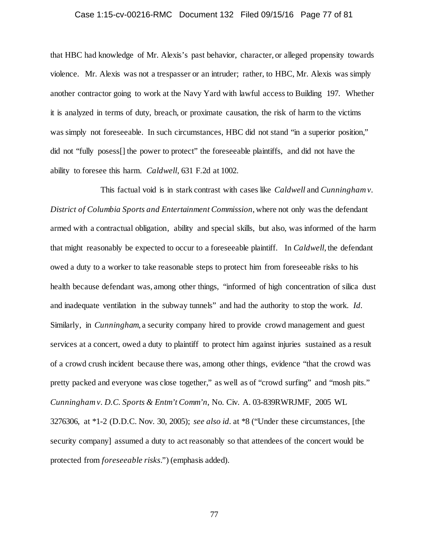# Case 1:15-cv-00216-RMC Document 132 Filed 09/15/16 Page 77 of 81

that HBC had knowledge of Mr. Alexis's past behavior, character, or alleged propensity towards violence. Mr. Alexis was not a trespasser or an intruder; rather, to HBC, Mr. Alexis was simply another contractor going to work at the Navy Yard with lawful access to Building 197. Whether it is analyzed in terms of duty, breach, or proximate causation, the risk of harm to the victims was simply not foreseeable. In such circumstances, HBC did not stand "in a superior position," did not "fully posess[] the power to protect" the foreseeable plaintiffs, and did not have the ability to foresee this harm. *Caldwell*, 631 F.2d at 1002.

This factual void is in stark contrast with cases like *Caldwell* and *Cunningham v. District of Columbia Sports and Entertainment Commission*, where not only was the defendant armed with a contractual obligation, ability and special skills, but also, was informed of the harm that might reasonably be expected to occur to a foreseeable plaintiff. In *Caldwell*, the defendant owed a duty to a worker to take reasonable steps to protect him from foreseeable risks to his health because defendant was, among other things, "informed of high concentration of silica dust and inadequate ventilation in the subway tunnels" and had the authority to stop the work. *Id.* Similarly, in *Cunningham*, a security company hired to provide crowd management and guest services at a concert, owed a duty to plaintiff to protect him against injuries sustained as a result of a crowd crush incident because there was, among other things, evidence "that the crowd was pretty packed and everyone was close together," as well as of "crowd surfing" and "mosh pits." *Cunningham v. D.C. Sports & Entm't Comm'n*, No. Civ. A. 03-839RWRJMF, 2005 WL 3276306, at \*1-2 (D.D.C. Nov. 30, 2005); *see also id.* at \*8 ("Under these circumstances, [the security company] assumed a duty to act reasonably so that attendees of the concert would be protected from *foreseeable risks*.") (emphasis added).

77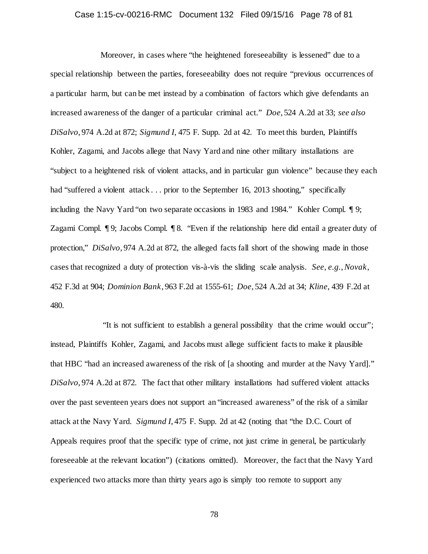### Case 1:15-cv-00216-RMC Document 132 Filed 09/15/16 Page 78 of 81

Moreover, in cases where "the heightened foreseeability is lessened" due to a special relationship between the parties, foreseeability does not require "previous occurrences of a particular harm, but can be met instead by a combination of factors which give defendants an increased awareness of the danger of a particular criminal act." *Doe*, 524 A.2d at 33; *see also DiSalvo*, 974 A.2d at 872; *Sigmund I*, 475 F. Supp. 2d at 42. To meet this burden, Plaintiffs Kohler, Zagami, and Jacobs allege that Navy Yard and nine other military installations are "subject to a heightened risk of violent attacks, and in particular gun violence" because they each had "suffered a violent attack . . . prior to the September 16, 2013 shooting," specifically including the Navy Yard "on two separate occasions in 1983 and 1984." Kohler Compl. ¶ 9; Zagami Compl. ¶ 9; Jacobs Compl. ¶ 8. "Even if the relationship here did entail a greater duty of protection," *DiSalvo*, 974 A.2d at 872, the alleged facts fall short of the showing made in those cases that recognized a duty of protection vis-à-vis the sliding scale analysis. *See, e.g.*, *Novak*, 452 F.3d at 904; *Dominion Bank*, 963 F.2d at 1555-61; *Doe*, 524 A.2d at 34; *Kline*, 439 F.2d at 480.

"It is not sufficient to establish a general possibility that the crime would occur"; instead, Plaintiffs Kohler, Zagami, and Jacobs must allege sufficient facts to make it plausible that HBC "had an increased awareness of the risk of [a shooting and murder at the Navy Yard]." *DiSalvo*, 974 A.2d at 872. The fact that other military installations had suffered violent attacks over the past seventeen years does not support an "increased awareness" of the risk of a similar attack at the Navy Yard. *Sigmund I*, 475 F. Supp. 2d at 42 (noting that "the D.C. Court of Appeals requires proof that the specific type of crime, not just crime in general, be particularly foreseeable at the relevant location") (citations omitted). Moreover, the fact that the Navy Yard experienced two attacks more than thirty years ago is simply too remote to support any

78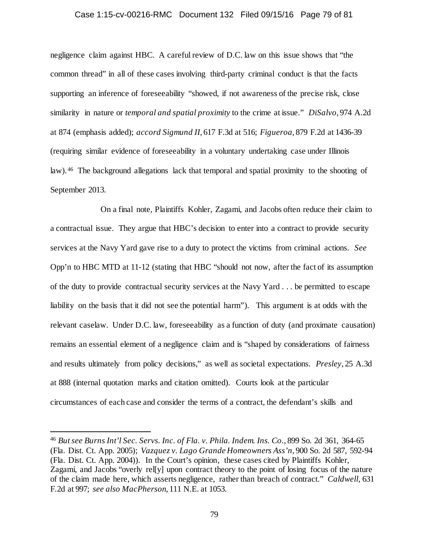#### Case 1:15-cv-00216-RMC Document 132 Filed 09/15/16 Page 79 of 81

negligence claim against HBC. A careful review of D.C. law on this issue shows that "the common thread" in all of these cases involving third-party criminal conduct is that the facts supporting an inference of foreseeability "showed, if not awareness of the precise risk, close similarity in nature or *temporal and spatial proximity* to the crime at issue." *DiSalvo*, 974 A.2d at 874 (emphasis added); *accord Sigmund II*, 617 F.3d at 516; *Figueroa*, 879 F.2d at 1436-39 (requiring similar evidence of foreseeability in a voluntary undertaking case under Illinois law). [46](#page-78-0) The background allegations lack that temporal and spatial proximity to the shooting of September 2013.

On a final note, Plaintiffs Kohler, Zagami, and Jacobs often reduce their claim to a contractual issue. They argue that HBC's decision to enter into a contract to provide security services at the Navy Yard gave rise to a duty to protect the victims from criminal actions. *See* Opp'n to HBC MTD at 11-12 (stating that HBC "should not now, after the fact of its assumption of the duty to provide contractual security services at the Navy Yard . . . be permitted to escape liability on the basis that it did not see the potential harm"). This argument is at odds with the relevant caselaw. Under D.C. law, foreseeability as a function of duty (and proximate causation) remains an essential element of a negligence claim and is "shaped by considerations of fairness and results ultimately from policy decisions," as well as societal expectations. *Presley*, 25 A.3d at 888 (internal quotation marks and citation omitted). Courts look at the particular circumstances of each case and consider the terms of a contract, the defendant's skills and

<span id="page-78-0"></span> <sup>46</sup> *But see Burns Int'l Sec. Servs. Inc. of Fla. v. Phila. Indem. Ins. Co.*, 899 So. 2d 361, 364-65 (Fla. Dist. Ct. App. 2005); *Vazquez v. Lago Grande Homeowners Ass'n*, 900 So. 2d 587, 592-94 (Fla. Dist. Ct. App. 2004)). In the Court's opinion, these cases cited by Plaintiffs Kohler, Zagami, and Jacobs "overly rel[y] upon contract theory to the point of losing focus of the nature of the claim made here, which asserts negligence, rather than breach of contract." *Caldwell*, 631 F.2d at 997; *see also MacPherson*, 111 N.E. at 1053.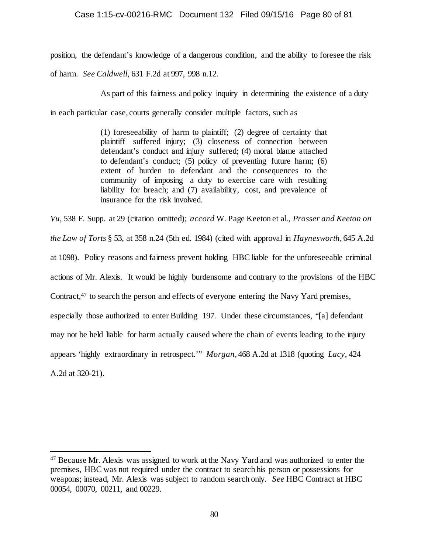## Case 1:15-cv-00216-RMC Document 132 Filed 09/15/16 Page 80 of 81

position, the defendant's knowledge of a dangerous condition, and the ability to foresee the risk

of harm. *See Caldwell*, 631 F.2d at 997, 998 n.12.

As part of this fairness and policy inquiry in determining the existence of a duty

in each particular case, courts generally consider multiple factors, such as

(1) foreseeability of harm to plaintiff; (2) degree of certainty that plaintiff suffered injury; (3) closeness of connection between defendant's conduct and injury suffered; (4) moral blame attached to defendant's conduct; (5) policy of preventing future harm; (6) extent of burden to defendant and the consequences to the community of imposing a duty to exercise care with resulting liability for breach; and (7) availability, cost, and prevalence of insurance for the risk involved.

*Vu*, 538 F. Supp. at 29 (citation omitted); *accord* W. Page Keeton et al., *Prosser and Keeton on the Law of Torts* § 53, at 358 n.24 (5th ed. 1984) (cited with approval in *Haynesworth*, 645 A.2d at 1098). Policy reasons and fairness prevent holding HBC liable for the unforeseeable criminal actions of Mr. Alexis. It would be highly burdensome and contrary to the provisions of the HBC Contract,[47](#page-79-0) to search the person and effects of everyone entering the Navy Yard premises, especially those authorized to enter Building 197. Under these circumstances, "[a] defendant may not be held liable for harm actually caused where the chain of events leading to the injury appears 'highly extraordinary in retrospect.'" *Morgan*, 468 A.2d at 1318 (quoting *Lacy*, 424 A.2d at 320-21).

<span id="page-79-0"></span> <sup>47</sup> Because Mr. Alexis was assigned to work at the Navy Yard and was authorized to enter the premises, HBC was not required under the contract to search his person or possessions for weapons; instead, Mr. Alexis was subject to random search only. *See* HBC Contract at HBC 00054, 00070, 00211, and 00229.